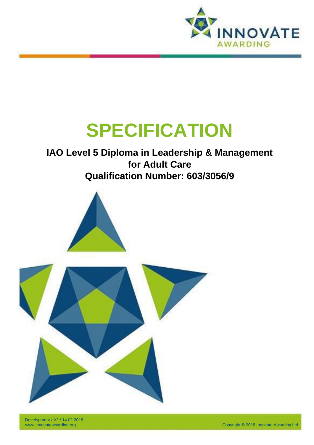

# **SPECIFICATION**

# **IAO Level 5 Diploma in Leadership & Management for Adult Care Qualification Number: 603/3056/9**



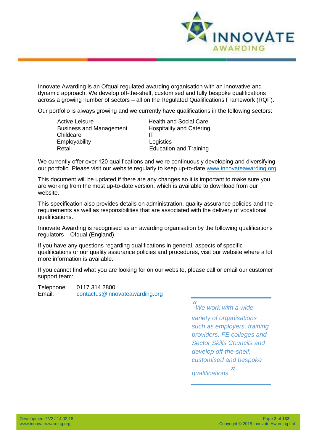

Innovate Awarding is an Ofqual regulated awarding organisation with an innovative and dynamic approach. We develop off-the-shelf, customised and fully bespoke qualifications across a growing number of sectors – all on the Regulated Qualifications Framework (RQF).

Our portfolio is always growing and we currently have qualifications in the following sectors:

| <b>Health and Social Care</b>   |
|---------------------------------|
| <b>Hospitality and Catering</b> |
|                                 |
| Logistics                       |
| <b>Education and Training</b>   |
|                                 |

We currently offer over 120 qualifications and we're continuously developing and diversifying our portfolio. Please visit our website regularly to keep up-to-date [www.innovateawarding.org](http://www.innovateawarding.org/)

This document will be updated if there are any changes so it is important to make sure you are working from the most up-to-date version, which is available to download from our website.

This specification also provides details on administration, quality assurance policies and the requirements as well as responsibilities that are associated with the delivery of vocational qualifications.

Innovate Awarding is recognised as an awarding organisation by the following qualifications regulators – Ofqual (England).

If you have any questions regarding qualifications in general, aspects of specific qualifications or our quality assurance policies and procedures, visit our website where a lot more information is available.

If you cannot find what you are looking for on our website, please call or email our customer support team:

Telephone: 0117 314 2800 Email: [contactus@innovateawarding.org](mailto:contactus@innovateawarding.org)

> *" We work with a wide variety of organisations such as employers, training providers, FE colleges and Sector Skills Councils and develop off-the-shelf, customised and bespoke qualifications. "*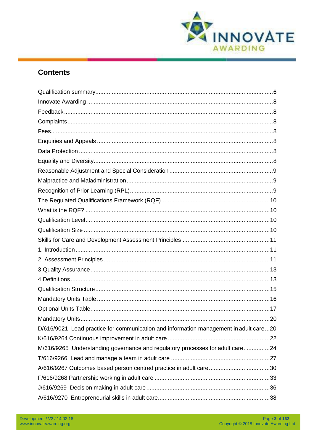

# **Contents**

| D/616/9021 Lead practice for communication and information management in adult care20 |
|---------------------------------------------------------------------------------------|
|                                                                                       |
| M/616/9265 Understanding governance and regulatory processes for adult care24         |
|                                                                                       |
| A/616/9267 Outcomes based person centred practice in adult care30                     |
|                                                                                       |
|                                                                                       |
|                                                                                       |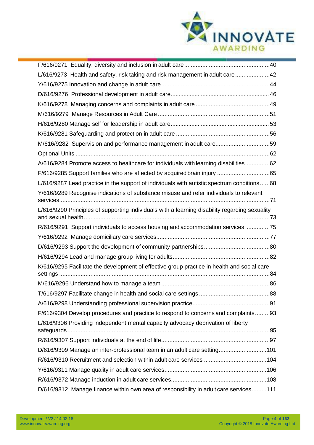

| L/616/9273 Health and safety, risk taking and risk management in adult care42                  |
|------------------------------------------------------------------------------------------------|
|                                                                                                |
|                                                                                                |
|                                                                                                |
|                                                                                                |
|                                                                                                |
|                                                                                                |
| M/616/9282 Supervision and performance management in adult care59                              |
|                                                                                                |
| A/616/9284 Promote access to healthcare for individuals with learning disabilities 62          |
|                                                                                                |
| L/616/9287 Lead practice in the support of individuals with autistic spectrum conditions 68    |
| Y/616/9289 Recognise indications of substance misuse and refer individuals to relevant         |
| L/616/9290 Principles of supporting individuals with a learning disability regarding sexuality |
| R/616/9291 Support individuals to access housing and accommodation services 75                 |
|                                                                                                |
|                                                                                                |
|                                                                                                |
| K/616/9295 Facilitate the development of effective group practice in health and social care    |
|                                                                                                |
|                                                                                                |
|                                                                                                |
| F/616/9304 Develop procedures and practice to respond to concerns and complaints 93            |
| L/616/9306 Providing independent mental capacity advocacy deprivation of liberty               |
|                                                                                                |
| D/616/9309 Manage an inter-professional team in an adult care setting101                       |
| R/616/9310 Recruitment and selection within adult care services 104                            |
|                                                                                                |
|                                                                                                |
| D/616/9312 Manage finance within own area of responsibility in adult care services111          |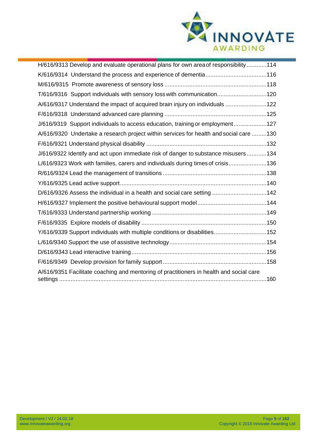

| H/616/9313 Develop and evaluate operational plans for own area of responsibility 114    |
|-----------------------------------------------------------------------------------------|
| K/616/9314 Understand the process and experience of dementia116                         |
|                                                                                         |
| T/616/9316 Support individuals with sensory loss with communication120                  |
| A/616/9317 Understand the impact of acquired brain injury on individuals 122            |
|                                                                                         |
| J/616/9319 Support individuals to access education, training or employment127           |
| A/616/9320 Undertake a research project within services for health and social care 130  |
|                                                                                         |
| J/616/9322 Identify and act upon immediate risk of danger to substance misusers134      |
| L/616/9323 Work with families, carers and individuals during times of crisis136         |
|                                                                                         |
|                                                                                         |
| D/616/9326 Assess the individual in a health and social care setting 142                |
|                                                                                         |
|                                                                                         |
|                                                                                         |
| Y/616/9339 Support individuals with multiple conditions or disabilities152              |
|                                                                                         |
|                                                                                         |
|                                                                                         |
| A/616/9351 Facilitate coaching and mentoring of practitioners in health and social care |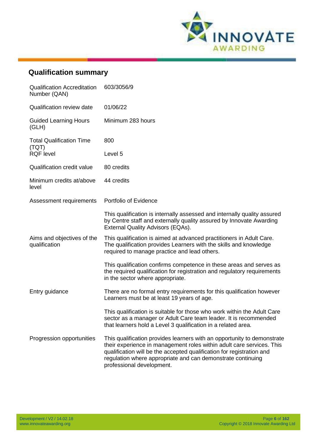

# <span id="page-5-0"></span>**Qualification summary**

| <b>Qualification Accreditation</b><br>Number (QAN) | 603/3056/9                                                                                                                                                                                                                                                                                                            |
|----------------------------------------------------|-----------------------------------------------------------------------------------------------------------------------------------------------------------------------------------------------------------------------------------------------------------------------------------------------------------------------|
| <b>Qualification review date</b>                   | 01/06/22                                                                                                                                                                                                                                                                                                              |
| <b>Guided Learning Hours</b><br>(GLH)              | Minimum 283 hours                                                                                                                                                                                                                                                                                                     |
| <b>Total Qualification Time</b><br>(TQT)           | 800                                                                                                                                                                                                                                                                                                                   |
| <b>RQF</b> level                                   | Level <sub>5</sub>                                                                                                                                                                                                                                                                                                    |
| <b>Qualification credit value</b>                  | 80 credits                                                                                                                                                                                                                                                                                                            |
| Minimum credits at/above<br>level                  | 44 credits                                                                                                                                                                                                                                                                                                            |
| Assessment requirements                            | Portfolio of Evidence                                                                                                                                                                                                                                                                                                 |
|                                                    | This qualification is internally assessed and internally quality assured<br>by Centre staff and externally quality assured by Innovate Awarding<br>External Quality Advisors (EQAs).                                                                                                                                  |
| Aims and objectives of the<br>qualification        | This qualification is aimed at advanced practitioners in Adult Care.<br>The qualification provides Learners with the skills and knowledge<br>required to manage practice and lead others.                                                                                                                             |
|                                                    | This qualification confirms competence in these areas and serves as<br>the required qualification for registration and regulatory requirements<br>in the sector where appropriate.                                                                                                                                    |
| Entry guidance                                     | There are no formal entry requirements for this qualification however<br>Learners must be at least 19 years of age.                                                                                                                                                                                                   |
|                                                    | This qualification is suitable for those who work within the Adult Care<br>sector as a manager or Adult Care team leader. It is recommended<br>that learners hold a Level 3 qualification in a related area.                                                                                                          |
| Progression opportunities                          | This qualification provides learners with an opportunity to demonstrate<br>their experience in management roles within adult care services. This<br>qualification will be the accepted qualification for registration and<br>regulation where appropriate and can demonstrate continuing<br>professional development. |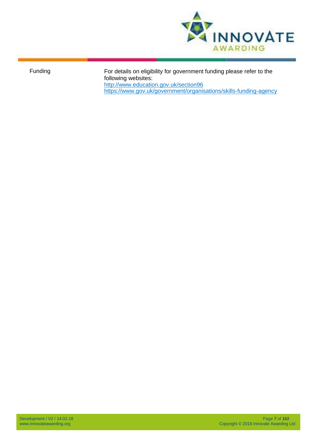

Funding For details on eligibility for government funding please refer to the following websites: <http://www.education.gov.uk/section96> <https://www.gov.uk/government/organisations/skills-funding-agency>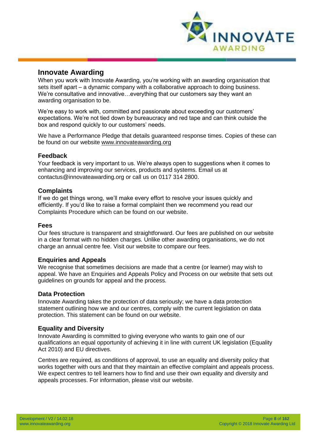

#### <span id="page-7-0"></span>**Innovate Awarding**

When you work with Innovate Awarding, you're working with an awarding organisation that sets itself apart – a dynamic company with a collaborative approach to doing business. We're consultative and innovative…everything that our customers say they want an awarding organisation to be.

We're easy to work with, committed and passionate about exceeding our customers' expectations. We're not tied down by bureaucracy and red tape and can think outside the box and respond quickly to our customers' needs.

We have a Performance Pledge that details guaranteed response times. Copies of these can be found on our website [www.innovateawarding.org](http://www.innovateawarding.org/)

#### <span id="page-7-1"></span>**Feedback**

Your feedback is very important to us. We're always open to suggestions when it comes to enhancing and improving our services, products and systems. Email us at [contactus@innovateawarding.org o](mailto:contactus@innovateawarding.org)r call us on 0117 314 2800.

#### <span id="page-7-2"></span>**Complaints**

If we do get things wrong, we'll make every effort to resolve your issues quickly and efficiently. If you'd like to raise a formal complaint then we recommend you read our Complaints Procedure which can be found on our website.

#### <span id="page-7-3"></span>**Fees**

Our fees structure is transparent and straightforward. Our fees are published on our website in a clear format with no hidden charges. Unlike other awarding organisations, we do not charge an annual centre fee. Visit our website to compare our fees.

#### <span id="page-7-4"></span>**Enquiries and Appeals**

We recognise that sometimes decisions are made that a centre (or learner) may wish to appeal. We have an Enquiries and Appeals Policy and Process on our website that sets out guidelines on grounds for appeal and the process.

#### <span id="page-7-5"></span>**Data Protection**

Innovate Awarding takes the protection of data seriously; we have a data protection statement outlining how we and our centres, comply with the current legislation on data protection. This statement can be found on our website.

#### <span id="page-7-6"></span>**Equality and Diversity**

Innovate Awarding is committed to giving everyone who wants to gain one of our qualifications an equal opportunity of achieving it in line with current UK legislation (Equality Act 2010) and EU directives.

Centres are required, as conditions of approval, to use an equality and diversity policy that works together with ours and that they maintain an effective complaint and appeals process. We expect centres to tell learners how to find and use their own equality and diversity and appeals processes. For information, please visit our website.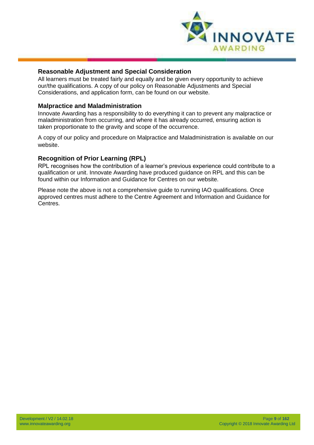

#### <span id="page-8-0"></span>**Reasonable Adjustment and Special Consideration**

All learners must be treated fairly and equally and be given every opportunity to achieve our/the qualifications. A copy of our policy on Reasonable Adjustments and Special Considerations, and application form, can be found on our website.

#### <span id="page-8-1"></span>**Malpractice and Maladministration**

Innovate Awarding has a responsibility to do everything it can to prevent any malpractice or maladministration from occurring, and where it has already occurred, ensuring action is taken proportionate to the gravity and scope of the occurrence.

A copy of our policy and procedure on Malpractice and Maladministration is available on our website.

#### <span id="page-8-2"></span>**Recognition of Prior Learning (RPL)**

RPL recognises how the contribution of a learner's previous experience could contribute to a qualification or unit. Innovate Awarding have produced guidance on RPL and this can be found within our Information and Guidance for Centres on our website.

Please note the above is not a comprehensive guide to running IAO qualifications. Once approved centres must adhere to the Centre Agreement and Information and Guidance for Centres.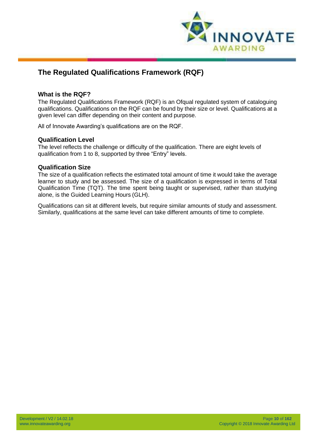

# <span id="page-9-0"></span>**The Regulated Qualifications Framework (RQF)**

#### <span id="page-9-1"></span>**What is the RQF?**

The Regulated Qualifications Framework (RQF) is an Ofqual regulated system of cataloguing qualifications. Qualifications on the RQF can be found by their size or level. Qualifications at a given level can differ depending on their content and purpose.

All of Innovate Awarding's qualifications are on the RQF.

#### <span id="page-9-2"></span>**Qualification Level**

The level reflects the challenge or difficulty of the qualification. There are eight levels of qualification from 1 to 8, supported by three "Entry" levels.

#### <span id="page-9-3"></span>**Qualification Size**

The size of a qualification reflects the estimated total amount of time it would take the average learner to study and be assessed. The size of a qualification is expressed in terms of Total Qualification Time (TQT). The time spent being taught or supervised, rather than studying alone, is the Guided Learning Hours (GLH).

Qualifications can sit at different levels, but require similar amounts of study and assessment. Similarly, qualifications at the same level can take different amounts of time to complete.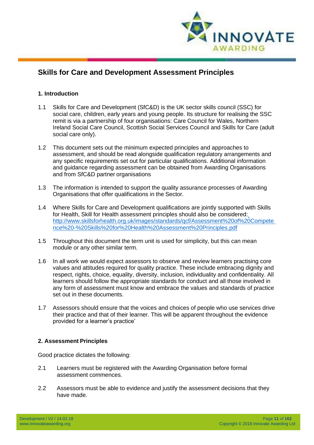

# <span id="page-10-0"></span>**Skills for Care and Development Assessment Principles**

#### <span id="page-10-1"></span>**1. Introduction**

- 1.1 Skills for Care and Development (SfC&D) is the UK sector skills council (SSC) for social care, children, early years and young people. Its structure for realising the SSC remit is via a partnership of four organisations: Care Council for Wales, Northern Ireland Social Care Council, Scottish Social Services Council and Skills for Care (adult social care only).
- 1.2 This document sets out the minimum expected principles and approaches to assessment, and should be read alongside qualification regulatory arrangements and any specific requirements set out for particular qualifications. Additional information and guidance regarding assessment can be obtained from Awarding Organisations and from SfC&D partner organisations
- 1.3 The information is intended to support the quality assurance processes of Awarding Organisations that offer qualifications in the Sector.
- 1.4 Where Skills for Care and Development qualifications are jointly supported with Skills for Health, Skill for Health assessment principles should also be considered: [http://www.skillsforhealth.org.uk/images/standards/qcf/Assessment%20of%20Compete](http://www.skillsforhealth.org.uk/images/standards/qcf/Assessment%20of%20Competence%20-%20Skills%20for%20Health%20Assessment%20Principles.pdf) [nce%20-%20Skills%20for%20Health%20Assessment%20Principles.pdf](http://www.skillsforhealth.org.uk/images/standards/qcf/Assessment%20of%20Competence%20-%20Skills%20for%20Health%20Assessment%20Principles.pdf)
- 1.5 Throughout this document the term unit is used for simplicity, but this can mean module or any other similar term.
- 1.6 In all work we would expect assessors to observe and review learners practising core values and attitudes required for quality practice. These include embracing dignity and respect, rights, choice, equality, diversity, inclusion, individuality and confidentiality. All learners should follow the appropriate standards for conduct and all those involved in any form of assessment must know and embrace the values and standards of practice set out in these documents.
- 1.7 Assessors should ensure that the voices and choices of people who use services drive their practice and that of their learner. This will be apparent throughout the evidence provided for a learner's practice'

#### <span id="page-10-2"></span>**2. Assessment Principles**

Good practice dictates the following:

- 2.1 Learners must be registered with the Awarding Organisation before formal assessment commences.
- 2.2 Assessors must be able to evidence and justify the assessment decisions that they have made.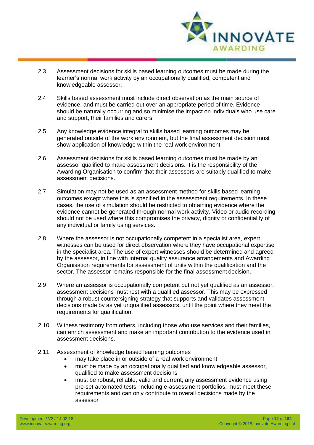

- 2.3 Assessment decisions for skills based learning outcomes must be made during the learner's normal work activity by an occupationally qualified, competent and knowledgeable assessor.
- 2.4 Skills based assessment must include direct observation as the main source of evidence, and must be carried out over an appropriate period of time. Evidence should be naturally occurring and so minimise the impact on individuals who use care and support, their families and carers.
- 2.5 Any knowledge evidence integral to skills based learning outcomes may be generated outside of the work environment, but the final assessment decision must show application of knowledge within the real work environment.
- 2.6 Assessment decisions for skills based learning outcomes must be made by an assessor qualified to make assessment decisions. It is the responsibility of the Awarding Organisation to confirm that their assessors are suitably qualified to make assessment decisions.
- 2.7 Simulation may not be used as an assessment method for skills based learning outcomes except where this is specified in the assessment requirements. In these cases, the use of simulation should be restricted to obtaining evidence where the evidence cannot be generated through normal work activity. Video or audio recording should not be used where this compromises the privacy, dignity or confidentiality of any individual or family using services.
- 2.8 Where the assessor is not occupationally competent in a specialist area, expert witnesses can be used for direct observation where they have occupational expertise in the specialist area. The use of expert witnesses should be determined and agreed by the assessor, in line with internal quality assurance arrangements and Awarding Organisation requirements for assessment of units within the qualification and the sector. The assessor remains responsible for the final assessment decision.
- 2.9 Where an assessor is occupationally competent but not yet qualified as an assessor, assessment decisions must rest with a qualified assessor. This may be expressed through a robust countersigning strategy that supports and validates assessment decisions made by as yet unqualified assessors, until the point where they meet the requirements for qualification.
- 2.10 Witness testimony from others, including those who use services and their families, can enrich assessment and make an important contribution to the evidence used in assessment decisions.
- 2.11 Assessment of knowledge based learning outcomes
	- may take place in or outside of a real work environment
		- must be made by an occupationally qualified and knowledgeable assessor, qualified to make assessment decisions
		- must be robust, reliable, valid and current; any assessment evidence using pre-set automated tests, including e-assessment portfolios, must meet these requirements and can only contribute to overall decisions made by the assessor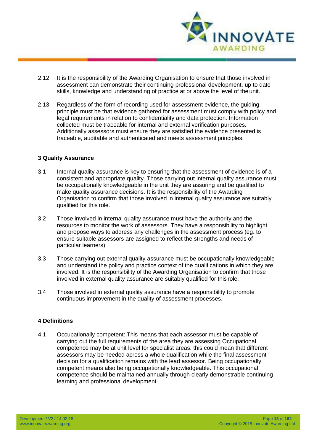

- 2.12 It is the responsibility of the Awarding Organisation to ensure that those involved in assessment can demonstrate their continuing professional development, up to date skills, knowledge and understanding of practice at or above the level of the unit.
- 2.13 Regardless of the form of recording used for assessment evidence, the guiding principle must be that evidence gathered for assessment must comply with policy and legal requirements in relation to confidentiality and data protection. Information collected must be traceable for internal and external verification purposes. Additionally assessors must ensure they are satisfied the evidence presented is traceable, auditable and authenticated and meets assessment principles.

#### <span id="page-12-0"></span>**3 Quality Assurance**

- 3.1 Internal quality assurance is key to ensuring that the assessment of evidence is of a consistent and appropriate quality. Those carrying out internal quality assurance must be occupationally knowledgeable in the unit they are assuring and be qualified to make quality assurance decisions. It is the responsibility of the Awarding Organisation to confirm that those involved in internal quality assurance are suitably qualified for this role.
- 3.2 Those involved in internal quality assurance must have the authority and the resources to monitor the work of assessors. They have a responsibility to highlight and propose ways to address any challenges in the assessment process (eg. to ensure suitable assessors are assigned to reflect the strengths and needs of particular learners)
- 3.3 Those carrying out external quality assurance must be occupationally knowledgeable and understand the policy and practice context of the qualifications in which they are involved. It is the responsibility of the Awarding Organisation to confirm that those involved in external quality assurance are suitably qualified for this role.
- 3.4 Those involved in external quality assurance have a responsibility to promote continuous improvement in the quality of assessment processes.

#### <span id="page-12-1"></span>**4 Definitions**

4.1 Occupationally competent: This means that each assessor must be capable of carrying out the full requirements of the area they are assessing Occupational competence may be at unit level for specialist areas: this could mean that different assessors may be needed across a whole qualification while the final assessment decision for a qualification remains with the lead assessor. Being occupationally competent means also being occupationally knowledgeable. This occupational competence should be maintained annually through clearly demonstrable continuing learning and professional development.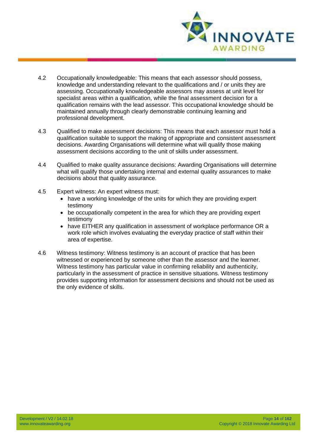

- 4.2 Occupationally knowledgeable: This means that each assessor should possess, knowledge and understanding relevant to the qualifications and / or units they are assessing. Occupationally knowledgeable assessors may assess at unit level for specialist areas within a qualification, while the final assessment decision for a qualification remains with the lead assessor. This occupational knowledge should be maintained annually through clearly demonstrable continuing learning and professional development.
- 4.3 Qualified to make assessment decisions: This means that each assessor must hold a qualification suitable to support the making of appropriate and consistent assessment decisions. Awarding Organisations will determine what will qualify those making assessment decisions according to the unit of skills under assessment.
- 4.4 Qualified to make quality assurance decisions: Awarding Organisations will determine what will qualify those undertaking internal and external quality assurances to make decisions about that quality assurance.
- 4.5 Expert witness: An expert witness must:
	- have a working knowledge of the units for which they are providing expert testimony
	- be occupationally competent in the area for which they are providing expert testimony
	- have EITHER any qualification in assessment of workplace performance OR a work role which involves evaluating the everyday practice of staff within their area of expertise.
- 4.6 Witness testimony: Witness testimony is an account of practice that has been witnessed or experienced by someone other than the assessor and the learner. Witness testimony has particular value in confirming reliability and authenticity, particularly in the assessment of practice in sensitive situations. Witness testimony provides supporting information for assessment decisions and should not be used as the only evidence of skills.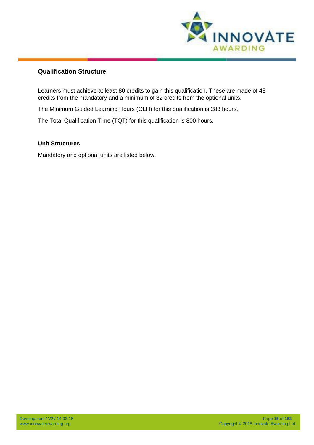

#### <span id="page-14-0"></span>**Qualification Structure**

Learners must achieve at least 80 credits to gain this qualification. These are made of 48 credits from the mandatory and a minimum of 32 credits from the optional units.

The Minimum Guided Learning Hours (GLH) for this qualification is 283 hours.

The Total Qualification Time (TQT) for this qualification is 800 hours.

#### **Unit Structures**

Mandatory and optional units are listed below.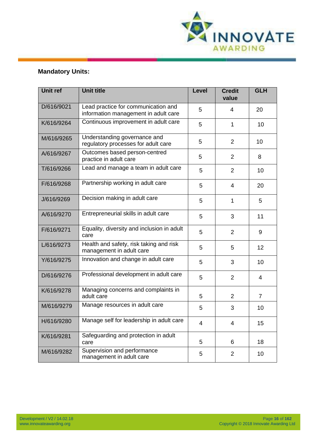

## <span id="page-15-0"></span>**Mandatory Units:**

| <b>Unit ref</b> | <b>Unit title</b>                                                           | <b>Level</b> | <b>Credit</b><br>value | <b>GLH</b>     |
|-----------------|-----------------------------------------------------------------------------|--------------|------------------------|----------------|
| D/616/9021      | Lead practice for communication and<br>information management in adult care | 5            | 4                      | 20             |
| K/616/9264      | Continuous improvement in adult care                                        | 5            | 1                      | 10             |
| M/616/9265      | Understanding governance and<br>regulatory processes for adult care         | 5            | $\overline{2}$         | 10             |
| A/616/9267      | Outcomes based person-centred<br>practice in adult care                     | 5            | $\overline{2}$         | 8              |
| T/616/9266      | Lead and manage a team in adult care                                        | 5            | $\overline{2}$         | 10             |
| F/616/9268      | Partnership working in adult care                                           | 5            | $\overline{4}$         | 20             |
| J/616/9269      | Decision making in adult care                                               | 5            | $\mathbf{1}$           | 5              |
| A/616/9270      | Entrepreneurial skills in adult care                                        | 5            | 3                      | 11             |
| F/616/9271      | Equality, diversity and inclusion in adult<br>care                          | 5            | $\overline{2}$         | 9              |
| L/616/9273      | Health and safety, risk taking and risk<br>management in adult care         | 5            | 5                      | 12             |
| Y/616/9275      | Innovation and change in adult care                                         | 5            | 3                      | 10             |
| D/616/9276      | Professional development in adult care                                      | 5            | $\overline{2}$         | $\overline{4}$ |
| K/616/9278      | Managing concerns and complaints in<br>adult care                           | 5            | $\overline{2}$         | $\overline{7}$ |
| M/616/9279      | Manage resources in adult care                                              | 5            | 3                      | 10             |
| H/616/9280      | Manage self for leadership in adult care                                    | 4            | 4                      | 15             |
| K/616/9281      | Safeguarding and protection in adult<br>care                                | 5            | 6                      | 18             |
| M/616/9282      | Supervision and performance<br>management in adult care                     | 5            | $\overline{2}$         | 10             |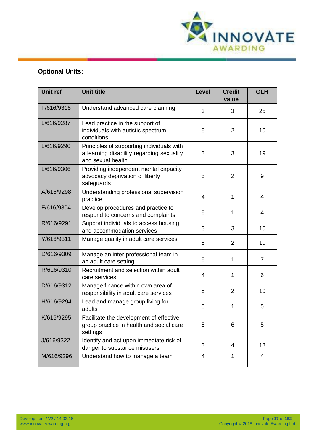

# <span id="page-16-0"></span>**Optional Units:**

| <b>Unit ref</b> | <b>Unit title</b>                                                                                           | <b>Level</b> | <b>Credit</b><br>value | <b>GLH</b>     |
|-----------------|-------------------------------------------------------------------------------------------------------------|--------------|------------------------|----------------|
| F/616/9318      | Understand advanced care planning                                                                           | 3            | 3                      | 25             |
| L/616/9287      | Lead practice in the support of<br>individuals with autistic spectrum<br>conditions                         | 5            | $\overline{2}$         | 10             |
| L/616/9290      | Principles of supporting individuals with<br>a learning disability regarding sexuality<br>and sexual health | 3            | 3                      | 19             |
| L/616/9306      | Providing independent mental capacity<br>advocacy deprivation of liberty<br>safeguards                      | 5            | $\overline{2}$         | 9              |
| A/616/9298      | Understanding professional supervision<br>practice                                                          | 4            | $\mathbf 1$            | 4              |
| F/616/9304      | Develop procedures and practice to<br>respond to concerns and complaints                                    | 5            | $\mathbf 1$            | 4              |
| R/616/9291      | Support individuals to access housing<br>and accommodation services                                         | 3            | 3                      | 15             |
| Y/616/9311      | Manage quality in adult care services                                                                       | 5            | $\overline{2}$         | 10             |
| D/616/9309      | Manage an inter-professional team in<br>an adult care setting                                               | 5            | $\mathbf 1$            | $\overline{7}$ |
| R/616/9310      | Recruitment and selection within adult<br>care services                                                     | 4            | 1                      | 6              |
| D/616/9312      | Manage finance within own area of<br>responsibility in adult care services                                  | 5            | 2                      | 10             |
| H/616/9294      | Lead and manage group living for<br>adults                                                                  | 5            | 1                      | 5              |
| K/616/9295      | Facilitate the development of effective<br>group practice in health and social care<br>settings             | 5            | 6                      | 5              |
| J/616/9322      | Identify and act upon immediate risk of<br>danger to substance misusers                                     | 3            | 4                      | 13             |
| M/616/9296      | Understand how to manage a team                                                                             | 4            | $\mathbf{1}$           | $\overline{4}$ |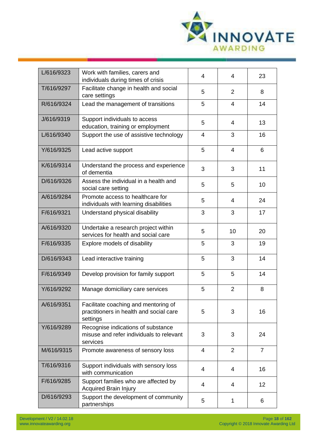

| L/616/9323 | Work with families, carers and<br>individuals during times of crisis                        | 4              | 4              | 23             |
|------------|---------------------------------------------------------------------------------------------|----------------|----------------|----------------|
| T/616/9297 | Facilitate change in health and social<br>care settings                                     | 5              | 2              | 8              |
| R/616/9324 | Lead the management of transitions                                                          | 5              | $\overline{4}$ | 14             |
| J/616/9319 | Support individuals to access<br>education, training or employment                          | 5              | 4              | 13             |
| L/616/9340 | Support the use of assistive technology                                                     | $\overline{4}$ | 3              | 16             |
| Y/616/9325 | Lead active support                                                                         | 5              | $\overline{4}$ | 6              |
| K/616/9314 | Understand the process and experience<br>of dementia                                        | 3              | 3              | 11             |
| D/616/9326 | Assess the individual in a health and<br>social care setting                                | 5              | 5              | 10             |
| A/616/9284 | Promote access to healthcare for<br>individuals with learning disabilities                  | 5              | 4              | 24             |
| F/616/9321 | Understand physical disability                                                              | 3              | 3              | 17             |
| A/616/9320 | Undertake a research project within<br>services for health and social care                  | 5              | 10             | 20             |
| F/616/9335 | Explore models of disability                                                                | 5              | 3              | 19             |
| D/616/9343 | Lead interactive training                                                                   | 5              | 3              | 14             |
| F/616/9349 | Develop provision for family support                                                        | 5              | 5              | 14             |
| Y/616/9292 | Manage domiciliary care services                                                            | 5              | $\overline{2}$ | 8              |
| A/616/9351 | Facilitate coaching and mentoring of<br>practitioners in health and social care<br>settings | 5              | 3              | 16             |
| Y/616/9289 | Recognise indications of substance<br>misuse and refer individuals to relevant<br>services  | 3              | 3              | 24             |
| M/616/9315 | Promote awareness of sensory loss                                                           | $\overline{4}$ | 2              | $\overline{7}$ |
| T/616/9316 | Support individuals with sensory loss<br>with communication                                 | 4              | 4              | 16             |
| F/616/9285 | Support families who are affected by<br><b>Acquired Brain Injury</b>                        | 4              | 4              | 12             |
| D/616/9293 | Support the development of community<br>partnerships                                        | 5              | 1              | 6              |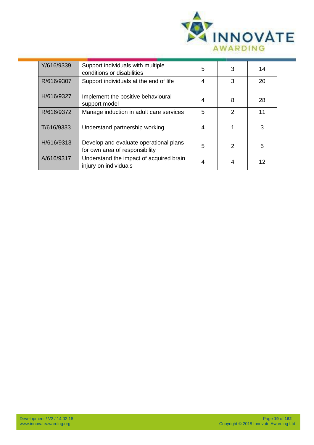

| Y/616/9339 | Support individuals with multiple<br>conditions or disabilities          | 5 | 3             | 14 |
|------------|--------------------------------------------------------------------------|---|---------------|----|
| R/616/9307 | Support individuals at the end of life                                   | 4 | 3             | 20 |
| H/616/9327 | Implement the positive behavioural<br>support model                      | 4 | 8             | 28 |
| R/616/9372 | Manage induction in adult care services                                  | 5 | $\mathcal{P}$ | 11 |
| T/616/9333 | Understand partnership working                                           | 4 |               | 3  |
| H/616/9313 | Develop and evaluate operational plans<br>for own area of responsibility | 5 | $\mathcal{P}$ | 5  |
| A/616/9317 | Understand the impact of acquired brain<br>injury on individuals         |   | 4             | 12 |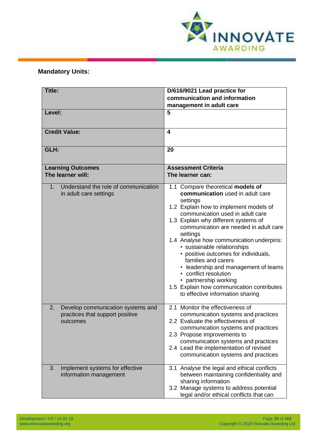<span id="page-19-1"></span>

## <span id="page-19-0"></span>**Mandatory Units:**

| <b>Title:</b>                                                                          | D/616/9021 Lead practice for<br>communication and information<br>management in adult care                                                                                                                                                                                                                                                                                                                                                                                                                                                                                          |
|----------------------------------------------------------------------------------------|------------------------------------------------------------------------------------------------------------------------------------------------------------------------------------------------------------------------------------------------------------------------------------------------------------------------------------------------------------------------------------------------------------------------------------------------------------------------------------------------------------------------------------------------------------------------------------|
| Level:                                                                                 | 5                                                                                                                                                                                                                                                                                                                                                                                                                                                                                                                                                                                  |
| <b>Credit Value:</b>                                                                   | 4                                                                                                                                                                                                                                                                                                                                                                                                                                                                                                                                                                                  |
| GLH:                                                                                   | 20                                                                                                                                                                                                                                                                                                                                                                                                                                                                                                                                                                                 |
| <b>Learning Outcomes</b><br>The learner will:                                          | <b>Assessment Criteria</b><br>The learner can:                                                                                                                                                                                                                                                                                                                                                                                                                                                                                                                                     |
| Understand the role of communication<br>1 <sub>1</sub><br>in adult care settings       | 1.1 Compare theoretical models of<br>communication used in adult care<br>settings<br>1.2 Explain how to implement models of<br>communication used in adult care<br>1.3 Explain why different systems of<br>communication are needed in adult care<br>settings<br>1.4 Analyse how communication underpins:<br>· sustainable relationships<br>• positive outcomes for individuals,<br>families and carers<br>• leadership and management of teams<br>• conflict resolution<br>• partnership working<br>1.5 Explain how communication contributes<br>to effective information sharing |
| Develop communication systems and<br>2.<br>practices that support positive<br>outcomes | 2.1 Monitor the effectiveness of<br>communication systems and practices<br>2.2 Evaluate the effectiveness of<br>communication systems and practices<br>2.3 Propose improvements to<br>communication systems and practices<br>2.4 Lead the implementation of revised<br>communication systems and practices                                                                                                                                                                                                                                                                         |
| Implement systems for effective<br>3.<br>information management                        | 3.1 Analyse the legal and ethical conflicts<br>between maintaining confidentiality and<br>sharing information<br>3.2 Manage systems to address potential<br>legal and/or ethical conflicts that can                                                                                                                                                                                                                                                                                                                                                                                |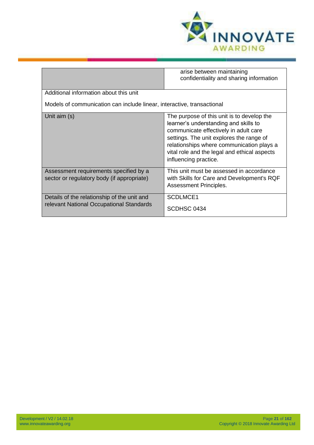

|                                                                                         | arise between maintaining<br>confidentiality and sharing information                                                                                                                                                                                                                           |  |  |
|-----------------------------------------------------------------------------------------|------------------------------------------------------------------------------------------------------------------------------------------------------------------------------------------------------------------------------------------------------------------------------------------------|--|--|
| Additional information about this unit                                                  |                                                                                                                                                                                                                                                                                                |  |  |
| Models of communication can include linear, interactive, transactional                  |                                                                                                                                                                                                                                                                                                |  |  |
| Unit aim (s)                                                                            | The purpose of this unit is to develop the<br>learner's understanding and skills to<br>communicate effectively in adult care<br>settings. The unit explores the range of<br>relationships where communication plays a<br>vital role and the legal and ethical aspects<br>influencing practice. |  |  |
| Assessment requirements specified by a<br>sector or regulatory body (if appropriate)    | This unit must be assessed in accordance<br>with Skills for Care and Development's RQF<br>Assessment Principles.                                                                                                                                                                               |  |  |
| Details of the relationship of the unit and<br>relevant National Occupational Standards | SCDLMCE1<br>SCDHSC 0434                                                                                                                                                                                                                                                                        |  |  |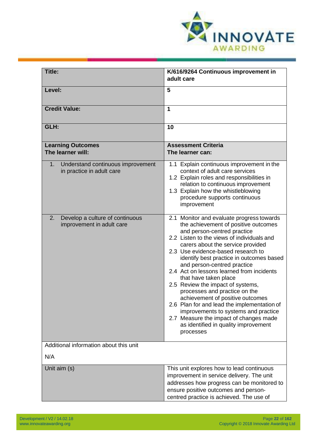<span id="page-21-0"></span>

| <b>Title:</b>                                                        | K/616/9264 Continuous improvement in<br>adult care                                                                                                                                                                                                                                                                                                                                                                                                                                                                                                                                                                                                                                         |
|----------------------------------------------------------------------|--------------------------------------------------------------------------------------------------------------------------------------------------------------------------------------------------------------------------------------------------------------------------------------------------------------------------------------------------------------------------------------------------------------------------------------------------------------------------------------------------------------------------------------------------------------------------------------------------------------------------------------------------------------------------------------------|
| Level:                                                               | 5                                                                                                                                                                                                                                                                                                                                                                                                                                                                                                                                                                                                                                                                                          |
|                                                                      |                                                                                                                                                                                                                                                                                                                                                                                                                                                                                                                                                                                                                                                                                            |
| <b>Credit Value:</b>                                                 | 1                                                                                                                                                                                                                                                                                                                                                                                                                                                                                                                                                                                                                                                                                          |
| GLH:                                                                 | 10                                                                                                                                                                                                                                                                                                                                                                                                                                                                                                                                                                                                                                                                                         |
| <b>Learning Outcomes</b><br>The learner will:                        | <b>Assessment Criteria</b><br>The learner can:                                                                                                                                                                                                                                                                                                                                                                                                                                                                                                                                                                                                                                             |
| 1.<br>Understand continuous improvement<br>in practice in adult care | 1.1 Explain continuous improvement in the<br>context of adult care services<br>1.2 Explain roles and responsibilities in<br>relation to continuous improvement<br>1.3 Explain how the whistleblowing<br>procedure supports continuous<br>improvement                                                                                                                                                                                                                                                                                                                                                                                                                                       |
| 2.<br>Develop a culture of continuous<br>improvement in adult care   | 2.1 Monitor and evaluate progress towards<br>the achievement of positive outcomes<br>and person-centred practice<br>2.2 Listen to the views of individuals and<br>carers about the service provided<br>2.3 Use evidence-based research to<br>identify best practice in outcomes based<br>and person-centred practice<br>2.4 Act on lessons learned from incidents<br>that have taken place<br>2.5 Review the impact of systems,<br>processes and practice on the<br>achievement of positive outcomes<br>2.6 Plan for and lead the implementation of<br>improvements to systems and practice<br>2.7 Measure the impact of changes made<br>as identified in quality improvement<br>processes |
| Additional information about this unit                               |                                                                                                                                                                                                                                                                                                                                                                                                                                                                                                                                                                                                                                                                                            |
| N/A                                                                  |                                                                                                                                                                                                                                                                                                                                                                                                                                                                                                                                                                                                                                                                                            |
| Unit aim (s)                                                         | This unit explores how to lead continuous<br>improvement in service delivery. The unit<br>addresses how progress can be monitored to<br>ensure positive outcomes and person-<br>centred practice is achieved. The use of                                                                                                                                                                                                                                                                                                                                                                                                                                                                   |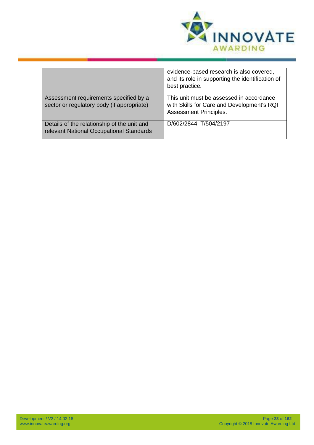

|                                                                                         | evidence-based research is also covered,<br>and its role in supporting the identification of<br>best practice.   |
|-----------------------------------------------------------------------------------------|------------------------------------------------------------------------------------------------------------------|
| Assessment requirements specified by a<br>sector or regulatory body (if appropriate)    | This unit must be assessed in accordance<br>with Skills for Care and Development's RQF<br>Assessment Principles. |
| Details of the relationship of the unit and<br>relevant National Occupational Standards | D/602/2844, T/504/2197                                                                                           |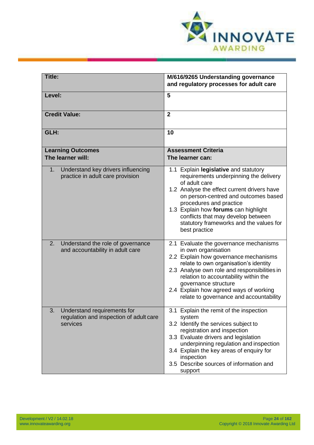<span id="page-23-0"></span>

| <b>Title:</b>                                                                            | M/616/9265 Understanding governance<br>and regulatory processes for adult care                                                                                                                                                                                                                                                                               |
|------------------------------------------------------------------------------------------|--------------------------------------------------------------------------------------------------------------------------------------------------------------------------------------------------------------------------------------------------------------------------------------------------------------------------------------------------------------|
| Level:                                                                                   | 5                                                                                                                                                                                                                                                                                                                                                            |
| <b>Credit Value:</b>                                                                     | $\overline{2}$                                                                                                                                                                                                                                                                                                                                               |
| GLH:                                                                                     | 10                                                                                                                                                                                                                                                                                                                                                           |
| <b>Learning Outcomes</b><br>The learner will:                                            | <b>Assessment Criteria</b><br>The learner can:                                                                                                                                                                                                                                                                                                               |
| Understand key drivers influencing<br>1.<br>practice in adult care provision             | 1.1 Explain legislative and statutory<br>requirements underpinning the delivery<br>of adult care<br>1.2 Analyse the effect current drivers have<br>on person-centred and outcomes based<br>procedures and practice<br>1.3 Explain how forums can highlight<br>conflicts that may develop between<br>statutory frameworks and the values for<br>best practice |
| Understand the role of governance<br>2.<br>and accountability in adult care              | 2.1 Evaluate the governance mechanisms<br>in own organisation<br>2.2 Explain how governance mechanisms<br>relate to own organisation's identity<br>2.3 Analyse own role and responsibilities in<br>relation to accountability within the<br>governance structure<br>2.4 Explain how agreed ways of working<br>relate to governance and accountability        |
| Understand requirements for<br>3.<br>regulation and inspection of adult care<br>services | 3.1 Explain the remit of the inspection<br>system<br>3.2 Identify the services subject to<br>registration and inspection<br>3.3 Evaluate drivers and legislation<br>underpinning regulation and inspection<br>3.4 Explain the key areas of enquiry for<br>inspection<br>3.5 Describe sources of information and<br>support                                   |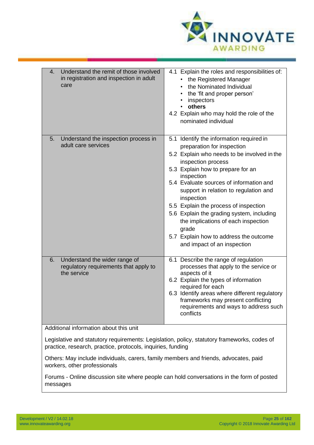

| Understand the remit of those involved<br>4.<br>in registration and inspection in adult<br>care | 4.1 Explain the roles and responsibilities of:<br>the Registered Manager<br>٠<br>the Nominated Individual<br>the 'fit and proper person'<br>inspectors<br>others<br>4.2 Explain who may hold the role of the<br>nominated individual                                                                                                                                                                                                                                                                            |
|-------------------------------------------------------------------------------------------------|-----------------------------------------------------------------------------------------------------------------------------------------------------------------------------------------------------------------------------------------------------------------------------------------------------------------------------------------------------------------------------------------------------------------------------------------------------------------------------------------------------------------|
| Understand the inspection process in<br>5.<br>adult care services                               | 5.1 Identify the information required in<br>preparation for inspection<br>5.2 Explain who needs to be involved in the<br>inspection process<br>5.3 Explain how to prepare for an<br>inspection<br>5.4 Evaluate sources of information and<br>support in relation to regulation and<br>inspection<br>5.5 Explain the process of inspection<br>5.6 Explain the grading system, including<br>the implications of each inspection<br>grade<br>5.7 Explain how to address the outcome<br>and impact of an inspection |
| Understand the wider range of<br>6.<br>regulatory requirements that apply to<br>the service     | 6.1 Describe the range of regulation<br>processes that apply to the service or<br>aspects of it<br>6.2 Explain the types of information<br>required for each<br>6.3 Identify areas where different regulatory<br>frameworks may present conflicting<br>requirements and ways to address such<br>conflicts                                                                                                                                                                                                       |
| Additional information about this unit                                                          |                                                                                                                                                                                                                                                                                                                                                                                                                                                                                                                 |
|                                                                                                 | Legislative and statutory requirements: Legislation, policy, statutory frameworks, codes of                                                                                                                                                                                                                                                                                                                                                                                                                     |

practice, research, practice, protocols, inquiries, funding

Others: May include individuals, carers, family members and friends, advocates, paid workers, other professionals

Forums - Online discussion site where people can hold conversations in the form of posted messages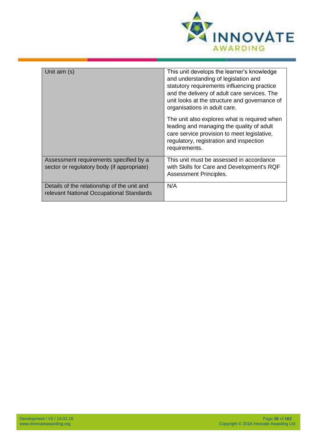

| Unit aim (s)                                                                            | This unit develops the learner's knowledge<br>and understanding of legislation and<br>statutory requirements influencing practice<br>and the delivery of adult care services. The<br>unit looks at the structure and governance of<br>organisations in adult care. |
|-----------------------------------------------------------------------------------------|--------------------------------------------------------------------------------------------------------------------------------------------------------------------------------------------------------------------------------------------------------------------|
|                                                                                         | The unit also explores what is required when<br>leading and managing the quality of adult<br>care service provision to meet legislative,<br>regulatory, registration and inspection<br>requirements.                                                               |
| Assessment requirements specified by a<br>sector or regulatory body (if appropriate)    | This unit must be assessed in accordance<br>with Skills for Care and Development's RQF<br>Assessment Principles.                                                                                                                                                   |
| Details of the relationship of the unit and<br>relevant National Occupational Standards | N/A                                                                                                                                                                                                                                                                |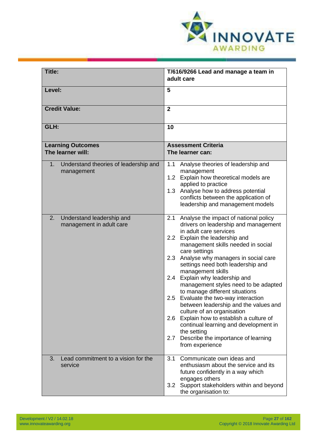<span id="page-26-0"></span>

| Title:                                                      | T/616/9266 Lead and manage a team in<br>adult care                                                                                                                                                                                                                                                                                                                                                                                                                                                                                                                                                                                                                                                               |
|-------------------------------------------------------------|------------------------------------------------------------------------------------------------------------------------------------------------------------------------------------------------------------------------------------------------------------------------------------------------------------------------------------------------------------------------------------------------------------------------------------------------------------------------------------------------------------------------------------------------------------------------------------------------------------------------------------------------------------------------------------------------------------------|
| Level:                                                      | 5                                                                                                                                                                                                                                                                                                                                                                                                                                                                                                                                                                                                                                                                                                                |
| <b>Credit Value:</b>                                        | $\overline{2}$                                                                                                                                                                                                                                                                                                                                                                                                                                                                                                                                                                                                                                                                                                   |
| GLH:                                                        | 10                                                                                                                                                                                                                                                                                                                                                                                                                                                                                                                                                                                                                                                                                                               |
| <b>Learning Outcomes</b><br>The learner will:               | <b>Assessment Criteria</b><br>The learner can:                                                                                                                                                                                                                                                                                                                                                                                                                                                                                                                                                                                                                                                                   |
| Understand theories of leadership and<br>1.<br>management   | Analyse theories of leadership and<br>1.1<br>management<br>1.2 Explain how theoretical models are<br>applied to practice<br>1.3 Analyse how to address potential<br>conflicts between the application of<br>leadership and management models                                                                                                                                                                                                                                                                                                                                                                                                                                                                     |
| 2.<br>Understand leadership and<br>management in adult care | Analyse the impact of national policy<br>2.1<br>drivers on leadership and management<br>in adult care services<br>2.2 Explain the leadership and<br>management skills needed in social<br>care settings<br>Analyse why managers in social care<br>2.3<br>settings need both leadership and<br>management skills<br>2.4 Explain why leadership and<br>management styles need to be adapted<br>to manage different situations<br>2.5 Evaluate the two-way interaction<br>between leadership and the values and<br>culture of an organisation<br>2.6 Explain how to establish a culture of<br>continual learning and development in<br>the setting<br>Describe the importance of learning<br>2.7<br>from experience |
| Lead commitment to a vision for the<br>3.<br>service        | 3.1<br>Communicate own ideas and<br>enthusiasm about the service and its<br>future confidently in a way which<br>engages others<br>Support stakeholders within and beyond<br>3.2 <sub>2</sub><br>the organisation to:                                                                                                                                                                                                                                                                                                                                                                                                                                                                                            |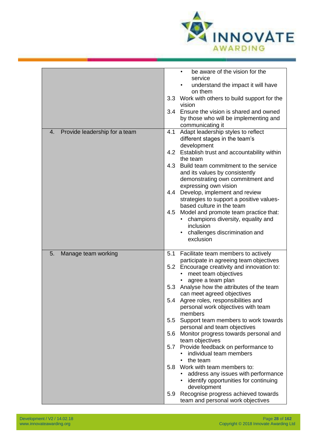

|                                     | be aware of the vision for the<br>$\bullet$                                 |
|-------------------------------------|-----------------------------------------------------------------------------|
|                                     | service                                                                     |
|                                     | understand the impact it will have<br>on them                               |
|                                     | 3.3 Work with others to build support for the<br>vision                     |
|                                     | 3.4 Ensure the vision is shared and owned                                   |
|                                     | by those who will be implementing and                                       |
|                                     | communicating it                                                            |
| Provide leadership for a team<br>4. | Adapt leadership styles to reflect<br>4.1                                   |
|                                     | different stages in the team's                                              |
|                                     | development                                                                 |
|                                     | 4.2 Establish trust and accountability within                               |
|                                     | the team                                                                    |
|                                     | Build team commitment to the service<br>4.3                                 |
|                                     | and its values by consistently                                              |
|                                     | demonstrating own commitment and                                            |
|                                     | expressing own vision<br>Develop, implement and review<br>4.4               |
|                                     | strategies to support a positive values-                                    |
|                                     | based culture in the team                                                   |
|                                     | Model and promote team practice that:<br>4.5                                |
|                                     | champions diversity, equality and                                           |
|                                     | inclusion                                                                   |
|                                     | challenges discrimination and<br>exclusion                                  |
|                                     |                                                                             |
| Manage team working<br>5.           | Facilitate team members to actively<br>5.1                                  |
|                                     | participate in agreeing team objectives                                     |
|                                     | 5.2 Encourage creativity and innovation to:                                 |
|                                     | meet team objectives                                                        |
|                                     | agree a team plan                                                           |
|                                     | Analyse how the attributes of the team<br>5.3<br>can meet agreed objectives |
|                                     | 5.4 Agree roles, responsibilities and                                       |
|                                     | personal work objectives with team                                          |
|                                     | members                                                                     |
|                                     | 5.5<br>Support team members to work towards                                 |
|                                     | personal and team objectives                                                |
|                                     | Monitor progress towards personal and<br>5.6                                |
|                                     | team objectives                                                             |
|                                     | Provide feedback on performance to<br>5.7                                   |
|                                     | individual team members                                                     |
|                                     | the team<br>$\bullet$                                                       |
|                                     | Work with team members to:<br>5.8<br>address any issues with performance    |
|                                     | identify opportunities for continuing                                       |
|                                     | development                                                                 |
|                                     | 5.9 Recognise progress achieved towards                                     |
|                                     | team and personal work objectives                                           |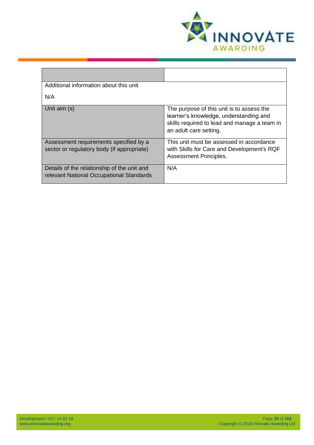

| Additional information about this unit                                                  |                                                                                                                                                               |
|-----------------------------------------------------------------------------------------|---------------------------------------------------------------------------------------------------------------------------------------------------------------|
| N/A                                                                                     |                                                                                                                                                               |
| Unit aim (s)                                                                            | The purpose of this unit is to assess the<br>learner's knowledge, understanding and<br>skills required to lead and manage a team in<br>an adult care setting. |
| Assessment requirements specified by a<br>sector or regulatory body (if appropriate)    | This unit must be assessed in accordance<br>with Skills for Care and Development's RQF<br><b>Assessment Principles.</b>                                       |
| Details of the relationship of the unit and<br>relevant National Occupational Standards | N/A                                                                                                                                                           |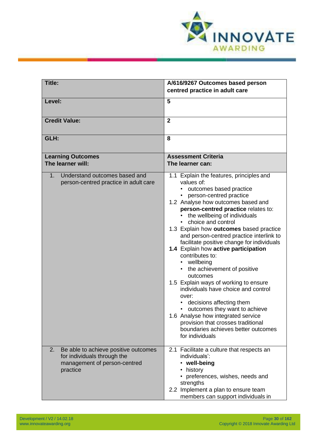<span id="page-29-0"></span>

| <b>Title:</b>                                                                                                         | A/616/9267 Outcomes based person<br>centred practice in adult care                                                                                                                                                                                                                                                                                                                                                                                                                                                                                                                                                                                                                                                                                                                                    |
|-----------------------------------------------------------------------------------------------------------------------|-------------------------------------------------------------------------------------------------------------------------------------------------------------------------------------------------------------------------------------------------------------------------------------------------------------------------------------------------------------------------------------------------------------------------------------------------------------------------------------------------------------------------------------------------------------------------------------------------------------------------------------------------------------------------------------------------------------------------------------------------------------------------------------------------------|
| Level:                                                                                                                | 5                                                                                                                                                                                                                                                                                                                                                                                                                                                                                                                                                                                                                                                                                                                                                                                                     |
| <b>Credit Value:</b>                                                                                                  | $\overline{2}$                                                                                                                                                                                                                                                                                                                                                                                                                                                                                                                                                                                                                                                                                                                                                                                        |
| GLH:                                                                                                                  | 8                                                                                                                                                                                                                                                                                                                                                                                                                                                                                                                                                                                                                                                                                                                                                                                                     |
| <b>Learning Outcomes</b><br>The learner will:                                                                         | <b>Assessment Criteria</b><br>The learner can:                                                                                                                                                                                                                                                                                                                                                                                                                                                                                                                                                                                                                                                                                                                                                        |
| Understand outcomes based and<br>1.<br>person-centred practice in adult care                                          | 1.1 Explain the features, principles and<br>values of:<br>outcomes based practice<br>person-centred practice<br>1.2 Analyse how outcomes based and<br>person-centred practice relates to:<br>the wellbeing of individuals<br>choice and control<br>1.3 Explain how outcomes based practice<br>and person-centred practice interlink to<br>facilitate positive change for individuals<br>1.4 Explain how active participation<br>contributes to:<br>wellbeing<br>• the achievement of positive<br>outcomes<br>1.5 Explain ways of working to ensure<br>individuals have choice and control<br>over:<br>decisions affecting them<br>outcomes they want to achieve<br>1.6 Analyse how integrated service<br>provision that crosses traditional<br>boundaries achieves better outcomes<br>for individuals |
| Be able to achieve positive outcomes<br>2.<br>for individuals through the<br>management of person-centred<br>practice | 2.1 Facilitate a culture that respects an<br>individuals':<br>well-being<br>$\bullet$<br>history<br>• preferences, wishes, needs and<br>strengths<br>2.2 Implement a plan to ensure team<br>members can support individuals in                                                                                                                                                                                                                                                                                                                                                                                                                                                                                                                                                                        |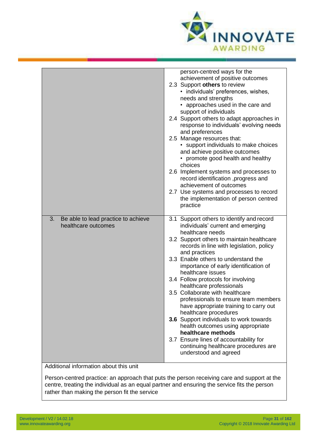

|                                                                  | person-centred ways for the<br>achievement of positive outcomes<br>2.3 Support others to review<br>• individuals' preferences, wishes,<br>needs and strengths                                                                                 |
|------------------------------------------------------------------|-----------------------------------------------------------------------------------------------------------------------------------------------------------------------------------------------------------------------------------------------|
|                                                                  | • approaches used in the care and<br>support of individuals<br>2.4 Support others to adapt approaches in<br>response to individuals' evolving needs<br>and preferences<br>2.5 Manage resources that:<br>• support individuals to make choices |
|                                                                  | and achieve positive outcomes<br>• promote good health and healthy<br>choices                                                                                                                                                                 |
|                                                                  | 2.6 Implement systems and processes to<br>record identification, progress and<br>achievement of outcomes                                                                                                                                      |
|                                                                  | 2.7 Use systems and processes to record<br>the implementation of person centred<br>practice                                                                                                                                                   |
| 3.<br>Be able to lead practice to achieve<br>healthcare outcomes | 3.1 Support others to identify and record<br>individuals' current and emerging<br>healthcare needs                                                                                                                                            |
|                                                                  | 3.2 Support others to maintain healthcare<br>records in line with legislation, policy<br>and practices                                                                                                                                        |
|                                                                  | 3.3 Enable others to understand the<br>importance of early identification of<br>healthcare issues                                                                                                                                             |
|                                                                  | 3.4 Follow protocols for involving<br>healthcare professionals                                                                                                                                                                                |
|                                                                  | 3.5 Collaborate with healthcare<br>professionals to ensure team members<br>have appropriate training to carry out<br>healthcare procedures                                                                                                    |
|                                                                  | 3.6 Support individuals to work towards<br>health outcomes using appropriate<br>healthcare methods                                                                                                                                            |
|                                                                  | 3.7 Ensure lines of accountability for<br>continuing healthcare procedures are<br>understood and agreed                                                                                                                                       |
| Additional information about this unit                           |                                                                                                                                                                                                                                               |

Person-centred practice: an approach that puts the person receiving care and support at the centre, treating the individual as an equal partner and ensuring the service fits the person rather than making the person fit the service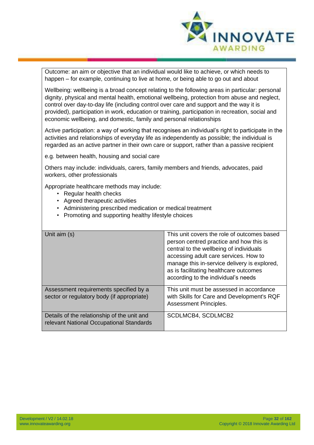

Outcome: an aim or objective that an individual would like to achieve, or which needs to happen – for example, continuing to live at home, or being able to go out and about

Wellbeing: wellbeing is a broad concept relating to the following areas in particular: personal dignity, physical and mental health, emotional wellbeing, protection from abuse and neglect, control over day-to-day life (including control over care and support and the way it is provided), participation in work, education or training, participation in recreation, social and economic wellbeing, and domestic, family and personal relationships

Active participation: a way of working that recognises an individual's right to participate in the activities and relationships of everyday life as independently as possible; the individual is regarded as an active partner in their own care or support, rather than a passive recipient

e.g. between health, housing and social care

Others may include: individuals, carers, family members and friends, advocates, paid workers, other professionals

Appropriate healthcare methods may include:

- Regular health checks
- Agreed therapeutic activities
- Administering prescribed medication or medical treatment
- Promoting and supporting healthy lifestyle choices

| Unit aim (s)                                                                            | This unit covers the role of outcomes based<br>person centred practice and how this is<br>central to the wellbeing of individuals<br>accessing adult care services. How to<br>manage this in-service delivery is explored,<br>as is facilitating healthcare outcomes<br>according to the individual's needs |
|-----------------------------------------------------------------------------------------|-------------------------------------------------------------------------------------------------------------------------------------------------------------------------------------------------------------------------------------------------------------------------------------------------------------|
| Assessment requirements specified by a<br>sector or regulatory body (if appropriate)    | This unit must be assessed in accordance<br>with Skills for Care and Development's RQF<br>Assessment Principles.                                                                                                                                                                                            |
| Details of the relationship of the unit and<br>relevant National Occupational Standards | SCDLMCB4, SCDLMCB2                                                                                                                                                                                                                                                                                          |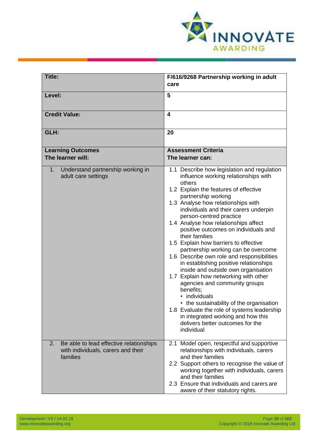<span id="page-32-0"></span>

| <b>Title:</b>                                                                                   | F/616/9268 Partnership working in adult                                                                                                                                                                                                                                                                                                                                                                                                                                                                                                                                                                                                                                                                                                                                                                                                                                           |
|-------------------------------------------------------------------------------------------------|-----------------------------------------------------------------------------------------------------------------------------------------------------------------------------------------------------------------------------------------------------------------------------------------------------------------------------------------------------------------------------------------------------------------------------------------------------------------------------------------------------------------------------------------------------------------------------------------------------------------------------------------------------------------------------------------------------------------------------------------------------------------------------------------------------------------------------------------------------------------------------------|
|                                                                                                 | care                                                                                                                                                                                                                                                                                                                                                                                                                                                                                                                                                                                                                                                                                                                                                                                                                                                                              |
| Level:                                                                                          | 5                                                                                                                                                                                                                                                                                                                                                                                                                                                                                                                                                                                                                                                                                                                                                                                                                                                                                 |
| <b>Credit Value:</b>                                                                            | $\overline{\mathbf{4}}$                                                                                                                                                                                                                                                                                                                                                                                                                                                                                                                                                                                                                                                                                                                                                                                                                                                           |
| GLH:                                                                                            | 20                                                                                                                                                                                                                                                                                                                                                                                                                                                                                                                                                                                                                                                                                                                                                                                                                                                                                |
| <b>Learning Outcomes</b><br>The learner will:                                                   | <b>Assessment Criteria</b><br>The learner can:                                                                                                                                                                                                                                                                                                                                                                                                                                                                                                                                                                                                                                                                                                                                                                                                                                    |
| Understand partnership working in<br>1.<br>adult care settings                                  | 1.1 Describe how legislation and regulation<br>influence working relationships with<br>others<br>1.2 Explain the features of effective<br>partnership working<br>1.3 Analyse how relationships with<br>individuals and their carers underpin<br>person-centred practice<br>1.4 Analyse how relationships affect<br>positive outcomes on individuals and<br>their families<br>1.5 Explain how barriers to effective<br>partnership working can be overcome<br>1.6 Describe own role and responsibilities<br>in establishing positive relationships<br>inside and outside own organisation<br>1.7 Explain how networking with other<br>agencies and community groups<br>benefits;<br>individuals<br>• the sustainability of the organisation<br>1.8 Evaluate the role of systems leadership<br>in integrated working and how this<br>delivers better outcomes for the<br>individual |
| Be able to lead effective relationships<br>2.<br>with individuals, carers and their<br>families | 2.1 Model open, respectful and supportive<br>relationships with individuals, carers<br>and their families<br>2.2 Support others to recognise the value of<br>working together with individuals, carers<br>and their families<br>2.3 Ensure that individuals and carers are<br>aware of their statutory rights.                                                                                                                                                                                                                                                                                                                                                                                                                                                                                                                                                                    |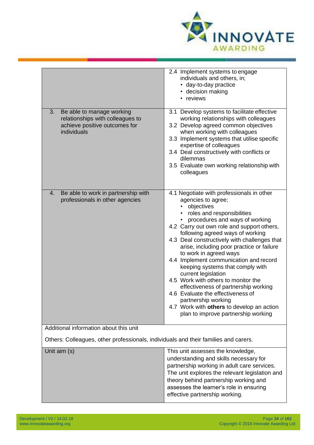

|                                                                                                                     | 2.4 Implement systems to engage<br>individuals and others, in;<br>• day-to-day practice<br>• decision making<br>• reviews                                                                                                                                                                                                                                                                                                                                                                                                                                                                                                                                                                    |
|---------------------------------------------------------------------------------------------------------------------|----------------------------------------------------------------------------------------------------------------------------------------------------------------------------------------------------------------------------------------------------------------------------------------------------------------------------------------------------------------------------------------------------------------------------------------------------------------------------------------------------------------------------------------------------------------------------------------------------------------------------------------------------------------------------------------------|
| Be able to manage working<br>3.<br>relationships with colleagues to<br>achieve positive outcomes for<br>individuals | 3.1 Develop systems to facilitate effective<br>working relationships with colleagues<br>3.2 Develop agreed common objectives<br>when working with colleagues<br>3.3 Implement systems that utilise specific<br>expertise of colleagues<br>3.4 Deal constructively with conflicts or<br>dilemmas<br>3.5 Evaluate own working relationship with<br>colleagues                                                                                                                                                                                                                                                                                                                                  |
| Be able to work in partnership with<br>4.<br>professionals in other agencies                                        | 4.1 Negotiate with professionals in other<br>agencies to agree;<br>objectives<br>• roles and responsibilities<br>procedures and ways of working<br>4.2 Carry out own role and support others,<br>following agreed ways of working<br>4.3 Deal constructively with challenges that<br>arise, including poor practice or failure<br>to work in agreed ways<br>4.4 Implement communication and record<br>keeping systems that comply with<br>current legislation<br>4.5 Work with others to monitor the<br>effectiveness of partnership working<br>4.6 Evaluate the effectiveness of<br>partnership working<br>4.7 Work with others to develop an action<br>plan to improve partnership working |
| Additional information about this unit                                                                              |                                                                                                                                                                                                                                                                                                                                                                                                                                                                                                                                                                                                                                                                                              |
| Others: Colleagues, other professionals, individuals and their families and carers.                                 |                                                                                                                                                                                                                                                                                                                                                                                                                                                                                                                                                                                                                                                                                              |
| Unit aim (s)                                                                                                        | This unit assesses the knowledge,<br>understanding and skills necessary for<br>partnership working in adult care services.<br>The unit explores the relevant legislation and<br>theory behind partnership working and<br>assesses the learner's role in ensuring<br>effective partnership working.                                                                                                                                                                                                                                                                                                                                                                                           |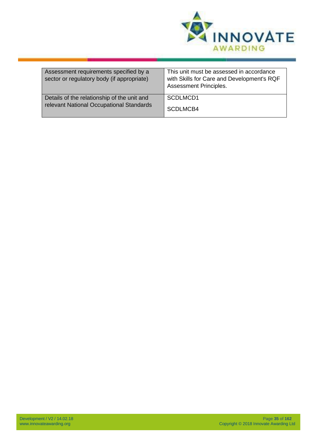

| Assessment requirements specified by a<br>sector or regulatory body (if appropriate) | This unit must be assessed in accordance<br>with Skills for Care and Development's RQF<br><b>Assessment Principles.</b> |
|--------------------------------------------------------------------------------------|-------------------------------------------------------------------------------------------------------------------------|
| Details of the relationship of the unit and                                          | SCDLMCD1                                                                                                                |
| relevant National Occupational Standards                                             | SCDLMCB4                                                                                                                |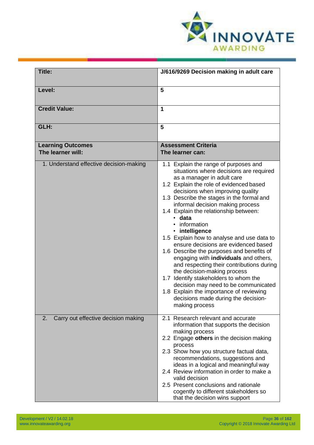<span id="page-35-0"></span>

| Title:                                        | J/616/9269 Decision making in adult care                                                                                                                                                                                                                                                                                                                                                                                                                                                                                                                                                                                                                                                                                                                                                                               |
|-----------------------------------------------|------------------------------------------------------------------------------------------------------------------------------------------------------------------------------------------------------------------------------------------------------------------------------------------------------------------------------------------------------------------------------------------------------------------------------------------------------------------------------------------------------------------------------------------------------------------------------------------------------------------------------------------------------------------------------------------------------------------------------------------------------------------------------------------------------------------------|
| Level:                                        | 5                                                                                                                                                                                                                                                                                                                                                                                                                                                                                                                                                                                                                                                                                                                                                                                                                      |
| <b>Credit Value:</b>                          | 1                                                                                                                                                                                                                                                                                                                                                                                                                                                                                                                                                                                                                                                                                                                                                                                                                      |
| GLH:                                          | 5                                                                                                                                                                                                                                                                                                                                                                                                                                                                                                                                                                                                                                                                                                                                                                                                                      |
| <b>Learning Outcomes</b><br>The learner will: | <b>Assessment Criteria</b><br>The learner can:                                                                                                                                                                                                                                                                                                                                                                                                                                                                                                                                                                                                                                                                                                                                                                         |
| 1. Understand effective decision-making       | 1.1 Explain the range of purposes and<br>situations where decisions are required<br>as a manager in adult care<br>1.2 Explain the role of evidenced based<br>decisions when improving quality<br>1.3 Describe the stages in the formal and<br>informal decision making process<br>1.4 Explain the relationship between:<br>· data<br>information<br>• intelligence<br>1.5 Explain how to analyse and use data to<br>ensure decisions are evidenced based<br>1.6 Describe the purposes and benefits of<br>engaging with <b>individuals</b> and others,<br>and respecting their contributions during<br>the decision-making process<br>1.7 Identify stakeholders to whom the<br>decision may need to be communicated<br>1.8 Explain the importance of reviewing<br>decisions made during the decision-<br>making process |
| Carry out effective decision making<br>2.     | 2.1 Research relevant and accurate<br>information that supports the decision<br>making process<br>2.2 Engage others in the decision making<br>process<br>2.3 Show how you structure factual data,<br>recommendations, suggestions and<br>ideas in a logical and meaningful way<br>2.4 Review information in order to make a<br>valid decision<br>2.5 Present conclusions and rationale<br>cogently to different stakeholders so<br>that the decision wins support                                                                                                                                                                                                                                                                                                                                                      |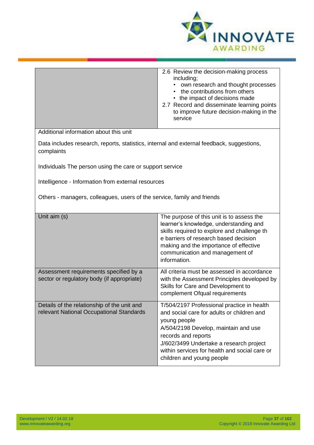

|                                                                                                         | 2.6 Review the decision-making process<br>including;<br>own research and thought processes<br>the contributions from others<br>• the impact of decisions made<br>2.7 Record and disseminate learning points<br>to improve future decision-making in the<br>service       |
|---------------------------------------------------------------------------------------------------------|--------------------------------------------------------------------------------------------------------------------------------------------------------------------------------------------------------------------------------------------------------------------------|
| Additional information about this unit                                                                  |                                                                                                                                                                                                                                                                          |
| Data includes research, reports, statistics, internal and external feedback, suggestions,<br>complaints |                                                                                                                                                                                                                                                                          |
| Individuals The person using the care or support service                                                |                                                                                                                                                                                                                                                                          |
| Intelligence - Information from external resources                                                      |                                                                                                                                                                                                                                                                          |
| Others - managers, colleagues, users of the service, family and friends                                 |                                                                                                                                                                                                                                                                          |
| Unit aim (s)                                                                                            | The purpose of this unit is to assess the<br>learner's knowledge, understanding and<br>skills required to explore and challenge th<br>e barriers of research based decision<br>making and the importance of effective<br>communication and management of<br>information. |
| Assessment requirements specified by a<br>sector or regulatory body (if appropriate)                    | All criteria must be assessed in accordance<br>with the Assessment Principles developed by<br>Skills for Care and Development to<br>complement Ofqual requirements                                                                                                       |
| Details of the relationship of the unit and<br>relevant National Occupational Standards                 | T/504/2197 Professional practice in health<br>and social care for adults or children and<br>young people<br>A/504/2198 Develop, maintain and use<br>records and reports                                                                                                  |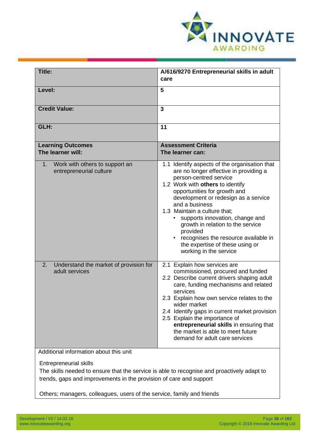

| Title:                                                                                                                                                                                                                                                                      | A/616/9270 Entrepreneurial skills in adult<br>care                                                                                                                                                                                                                                                                                                                                                                                                                       |
|-----------------------------------------------------------------------------------------------------------------------------------------------------------------------------------------------------------------------------------------------------------------------------|--------------------------------------------------------------------------------------------------------------------------------------------------------------------------------------------------------------------------------------------------------------------------------------------------------------------------------------------------------------------------------------------------------------------------------------------------------------------------|
|                                                                                                                                                                                                                                                                             |                                                                                                                                                                                                                                                                                                                                                                                                                                                                          |
| Level:                                                                                                                                                                                                                                                                      | 5                                                                                                                                                                                                                                                                                                                                                                                                                                                                        |
| <b>Credit Value:</b>                                                                                                                                                                                                                                                        | 3                                                                                                                                                                                                                                                                                                                                                                                                                                                                        |
| GLH:                                                                                                                                                                                                                                                                        | 11                                                                                                                                                                                                                                                                                                                                                                                                                                                                       |
| <b>Learning Outcomes</b><br>The learner will:                                                                                                                                                                                                                               | <b>Assessment Criteria</b><br>The learner can:                                                                                                                                                                                                                                                                                                                                                                                                                           |
| Work with others to support an<br>1.<br>entrepreneurial culture                                                                                                                                                                                                             | 1.1 Identify aspects of the organisation that<br>are no longer effective in providing a<br>person-centred service<br>1.2 Work with others to identify<br>opportunities for growth and<br>development or redesign as a service<br>and a business<br>1.3 Maintain a culture that;<br>supports innovation, change and<br>growth in relation to the service<br>provided<br>recognises the resource available in<br>the expertise of these using or<br>working in the service |
| Understand the market of provision for<br>2.<br>adult services                                                                                                                                                                                                              | 2.1 Explain how services are<br>commissioned, procured and funded<br>2.2 Describe current drivers shaping adult<br>care, funding mechanisms and related<br>services<br>2.3 Explain how own service relates to the<br>wider market<br>2.4 Identify gaps in current market provision<br>2.5 Explain the importance of<br>entrepreneurial skills in ensuring that<br>the market is able to meet future<br>demand for adult care services                                    |
| Additional information about this unit                                                                                                                                                                                                                                      |                                                                                                                                                                                                                                                                                                                                                                                                                                                                          |
| <b>Entrepreneurial skills</b><br>The skills needed to ensure that the service is able to recognise and proactively adapt to<br>trends, gaps and improvements in the provision of care and support<br>Others; managers, colleagues, users of the service, family and friends |                                                                                                                                                                                                                                                                                                                                                                                                                                                                          |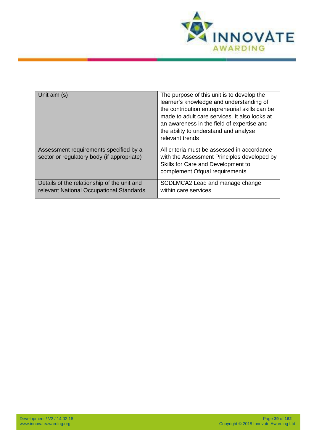

| Unit aim (s)                                                                            | The purpose of this unit is to develop the<br>learner's knowledge and understanding of<br>the contribution entrepreneurial skills can be<br>made to adult care services. It also looks at<br>an awareness in the field of expertise and<br>the ability to understand and analyse<br>relevant trends |
|-----------------------------------------------------------------------------------------|-----------------------------------------------------------------------------------------------------------------------------------------------------------------------------------------------------------------------------------------------------------------------------------------------------|
| Assessment requirements specified by a<br>sector or regulatory body (if appropriate)    | All criteria must be assessed in accordance<br>with the Assessment Principles developed by<br>Skills for Care and Development to<br>complement Ofqual requirements                                                                                                                                  |
| Details of the relationship of the unit and<br>relevant National Occupational Standards | SCDLMCA2 Lead and manage change<br>within care services                                                                                                                                                                                                                                             |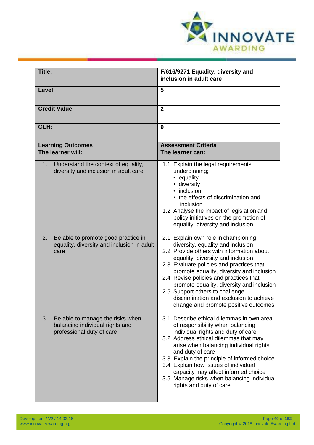

| <b>Title:</b>                                                                                          | F/616/9271 Equality, diversity and                                                                                                                                                                                                                                                                                                                                                                                                                               |
|--------------------------------------------------------------------------------------------------------|------------------------------------------------------------------------------------------------------------------------------------------------------------------------------------------------------------------------------------------------------------------------------------------------------------------------------------------------------------------------------------------------------------------------------------------------------------------|
|                                                                                                        | inclusion in adult care                                                                                                                                                                                                                                                                                                                                                                                                                                          |
| Level:                                                                                                 | 5                                                                                                                                                                                                                                                                                                                                                                                                                                                                |
| <b>Credit Value:</b>                                                                                   | $\overline{2}$                                                                                                                                                                                                                                                                                                                                                                                                                                                   |
| GLH:                                                                                                   | 9                                                                                                                                                                                                                                                                                                                                                                                                                                                                |
| <b>Learning Outcomes</b><br>The learner will:                                                          | <b>Assessment Criteria</b><br>The learner can:                                                                                                                                                                                                                                                                                                                                                                                                                   |
| Understand the context of equality,<br>$1_{-}$<br>diversity and inclusion in adult care                | 1.1 Explain the legal requirements<br>underpinning;<br>equality<br>diversity<br>inclusion<br>• the effects of discrimination and<br>inclusion<br>1.2 Analyse the impact of legislation and<br>policy initiatives on the promotion of<br>equality, diversity and inclusion                                                                                                                                                                                        |
| 2.<br>Be able to promote good practice in<br>equality, diversity and inclusion in adult<br>care        | 2.1 Explain own role in championing<br>diversity, equality and inclusion<br>2.2 Provide others with information about<br>equality, diversity and inclusion<br>2.3 Evaluate policies and practices that<br>promote equality, diversity and inclusion<br>2.4 Revise policies and practices that<br>promote equality, diversity and inclusion<br>2.5 Support others to challenge<br>discrimination and exclusion to achieve<br>change and promote positive outcomes |
| Be able to manage the risks when<br>3.<br>balancing individual rights and<br>professional duty of care | 3.1 Describe ethical dilemmas in own area<br>of responsibility when balancing<br>individual rights and duty of care<br>3.2 Address ethical dilemmas that may<br>arise when balancing individual rights<br>and duty of care<br>3.3 Explain the principle of informed choice<br>3.4 Explain how issues of individual<br>capacity may affect informed choice<br>3.5 Manage risks when balancing individual<br>rights and duty of care                               |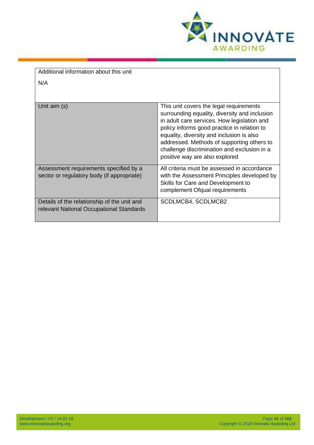

| Additional information about this unit                                                  |                                                                                                                                                                                                                                                                                                                                                                    |
|-----------------------------------------------------------------------------------------|--------------------------------------------------------------------------------------------------------------------------------------------------------------------------------------------------------------------------------------------------------------------------------------------------------------------------------------------------------------------|
|                                                                                         |                                                                                                                                                                                                                                                                                                                                                                    |
| N/A                                                                                     |                                                                                                                                                                                                                                                                                                                                                                    |
|                                                                                         |                                                                                                                                                                                                                                                                                                                                                                    |
|                                                                                         |                                                                                                                                                                                                                                                                                                                                                                    |
| Unit aim (s)                                                                            | This unit covers the legal requirements<br>surrounding equality, diversity and inclusion<br>in adult care services. How legislation and<br>policy informs good practice in relation to<br>equality, diversity and inclusion is also<br>addressed. Methods of supporting others to<br>challenge discrimination and exclusion in a<br>positive way are also explored |
| Assessment requirements specified by a<br>sector or regulatory body (if appropriate)    | All criteria must be assessed in accordance<br>with the Assessment Principles developed by<br>Skills for Care and Development to<br>complement Ofqual requirements                                                                                                                                                                                                 |
| Details of the relationship of the unit and<br>relevant National Occupational Standards | SCDLMCB4, SCDLMCB2                                                                                                                                                                                                                                                                                                                                                 |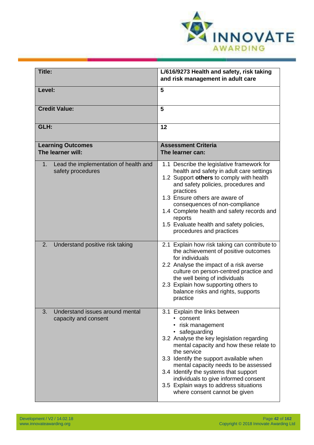

| Title:                                                           | L/616/9273 Health and safety, risk taking<br>and risk management in adult care                                                                                                                                                                                                                                                                                                                                                          |
|------------------------------------------------------------------|-----------------------------------------------------------------------------------------------------------------------------------------------------------------------------------------------------------------------------------------------------------------------------------------------------------------------------------------------------------------------------------------------------------------------------------------|
| Level:                                                           | 5                                                                                                                                                                                                                                                                                                                                                                                                                                       |
| <b>Credit Value:</b>                                             | 5                                                                                                                                                                                                                                                                                                                                                                                                                                       |
| GLH:                                                             | 12                                                                                                                                                                                                                                                                                                                                                                                                                                      |
| <b>Learning Outcomes</b><br>The learner will:                    | <b>Assessment Criteria</b><br>The learner can:                                                                                                                                                                                                                                                                                                                                                                                          |
| Lead the implementation of health and<br>1.<br>safety procedures | 1.1 Describe the legislative framework for<br>health and safety in adult care settings<br>1.2 Support others to comply with health<br>and safety policies, procedures and<br>practices<br>1.3 Ensure others are aware of<br>consequences of non-compliance<br>1.4 Complete health and safety records and<br>reports<br>1.5 Evaluate health and safety policies,<br>procedures and practices                                             |
| Understand positive risk taking<br>2.                            | 2.1 Explain how risk taking can contribute to<br>the achievement of positive outcomes<br>for individuals<br>2.2 Analyse the impact of a risk averse<br>culture on person-centred practice and<br>the well being of individuals<br>2.3 Explain how supporting others to<br>balance risks and rights, supports<br>practice                                                                                                                |
| Understand issues around mental<br>3.<br>capacity and consent    | 3.1 Explain the links between<br>• consent<br>• risk management<br>· safeguarding<br>3.2 Analyse the key legislation regarding<br>mental capacity and how these relate to<br>the service<br>3.3 Identify the support available when<br>mental capacity needs to be assessed<br>3.4 Identify the systems that support<br>individuals to give informed consent<br>3.5 Explain ways to address situations<br>where consent cannot be given |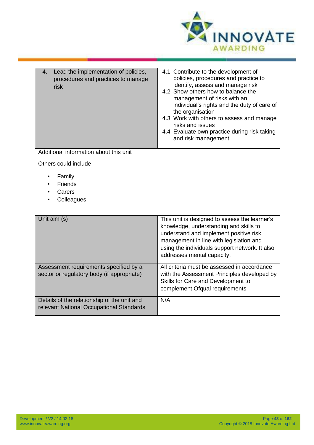

| Lead the implementation of policies,<br>4.<br>procedures and practices to manage<br>risk | 4.1 Contribute to the development of<br>policies, procedures and practice to<br>identify, assess and manage risk<br>4.2 Show others how to balance the<br>management of risks with an<br>individual's rights and the duty of care of<br>the organisation<br>4.3 Work with others to assess and manage<br>risks and issues<br>4.4 Evaluate own practice during risk taking<br>and risk management |
|------------------------------------------------------------------------------------------|--------------------------------------------------------------------------------------------------------------------------------------------------------------------------------------------------------------------------------------------------------------------------------------------------------------------------------------------------------------------------------------------------|
| Additional information about this unit                                                   |                                                                                                                                                                                                                                                                                                                                                                                                  |
| Others could include                                                                     |                                                                                                                                                                                                                                                                                                                                                                                                  |
| Family<br>Friends<br>Carers<br>Colleagues                                                |                                                                                                                                                                                                                                                                                                                                                                                                  |
| Unit aim (s)                                                                             | This unit is designed to assess the learner's<br>knowledge, understanding and skills to<br>understand and implement positive risk<br>management in line with legislation and<br>using the individuals support network. It also<br>addresses mental capacity.                                                                                                                                     |
| Assessment requirements specified by a<br>sector or regulatory body (if appropriate)     | All criteria must be assessed in accordance<br>with the Assessment Principles developed by<br>Skills for Care and Development to<br>complement Ofqual requirements                                                                                                                                                                                                                               |
| Details of the relationship of the unit and<br>relevant National Occupational Standards  | N/A                                                                                                                                                                                                                                                                                                                                                                                              |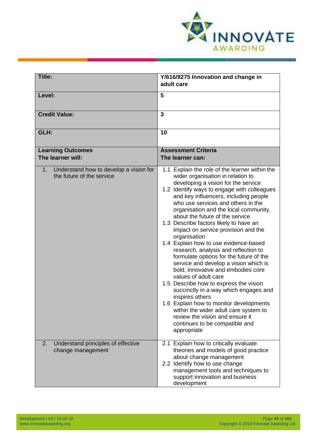

| Title:                                                                    | Y/616/9275 Innovation and change in<br>adult care                                                                                                                                                                                                                                                                                                                                                                                                                                                                                                                                                                                                                                                                                                                                                                                                                                                                                                      |
|---------------------------------------------------------------------------|--------------------------------------------------------------------------------------------------------------------------------------------------------------------------------------------------------------------------------------------------------------------------------------------------------------------------------------------------------------------------------------------------------------------------------------------------------------------------------------------------------------------------------------------------------------------------------------------------------------------------------------------------------------------------------------------------------------------------------------------------------------------------------------------------------------------------------------------------------------------------------------------------------------------------------------------------------|
| Level:                                                                    | 5                                                                                                                                                                                                                                                                                                                                                                                                                                                                                                                                                                                                                                                                                                                                                                                                                                                                                                                                                      |
| <b>Credit Value:</b>                                                      | $\overline{3}$                                                                                                                                                                                                                                                                                                                                                                                                                                                                                                                                                                                                                                                                                                                                                                                                                                                                                                                                         |
| GLH:                                                                      | 10                                                                                                                                                                                                                                                                                                                                                                                                                                                                                                                                                                                                                                                                                                                                                                                                                                                                                                                                                     |
| <b>Learning Outcomes</b><br>The learner will:                             | <b>Assessment Criteria</b><br>The learner can:                                                                                                                                                                                                                                                                                                                                                                                                                                                                                                                                                                                                                                                                                                                                                                                                                                                                                                         |
| Understand how to develop a vision for<br>1.<br>the future of the service | 1.1 Explain the role of the learner within the<br>wider organisation in relation to<br>developing a vision for the service<br>1.2 Identify ways to engage with colleagues<br>and key influencers, including people<br>who use services and others in the<br>organisation and the local community,<br>about the future of the service<br>1.3 Describe factors likely to have an<br>impact on service provision and the<br>organisation<br>1.4 Explain how to use evidence-based<br>research, analysis and reflection to<br>formulate options for the future of the<br>service and develop a vision which is<br>bold, innovative and embodies core<br>values of adult care<br>1.5 Describe how to express the vision<br>succinctly in a way which engages and<br>inspires others<br>1.6 Explain how to monitor developments<br>within the wider adult care system to<br>review the vision and ensure it<br>continues to be compatible and<br>appropriate |
| Understand principles of effective<br>2.<br>change management             | 2.1 Explain how to critically evaluate<br>theories and models of good practice<br>about change management<br>2.2 Identify how to use change<br>management tools and techniques to<br>support innovation and business<br>development                                                                                                                                                                                                                                                                                                                                                                                                                                                                                                                                                                                                                                                                                                                    |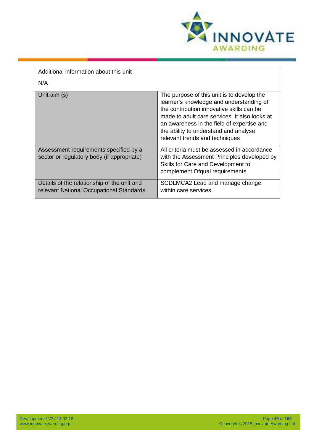

| Additional information about this unit                                                  |                                                                                                                                                                                                                                                                                                               |
|-----------------------------------------------------------------------------------------|---------------------------------------------------------------------------------------------------------------------------------------------------------------------------------------------------------------------------------------------------------------------------------------------------------------|
| N/A                                                                                     |                                                                                                                                                                                                                                                                                                               |
| Unit aim (s)                                                                            | The purpose of this unit is to develop the<br>learner's knowledge and understanding of<br>the contribution innovative skills can be<br>made to adult care services. It also looks at<br>an awareness in the field of expertise and<br>the ability to understand and analyse<br>relevant trends and techniques |
| Assessment requirements specified by a<br>sector or regulatory body (if appropriate)    | All criteria must be assessed in accordance<br>with the Assessment Principles developed by<br>Skills for Care and Development to<br>complement Ofqual requirements                                                                                                                                            |
| Details of the relationship of the unit and<br>relevant National Occupational Standards | SCDLMCA2 Lead and manage change<br>within care services                                                                                                                                                                                                                                                       |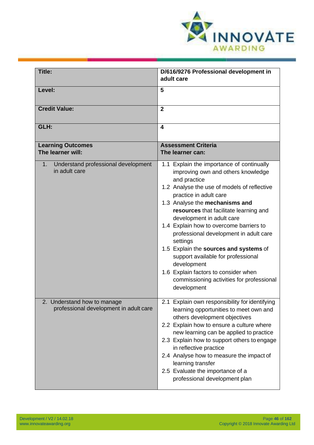

| Title:                                                                | D/616/9276 Professional development in<br>adult care                                                                                                                                                                                                                                                                                                                                                                                                                                                                                                                                  |
|-----------------------------------------------------------------------|---------------------------------------------------------------------------------------------------------------------------------------------------------------------------------------------------------------------------------------------------------------------------------------------------------------------------------------------------------------------------------------------------------------------------------------------------------------------------------------------------------------------------------------------------------------------------------------|
| Level:                                                                | 5                                                                                                                                                                                                                                                                                                                                                                                                                                                                                                                                                                                     |
|                                                                       |                                                                                                                                                                                                                                                                                                                                                                                                                                                                                                                                                                                       |
| <b>Credit Value:</b>                                                  | $\overline{2}$                                                                                                                                                                                                                                                                                                                                                                                                                                                                                                                                                                        |
| GLH:                                                                  | 4                                                                                                                                                                                                                                                                                                                                                                                                                                                                                                                                                                                     |
| <b>Learning Outcomes</b><br>The learner will:                         | <b>Assessment Criteria</b><br>The learner can:                                                                                                                                                                                                                                                                                                                                                                                                                                                                                                                                        |
| Understand professional development<br>1.<br>in adult care            | 1.1 Explain the importance of continually<br>improving own and others knowledge<br>and practice<br>1.2 Analyse the use of models of reflective<br>practice in adult care<br>1.3 Analyse the mechanisms and<br>resources that facilitate learning and<br>development in adult care<br>1.4 Explain how to overcome barriers to<br>professional development in adult care<br>settings<br>1.5 Explain the sources and systems of<br>support available for professional<br>development<br>1.6 Explain factors to consider when<br>commissioning activities for professional<br>development |
| 2. Understand how to manage<br>professional development in adult care | 2.1 Explain own responsibility for identifying<br>learning opportunities to meet own and<br>others development objectives<br>2.2 Explain how to ensure a culture where<br>new learning can be applied to practice<br>2.3 Explain how to support others to engage<br>in reflective practice<br>2.4 Analyse how to measure the impact of<br>learning transfer<br>2.5 Evaluate the importance of a<br>professional development plan                                                                                                                                                      |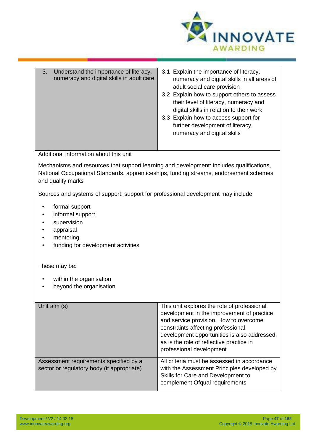

| 3.<br>Understand the importance of literacy,<br>numeracy and digital skills in adult care                                                                                                               | 3.1 Explain the importance of literacy,<br>numeracy and digital skills in all areas of<br>adult social care provision<br>3.2 Explain how to support others to assess<br>their level of literacy, numeracy and<br>digital skills in relation to their work<br>3.3 Explain how to access support for<br>further development of literacy,<br>numeracy and digital skills |
|---------------------------------------------------------------------------------------------------------------------------------------------------------------------------------------------------------|-----------------------------------------------------------------------------------------------------------------------------------------------------------------------------------------------------------------------------------------------------------------------------------------------------------------------------------------------------------------------|
| Additional information about this unit                                                                                                                                                                  |                                                                                                                                                                                                                                                                                                                                                                       |
| Mechanisms and resources that support learning and development: includes qualifications,<br>National Occupational Standards, apprenticeships, funding streams, endorsement schemes<br>and quality marks |                                                                                                                                                                                                                                                                                                                                                                       |
| Sources and systems of support: support for professional development may include:                                                                                                                       |                                                                                                                                                                                                                                                                                                                                                                       |
| formal support<br>informal support<br>supervision<br>appraisal<br>mentoring<br>funding for development activities                                                                                       |                                                                                                                                                                                                                                                                                                                                                                       |
| These may be:                                                                                                                                                                                           |                                                                                                                                                                                                                                                                                                                                                                       |
| within the organisation<br>beyond the organisation                                                                                                                                                      |                                                                                                                                                                                                                                                                                                                                                                       |
| Unit aim (s)                                                                                                                                                                                            | This unit explores the role of professional<br>development in the improvement of practice<br>and service provision. How to overcome<br>constraints affecting professional<br>development opportunities is also addressed,<br>as is the role of reflective practice in<br>professional development                                                                     |
| Assessment requirements specified by a<br>sector or regulatory body (if appropriate)                                                                                                                    | All criteria must be assessed in accordance<br>with the Assessment Principles developed by<br>Skills for Care and Development to<br>complement Ofqual requirements                                                                                                                                                                                                    |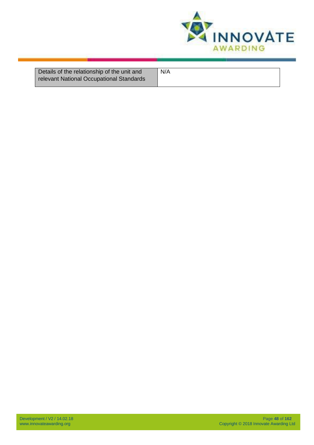

| Details of the relationship of the unit and<br>relevant National Occupational Standards | N/A |
|-----------------------------------------------------------------------------------------|-----|
|                                                                                         |     |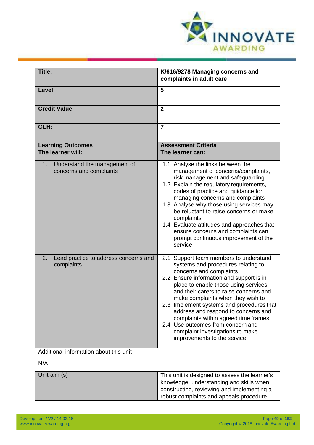

| Title:                                                        | K/616/9278 Managing concerns and<br>complaints in adult care                                                                                                                                                                                                                                                                                                                                                                                                                                                   |
|---------------------------------------------------------------|----------------------------------------------------------------------------------------------------------------------------------------------------------------------------------------------------------------------------------------------------------------------------------------------------------------------------------------------------------------------------------------------------------------------------------------------------------------------------------------------------------------|
| Level:                                                        | 5                                                                                                                                                                                                                                                                                                                                                                                                                                                                                                              |
| <b>Credit Value:</b>                                          | $\overline{2}$                                                                                                                                                                                                                                                                                                                                                                                                                                                                                                 |
| GLH:                                                          | $\overline{7}$                                                                                                                                                                                                                                                                                                                                                                                                                                                                                                 |
| <b>Learning Outcomes</b><br>The learner will:                 | <b>Assessment Criteria</b><br>The learner can:                                                                                                                                                                                                                                                                                                                                                                                                                                                                 |
| Understand the management of<br>1.<br>concerns and complaints | 1.1 Analyse the links between the<br>management of concerns/complaints,<br>risk management and safeguarding<br>1.2 Explain the regulatory requirements,<br>codes of practice and guidance for<br>managing concerns and complaints<br>1.3 Analyse why those using services may<br>be reluctant to raise concerns or make<br>complaints<br>1.4 Evaluate attitudes and approaches that<br>ensure concerns and complaints can<br>prompt continuous improvement of the<br>service                                   |
| 2.<br>Lead practice to address concerns and<br>complaints     | 2.1 Support team members to understand<br>systems and procedures relating to<br>concerns and complaints<br>2.2 Ensure information and support is in<br>place to enable those using services<br>and their carers to raise concerns and<br>make complaints when they wish to<br>2.3 Implement systems and procedures that<br>address and respond to concerns and<br>complaints within agreed time frames<br>2.4 Use outcomes from concern and<br>complaint investigations to make<br>improvements to the service |
| Additional information about this unit                        |                                                                                                                                                                                                                                                                                                                                                                                                                                                                                                                |
| N/A                                                           |                                                                                                                                                                                                                                                                                                                                                                                                                                                                                                                |
| Unit aim (s)                                                  | This unit is designed to assess the learner's<br>knowledge, understanding and skills when<br>constructing, reviewing and implementing a<br>robust complaints and appeals procedure,                                                                                                                                                                                                                                                                                                                            |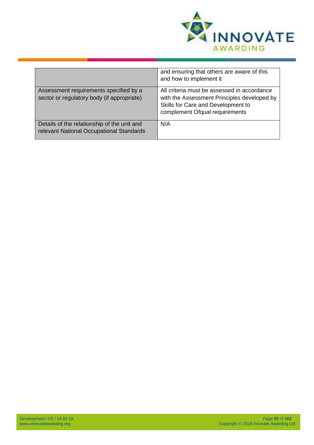

|                                                                                         | and ensuring that others are aware of this<br>and how to implement it                                                                                              |
|-----------------------------------------------------------------------------------------|--------------------------------------------------------------------------------------------------------------------------------------------------------------------|
| Assessment requirements specified by a<br>sector or regulatory body (if appropriate)    | All criteria must be assessed in accordance<br>with the Assessment Principles developed by<br>Skills for Care and Development to<br>complement Ofqual requirements |
| Details of the relationship of the unit and<br>relevant National Occupational Standards | N/A                                                                                                                                                                |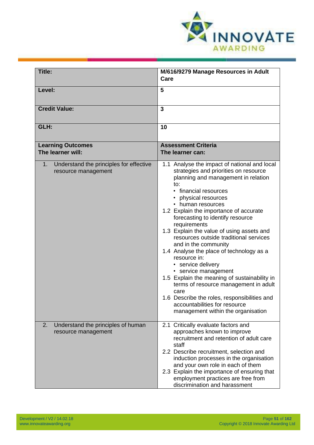

| Title:                                                               | M/616/9279 Manage Resources in Adult<br>Care                                                                                                                                                                                                                                                                                                                                                                                                                                                                                                                                                                                                                                                                                                             |
|----------------------------------------------------------------------|----------------------------------------------------------------------------------------------------------------------------------------------------------------------------------------------------------------------------------------------------------------------------------------------------------------------------------------------------------------------------------------------------------------------------------------------------------------------------------------------------------------------------------------------------------------------------------------------------------------------------------------------------------------------------------------------------------------------------------------------------------|
| Level:                                                               | 5                                                                                                                                                                                                                                                                                                                                                                                                                                                                                                                                                                                                                                                                                                                                                        |
| <b>Credit Value:</b>                                                 | 3                                                                                                                                                                                                                                                                                                                                                                                                                                                                                                                                                                                                                                                                                                                                                        |
| GLH:                                                                 | 10                                                                                                                                                                                                                                                                                                                                                                                                                                                                                                                                                                                                                                                                                                                                                       |
| <b>Learning Outcomes</b>                                             | <b>Assessment Criteria</b>                                                                                                                                                                                                                                                                                                                                                                                                                                                                                                                                                                                                                                                                                                                               |
| The learner will:                                                    | The learner can:                                                                                                                                                                                                                                                                                                                                                                                                                                                                                                                                                                                                                                                                                                                                         |
|                                                                      |                                                                                                                                                                                                                                                                                                                                                                                                                                                                                                                                                                                                                                                                                                                                                          |
| Understand the principles for effective<br>1.<br>resource management | 1.1 Analyse the impact of national and local<br>strategies and priorities on resource<br>planning and management in relation<br>to:<br>• financial resources<br>• physical resources<br>• human resources<br>1.2 Explain the importance of accurate<br>forecasting to identify resource<br>requirements<br>1.3 Explain the value of using assets and<br>resources outside traditional services<br>and in the community<br>1.4 Analyse the place of technology as a<br>resource in:<br>• service delivery<br>• service management<br>1.5 Explain the meaning of sustainability in<br>terms of resource management in adult<br>care<br>1.6 Describe the roles, responsibilities and<br>accountabilities for resource<br>management within the organisation |
| 2.<br>Understand the principles of human<br>resource management      | 2.1 Critically evaluate factors and<br>approaches known to improve<br>recruitment and retention of adult care<br>staff<br>2.2 Describe recruitment, selection and<br>induction processes in the organisation<br>and your own role in each of them<br>2.3 Explain the importance of ensuring that<br>employment practices are free from<br>discrimination and harassment                                                                                                                                                                                                                                                                                                                                                                                  |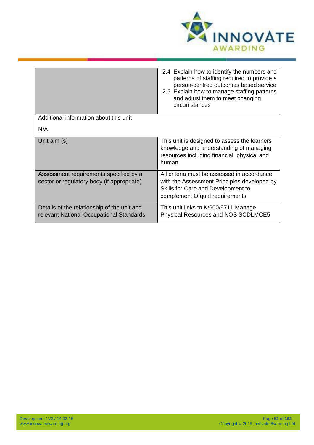

|                                                                                         | 2.4 Explain how to identify the numbers and<br>patterns of staffing required to provide a<br>person-centred outcomes based service<br>2.5 Explain how to manage staffing patterns<br>and adjust them to meet changing<br>circumstances |
|-----------------------------------------------------------------------------------------|----------------------------------------------------------------------------------------------------------------------------------------------------------------------------------------------------------------------------------------|
| Additional information about this unit                                                  |                                                                                                                                                                                                                                        |
| N/A                                                                                     |                                                                                                                                                                                                                                        |
| Unit aim (s)                                                                            | This unit is designed to assess the learners<br>knowledge and understanding of managing<br>resources including financial, physical and<br>human                                                                                        |
| Assessment requirements specified by a<br>sector or regulatory body (if appropriate)    | All criteria must be assessed in accordance<br>with the Assessment Principles developed by<br>Skills for Care and Development to<br>complement Ofqual requirements                                                                     |
| Details of the relationship of the unit and<br>relevant National Occupational Standards | This unit links to K/600/9711 Manage<br>Physical Resources and NOS SCDLMCE5                                                                                                                                                            |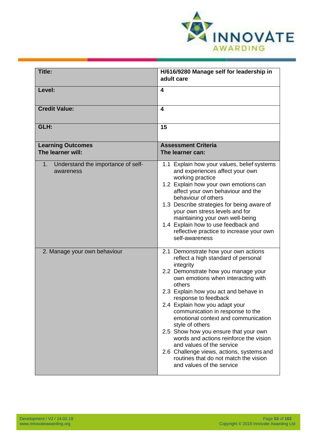

| Title:                                                | H/616/9280 Manage self for leadership in<br>adult care                                                                                                                                                                                                                                                                                                                                                                                                                                                                                                                                                              |
|-------------------------------------------------------|---------------------------------------------------------------------------------------------------------------------------------------------------------------------------------------------------------------------------------------------------------------------------------------------------------------------------------------------------------------------------------------------------------------------------------------------------------------------------------------------------------------------------------------------------------------------------------------------------------------------|
| Level:                                                | 4                                                                                                                                                                                                                                                                                                                                                                                                                                                                                                                                                                                                                   |
| <b>Credit Value:</b>                                  | 4                                                                                                                                                                                                                                                                                                                                                                                                                                                                                                                                                                                                                   |
| GLH:                                                  | 15                                                                                                                                                                                                                                                                                                                                                                                                                                                                                                                                                                                                                  |
| <b>Learning Outcomes</b><br>The learner will:         | <b>Assessment Criteria</b><br>The learner can:                                                                                                                                                                                                                                                                                                                                                                                                                                                                                                                                                                      |
| Understand the importance of self-<br>1.<br>awareness | 1.1 Explain how your values, belief systems<br>and experiences affect your own<br>working practice<br>1.2 Explain how your own emotions can<br>affect your own behaviour and the<br>behaviour of others<br>1.3 Describe strategies for being aware of<br>your own stress levels and for<br>maintaining your own well-being<br>1.4 Explain how to use feedback and<br>reflective practice to increase your own<br>self-awareness                                                                                                                                                                                     |
| 2. Manage your own behaviour                          | 2.1 Demonstrate how your own actions<br>reflect a high standard of personal<br>integrity<br>2.2 Demonstrate how you manage your<br>own emotions when interacting with<br>others<br>2.3 Explain how you act and behave in<br>response to feedback<br>2.4 Explain how you adapt your<br>communication in response to the<br>emotional context and communication<br>style of others<br>2.5 Show how you ensure that your own<br>words and actions reinforce the vision<br>and values of the service<br>2.6 Challenge views, actions, systems and<br>routines that do not match the vision<br>and values of the service |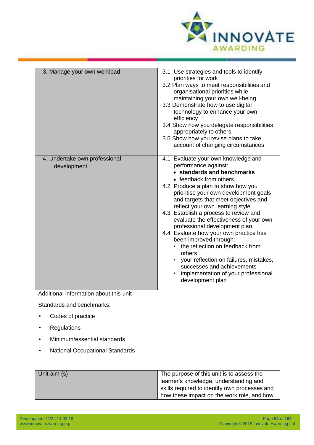

| 3. Manage your own workload                  | 3.1 Use strategies and tools to identify<br>priorities for work<br>3.2 Plan ways to meet responsibilities and<br>organisational priorities while<br>maintaining your own well-being<br>3.3 Demonstrate how to use digital<br>technology to enhance your own<br>efficiency<br>3.4 Show how you delegate responsibilities<br>appropriately to others<br>3.5 Show how you revise plans to take<br>account of changing circumstances                                                                                                                                                                                                                          |
|----------------------------------------------|-----------------------------------------------------------------------------------------------------------------------------------------------------------------------------------------------------------------------------------------------------------------------------------------------------------------------------------------------------------------------------------------------------------------------------------------------------------------------------------------------------------------------------------------------------------------------------------------------------------------------------------------------------------|
| 4. Undertake own professional<br>development | 4.1 Evaluate your own knowledge and<br>performance against:<br>• standards and benchmarks<br>• feedback from others<br>4.2 Produce a plan to show how you<br>prioritise your own development goals<br>and targets that meet objectives and<br>reflect your own learning style<br>4.3 Establish a process to review and<br>evaluate the effectiveness of your own<br>professional development plan<br>4.4 Evaluate how your own practice has<br>been improved through:<br>• the reflection on feedback from<br>others<br>• your reflection on failures, mistakes,<br>successes and achievements<br>implementation of your professional<br>development plan |
| Additional information about this unit       |                                                                                                                                                                                                                                                                                                                                                                                                                                                                                                                                                                                                                                                           |
| Standards and benchmarks:                    |                                                                                                                                                                                                                                                                                                                                                                                                                                                                                                                                                                                                                                                           |
| Codes of practice                            |                                                                                                                                                                                                                                                                                                                                                                                                                                                                                                                                                                                                                                                           |
| Regulations<br>$\bullet$                     |                                                                                                                                                                                                                                                                                                                                                                                                                                                                                                                                                                                                                                                           |
| Minimum/essential standards                  |                                                                                                                                                                                                                                                                                                                                                                                                                                                                                                                                                                                                                                                           |
| <b>National Occupational Standards</b>       |                                                                                                                                                                                                                                                                                                                                                                                                                                                                                                                                                                                                                                                           |
| Unit aim (s)                                 | The purpose of this unit is to assess the<br>learner's knowledge, understanding and<br>skills required to identify own processes and<br>how these impact on the work role, and how                                                                                                                                                                                                                                                                                                                                                                                                                                                                        |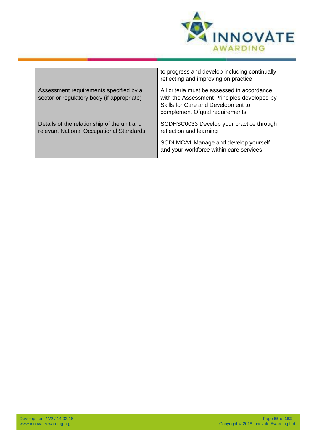

|                                                                                         | to progress and develop including continually<br>reflecting and improving on practice                                                                              |
|-----------------------------------------------------------------------------------------|--------------------------------------------------------------------------------------------------------------------------------------------------------------------|
| Assessment requirements specified by a<br>sector or regulatory body (if appropriate)    | All criteria must be assessed in accordance<br>with the Assessment Principles developed by<br>Skills for Care and Development to<br>complement Ofqual requirements |
| Details of the relationship of the unit and<br>relevant National Occupational Standards | SCDHSC0033 Develop your practice through<br>reflection and learning                                                                                                |
|                                                                                         | SCDLMCA1 Manage and develop yourself<br>and your workforce within care services                                                                                    |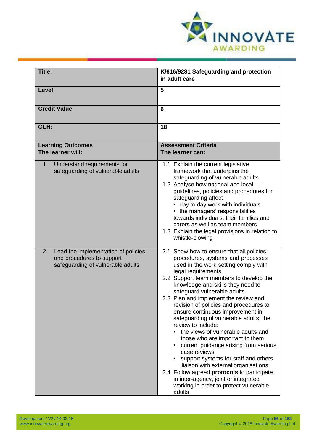

| <b>Title:</b>                                                                                               | K/616/9281 Safeguarding and protection<br>in adult care                                                                                                                                                                                                                                                                                                                                                                                                                                                                                                                                                                                                                                                                                                                                                       |
|-------------------------------------------------------------------------------------------------------------|---------------------------------------------------------------------------------------------------------------------------------------------------------------------------------------------------------------------------------------------------------------------------------------------------------------------------------------------------------------------------------------------------------------------------------------------------------------------------------------------------------------------------------------------------------------------------------------------------------------------------------------------------------------------------------------------------------------------------------------------------------------------------------------------------------------|
| Level:                                                                                                      | 5                                                                                                                                                                                                                                                                                                                                                                                                                                                                                                                                                                                                                                                                                                                                                                                                             |
| <b>Credit Value:</b>                                                                                        | $6\phantom{1}6$                                                                                                                                                                                                                                                                                                                                                                                                                                                                                                                                                                                                                                                                                                                                                                                               |
| GLH:                                                                                                        | 18                                                                                                                                                                                                                                                                                                                                                                                                                                                                                                                                                                                                                                                                                                                                                                                                            |
| <b>Learning Outcomes</b><br>The learner will:                                                               | <b>Assessment Criteria</b><br>The learner can:                                                                                                                                                                                                                                                                                                                                                                                                                                                                                                                                                                                                                                                                                                                                                                |
| Understand requirements for<br>1.<br>safeguarding of vulnerable adults                                      | 1.1 Explain the current legislative<br>framework that underpins the<br>safeguarding of vulnerable adults<br>1.2 Analyse how national and local<br>guidelines, policies and procedures for<br>safeguarding affect<br>• day to day work with individuals<br>• the managers' responsibilities<br>towards individuals, their families and<br>carers as well as team members<br>1.3 Explain the legal provisions in relation to<br>whistle-blowing                                                                                                                                                                                                                                                                                                                                                                 |
| 2.<br>Lead the implementation of policies<br>and procedures to support<br>safeguarding of vulnerable adults | 2.1 Show how to ensure that all policies,<br>procedures, systems and processes<br>used in the work setting comply with<br>legal requirements<br>2.2 Support team members to develop the<br>knowledge and skills they need to<br>safeguard vulnerable adults<br>2.3 Plan and implement the review and<br>revision of policies and procedures to<br>ensure continuous improvement in<br>safeguarding of vulnerable adults, the<br>review to include:<br>the views of vulnerable adults and<br>those who are important to them<br>current guidance arising from serious<br>case reviews<br>support systems for staff and others<br>liaison with external organisations<br>2.4 Follow agreed protocols to participate<br>in inter-agency, joint or integrated<br>working in order to protect vulnerable<br>adults |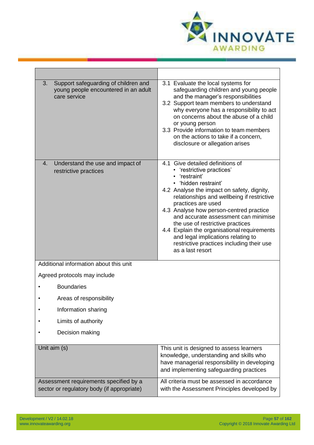

| Support safeguarding of children and<br>3.<br>young people encountered in an adult<br>care service | 3.1 Evaluate the local systems for<br>safeguarding children and young people<br>and the manager's responsibilities<br>3.2 Support team members to understand<br>why everyone has a responsibility to act<br>on concerns about the abuse of a child<br>or young person<br>3.3 Provide information to team members<br>on the actions to take if a concern,<br>disclosure or allegation arises                                                                                                         |
|----------------------------------------------------------------------------------------------------|-----------------------------------------------------------------------------------------------------------------------------------------------------------------------------------------------------------------------------------------------------------------------------------------------------------------------------------------------------------------------------------------------------------------------------------------------------------------------------------------------------|
| Understand the use and impact of<br>4.<br>restrictive practices                                    | 4.1 Give detailed definitions of<br>• 'restrictive practices'<br>'restraint'<br>• 'hidden restraint'<br>4.2 Analyse the impact on safety, dignity,<br>relationships and wellbeing if restrictive<br>practices are used<br>4.3 Analyse how person-centred practice<br>and accurate assessment can minimise<br>the use of restrictive practices<br>4.4 Explain the organisational requirements<br>and legal implications relating to<br>restrictive practices including their use<br>as a last resort |
| Additional information about this unit                                                             |                                                                                                                                                                                                                                                                                                                                                                                                                                                                                                     |
| Agreed protocols may include                                                                       |                                                                                                                                                                                                                                                                                                                                                                                                                                                                                                     |
| <b>Boundaries</b>                                                                                  |                                                                                                                                                                                                                                                                                                                                                                                                                                                                                                     |
| Areas of responsibility                                                                            |                                                                                                                                                                                                                                                                                                                                                                                                                                                                                                     |
| Information sharing                                                                                |                                                                                                                                                                                                                                                                                                                                                                                                                                                                                                     |
| Limits of authority                                                                                |                                                                                                                                                                                                                                                                                                                                                                                                                                                                                                     |
| Decision making                                                                                    |                                                                                                                                                                                                                                                                                                                                                                                                                                                                                                     |
| Unit aim (s)                                                                                       | This unit is designed to assess learners<br>knowledge, understanding and skills who<br>have managerial responsibility in developing<br>and implementing safeguarding practices                                                                                                                                                                                                                                                                                                                      |
| Assessment requirements specified by a<br>sector or regulatory body (if appropriate)               | All criteria must be assessed in accordance<br>with the Assessment Principles developed by                                                                                                                                                                                                                                                                                                                                                                                                          |

 $\blacksquare$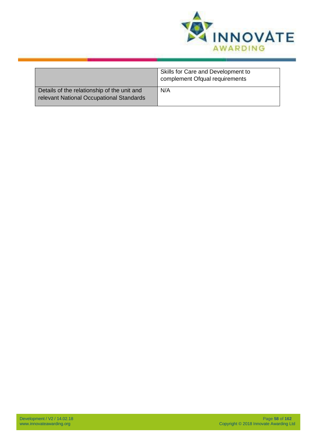

|                                                                                         | Skills for Care and Development to<br>complement Ofqual requirements |
|-----------------------------------------------------------------------------------------|----------------------------------------------------------------------|
| Details of the relationship of the unit and<br>relevant National Occupational Standards | N/A                                                                  |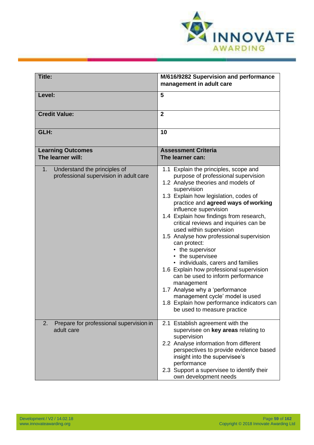

| Title:                                                                                   | M/616/9282 Supervision and performance                                                                                                                                                                                                                                                                                                                                                                                                                                                                                                                                                                                                                                                                                                               |
|------------------------------------------------------------------------------------------|------------------------------------------------------------------------------------------------------------------------------------------------------------------------------------------------------------------------------------------------------------------------------------------------------------------------------------------------------------------------------------------------------------------------------------------------------------------------------------------------------------------------------------------------------------------------------------------------------------------------------------------------------------------------------------------------------------------------------------------------------|
|                                                                                          | management in adult care                                                                                                                                                                                                                                                                                                                                                                                                                                                                                                                                                                                                                                                                                                                             |
| Level:                                                                                   | 5                                                                                                                                                                                                                                                                                                                                                                                                                                                                                                                                                                                                                                                                                                                                                    |
| <b>Credit Value:</b>                                                                     | $\overline{2}$                                                                                                                                                                                                                                                                                                                                                                                                                                                                                                                                                                                                                                                                                                                                       |
| GLH:                                                                                     | 10                                                                                                                                                                                                                                                                                                                                                                                                                                                                                                                                                                                                                                                                                                                                                   |
| <b>Learning Outcomes</b><br>The learner will:                                            | <b>Assessment Criteria</b><br>The learner can:                                                                                                                                                                                                                                                                                                                                                                                                                                                                                                                                                                                                                                                                                                       |
| Understand the principles of<br>1 <sub>1</sub><br>professional supervision in adult care | 1.1 Explain the principles, scope and<br>purpose of professional supervision<br>1.2 Analyse theories and models of<br>supervision<br>1.3 Explain how legislation, codes of<br>practice and agreed ways of working<br>influence supervision<br>1.4 Explain how findings from research,<br>critical reviews and inquiries can be<br>used within supervision<br>1.5 Analyse how professional supervision<br>can protect:<br>• the supervisor<br>• the supervisee<br>• individuals, carers and families<br>1.6 Explain how professional supervision<br>can be used to inform performance<br>management<br>1.7 Analyse why a 'performance<br>management cycle' model is used<br>1.8 Explain how performance indicators can<br>be used to measure practice |
| Prepare for professional supervision in<br>2.<br>adult care                              | 2.1 Establish agreement with the<br>supervisee on key areas relating to<br>supervision<br>2.2 Analyse information from different<br>perspectives to provide evidence based<br>insight into the supervisee's<br>performance<br>2.3 Support a supervisee to identify their<br>own development needs                                                                                                                                                                                                                                                                                                                                                                                                                                                    |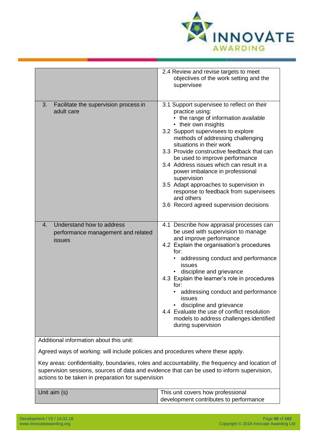

|                                                                                             | 2.4 Review and revise targets to meet<br>objectives of the work setting and the<br>supervisee                                                                                                                                                                                                                                                                                                                                                                                                                                                                  |
|---------------------------------------------------------------------------------------------|----------------------------------------------------------------------------------------------------------------------------------------------------------------------------------------------------------------------------------------------------------------------------------------------------------------------------------------------------------------------------------------------------------------------------------------------------------------------------------------------------------------------------------------------------------------|
| Facilitate the supervision process in<br>3.<br>adult care                                   | 3.1 Support supervisee to reflect on their<br>practice using:<br>• the range of information available<br>• their own insights<br>3.2 Support supervisees to explore<br>methods of addressing challenging<br>situations in their work<br>3.3 Provide constructive feedback that can<br>be used to improve performance<br>3.4 Address issues which can result in a<br>power imbalance in professional<br>supervision<br>3.5 Adapt approaches to supervision in<br>response to feedback from supervisees<br>and others<br>3.6 Record agreed supervision decisions |
| Understand how to address<br>$\mathbf{4}$ .<br>performance management and related<br>issues | 4.1 Describe how appraisal processes can<br>be used with supervision to manage<br>and improve performance<br>4.2 Explain the organisation's procedures<br>for:<br>addressing conduct and performance<br>issues<br>discipline and grievance<br>4.3 Explain the learner's role in procedures<br>for:<br>addressing conduct and performance<br><b>issues</b><br>discipline and grievance<br>4.4 Evaluate the use of conflict resolution<br>models to address challenges identified<br>during supervision                                                          |
| Additional information about this unit:                                                     |                                                                                                                                                                                                                                                                                                                                                                                                                                                                                                                                                                |

Agreed ways of working: will include policies and procedures where these apply.

Key areas: confidentiality, boundaries, roles and accountability, the frequency and location of supervision sessions, sources of data and evidence that can be used to inform supervision, actions to be taken in preparation for supervision

| Unit aim (s) | This unit covers how professional      |
|--------------|----------------------------------------|
|              | development contributes to performance |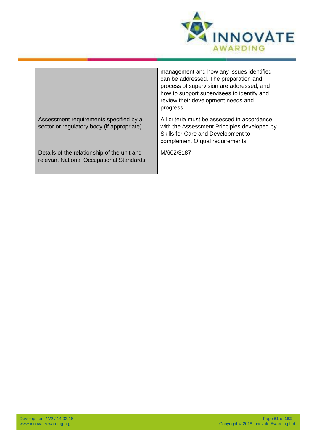

|                                                                                         | management and how any issues identified<br>can be addressed. The preparation and<br>process of supervision are addressed, and<br>how to support supervisees to identify and<br>review their development needs and<br>progress. |
|-----------------------------------------------------------------------------------------|---------------------------------------------------------------------------------------------------------------------------------------------------------------------------------------------------------------------------------|
| Assessment requirements specified by a<br>sector or regulatory body (if appropriate)    | All criteria must be assessed in accordance<br>with the Assessment Principles developed by<br>Skills for Care and Development to<br>complement Ofqual requirements                                                              |
| Details of the relationship of the unit and<br>relevant National Occupational Standards | M/602/3187                                                                                                                                                                                                                      |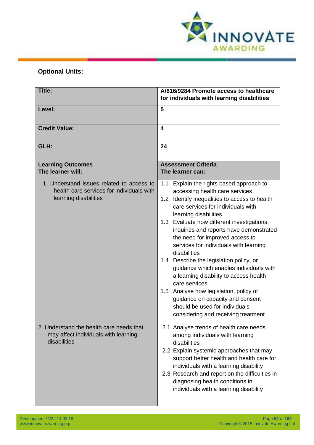

## **Optional Units:**

| Title:                                                                                                          | A/616/9284 Promote access to healthcare<br>for individuals with learning disabilities                                                                                                                                                                                                                                                                                                                                                                                                                                                                                                                                                                                                          |
|-----------------------------------------------------------------------------------------------------------------|------------------------------------------------------------------------------------------------------------------------------------------------------------------------------------------------------------------------------------------------------------------------------------------------------------------------------------------------------------------------------------------------------------------------------------------------------------------------------------------------------------------------------------------------------------------------------------------------------------------------------------------------------------------------------------------------|
| Level:                                                                                                          | 5                                                                                                                                                                                                                                                                                                                                                                                                                                                                                                                                                                                                                                                                                              |
| <b>Credit Value:</b>                                                                                            | 4                                                                                                                                                                                                                                                                                                                                                                                                                                                                                                                                                                                                                                                                                              |
| GLH:                                                                                                            | 24                                                                                                                                                                                                                                                                                                                                                                                                                                                                                                                                                                                                                                                                                             |
| <b>Learning Outcomes</b><br>The learner will:                                                                   | <b>Assessment Criteria</b><br>The learner can:                                                                                                                                                                                                                                                                                                                                                                                                                                                                                                                                                                                                                                                 |
| 1. Understand issues related to access to<br>health care services for individuals with<br>learning disabilities | Explain the rights based approach to<br>1.1<br>accessing health care services<br>Identify inequalities to access to health<br>1.2<br>care services for individuals with<br>learning disabilities<br>1.3 Evaluate how different investigations,<br>inquiries and reports have demonstrated<br>the need for improved access to<br>services for individuals with learning<br>disabilities<br>1.4 Describe the legislation policy, or<br>guidance which enables individuals with<br>a learning disability to access health<br>care services<br>1.5 Analyse how legislation, policy or<br>guidance on capacity and consent<br>should be used for individuals<br>considering and receiving treatment |
| 2. Understand the health care needs that<br>may affect individuals with learning<br>disabilities                | 2.1 Analyse trends of health care needs<br>among individuals with learning<br>disabilities<br>2.2 Explain systemic approaches that may<br>support better health and health care for<br>individuals with a learning disability<br>2.3 Research and report on the difficulties in<br>diagnosing health conditions in<br>individuals with a learning disability                                                                                                                                                                                                                                                                                                                                   |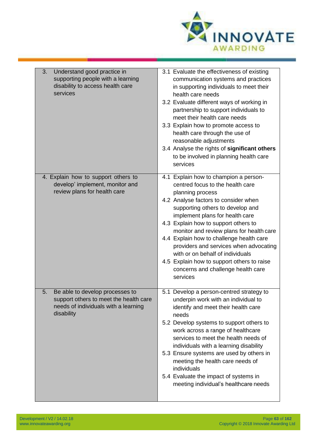

| 3.<br>Understand good practice in<br>supporting people with a learning<br>disability to access health care<br>services                | 3.1 Evaluate the effectiveness of existing<br>communication systems and practices<br>in supporting individuals to meet their<br>health care needs<br>3.2 Evaluate different ways of working in<br>partnership to support individuals to<br>meet their health care needs<br>3.3 Explain how to promote access to<br>health care through the use of<br>reasonable adjustments<br>3.4 Analyse the rights of significant others<br>to be involved in planning health care<br>services                                          |
|---------------------------------------------------------------------------------------------------------------------------------------|----------------------------------------------------------------------------------------------------------------------------------------------------------------------------------------------------------------------------------------------------------------------------------------------------------------------------------------------------------------------------------------------------------------------------------------------------------------------------------------------------------------------------|
| 4. Explain how to support others to<br>develop' implement, monitor and<br>review plans for health care                                | 4.1 Explain how to champion a person-<br>centred focus to the health care<br>planning process<br>4.2 Analyse factors to consider when<br>supporting others to develop and<br>implement plans for health care<br>4.3 Explain how to support others to<br>monitor and review plans for health care<br>4.4 Explain how to challenge health care<br>providers and services when advocating<br>with or on behalf of individuals<br>4.5 Explain how to support others to raise<br>concerns and challenge health care<br>services |
| 5.<br>Be able to develop processes to<br>support others to meet the health care<br>needs of individuals with a learning<br>disability | 5.1 Develop a person-centred strategy to<br>underpin work with an individual to<br>identify and meet their health care<br>needs<br>5.2 Develop systems to support others to<br>work across a range of healthcare<br>services to meet the health needs of<br>individuals with a learning disability<br>5.3 Ensure systems are used by others in<br>meeting the health care needs of<br>individuals<br>5.4 Evaluate the impact of systems in<br>meeting individual's healthcare needs                                        |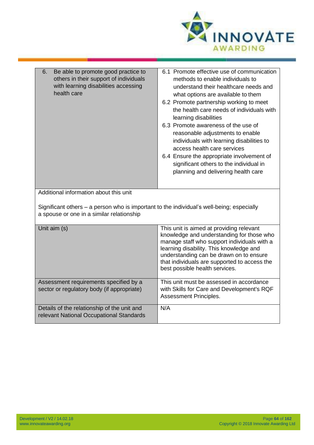

| 6.<br>Be able to promote good practice to<br>others in their support of individuals<br>with learning disabilities accessing<br>health care | 6.1 Promote effective use of communication<br>methods to enable individuals to<br>understand their healthcare needs and<br>what options are available to them<br>6.2 Promote partnership working to meet<br>the health care needs of individuals with<br>learning disabilities<br>6.3 Promote awareness of the use of<br>reasonable adjustments to enable<br>individuals with learning disabilities to<br>access health care services<br>6.4 Ensure the appropriate involvement of<br>significant others to the individual in<br>planning and delivering health care |
|--------------------------------------------------------------------------------------------------------------------------------------------|----------------------------------------------------------------------------------------------------------------------------------------------------------------------------------------------------------------------------------------------------------------------------------------------------------------------------------------------------------------------------------------------------------------------------------------------------------------------------------------------------------------------------------------------------------------------|
| Additional information about this unit                                                                                                     |                                                                                                                                                                                                                                                                                                                                                                                                                                                                                                                                                                      |
| Significant others - a person who is important to the individual's well-being; especially<br>a spouse or one in a similar relationship     |                                                                                                                                                                                                                                                                                                                                                                                                                                                                                                                                                                      |
| Unit aim (s)                                                                                                                               | This unit is aimed at providing relevant<br>knowledge and understanding for those who<br>manage staff who support individuals with a<br>learning disability. This knowledge and<br>understanding can be drawn on to ensure<br>that individuals are supported to access the<br>best possible health services.                                                                                                                                                                                                                                                         |
| Assessment requirements specified by a<br>sector or regulatory body (if appropriate)                                                       | This unit must be assessed in accordance<br>with Skills for Care and Development's RQF<br>Assessment Principles.                                                                                                                                                                                                                                                                                                                                                                                                                                                     |
| Details of the relationship of the unit and<br>relevant National Occupational Standards                                                    | N/A                                                                                                                                                                                                                                                                                                                                                                                                                                                                                                                                                                  |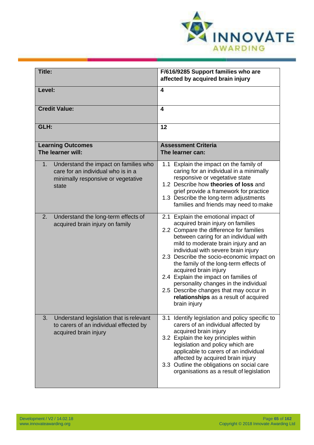

| Title:                                                                                                                                    | F/616/9285 Support families who are                                                                                                                                                                                                                                                                                                                                                                                                                                                                                                              |
|-------------------------------------------------------------------------------------------------------------------------------------------|--------------------------------------------------------------------------------------------------------------------------------------------------------------------------------------------------------------------------------------------------------------------------------------------------------------------------------------------------------------------------------------------------------------------------------------------------------------------------------------------------------------------------------------------------|
|                                                                                                                                           | affected by acquired brain injury                                                                                                                                                                                                                                                                                                                                                                                                                                                                                                                |
| Level:                                                                                                                                    | 4                                                                                                                                                                                                                                                                                                                                                                                                                                                                                                                                                |
| <b>Credit Value:</b>                                                                                                                      | 4                                                                                                                                                                                                                                                                                                                                                                                                                                                                                                                                                |
| GLH:                                                                                                                                      | 12                                                                                                                                                                                                                                                                                                                                                                                                                                                                                                                                               |
| <b>Learning Outcomes</b><br>The learner will:                                                                                             | <b>Assessment Criteria</b><br>The learner can:                                                                                                                                                                                                                                                                                                                                                                                                                                                                                                   |
| Understand the impact on families who<br>$1_{\cdot}$<br>care for an individual who is in a<br>minimally responsive or vegetative<br>state | 1.1 Explain the impact on the family of<br>caring for an individual in a minimally<br>responsive or vegetative state<br>1.2 Describe how theories of loss and<br>grief provide a framework for practice<br>1.3 Describe the long-term adjustments<br>families and friends may need to make                                                                                                                                                                                                                                                       |
| 2.<br>Understand the long-term effects of<br>acquired brain injury on family                                                              | 2.1 Explain the emotional impact of<br>acquired brain injury on families<br>2.2 Compare the difference for families<br>between caring for an individual with<br>mild to moderate brain injury and an<br>individual with severe brain injury<br>2.3 Describe the socio-economic impact on<br>the family of the long-term effects of<br>acquired brain injury<br>2.4 Explain the impact on families of<br>personality changes in the individual<br>2.5 Describe changes that may occur in<br>relationships as a result of acquired<br>brain injury |
| Understand legislation that is relevant<br>3.<br>to carers of an individual effected by<br>acquired brain injury                          | Identify legislation and policy specific to<br>3.1<br>carers of an individual affected by<br>acquired brain injury<br>3.2 Explain the key principles within<br>legislation and policy which are<br>applicable to carers of an individual<br>affected by acquired brain injury<br>3.3 Outline the obligations on social care<br>organisations as a result of legislation                                                                                                                                                                          |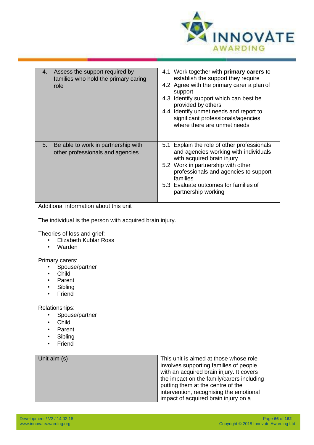

| Assess the support required by<br>4.<br>families who hold the primary caring<br>role | 4.1 Work together with primary carers to<br>establish the support they require<br>4.2 Agree with the primary carer a plan of<br>support<br>4.3 Identify support which can best be<br>provided by others<br>4.4 Identify unmet needs and report to<br>significant professionals/agencies<br>where there are unmet needs |
|--------------------------------------------------------------------------------------|------------------------------------------------------------------------------------------------------------------------------------------------------------------------------------------------------------------------------------------------------------------------------------------------------------------------|
| Be able to work in partnership with<br>5.<br>other professionals and agencies        | 5.1 Explain the role of other professionals<br>and agencies working with individuals<br>with acquired brain injury<br>5.2 Work in partnership with other<br>professionals and agencies to support<br>families<br>5.3 Evaluate outcomes for families of<br>partnership working                                          |
| Additional information about this unit                                               |                                                                                                                                                                                                                                                                                                                        |
| The individual is the person with acquired brain injury.                             |                                                                                                                                                                                                                                                                                                                        |
| Theories of loss and grief:<br><b>Elizabeth Kublar Ross</b><br>Warden                |                                                                                                                                                                                                                                                                                                                        |
| Primary carers:<br>Spouse/partner<br>Child<br>Parent<br>Sibling<br>Friend            |                                                                                                                                                                                                                                                                                                                        |
| Relationships:<br>Spouse/partner<br>Child<br>Parent<br>Sibling<br>Friend             |                                                                                                                                                                                                                                                                                                                        |
| Unit aim (s)                                                                         | This unit is aimed at those whose role<br>involves supporting families of people<br>with an acquired brain injury. It covers<br>the impact on the family/carers including<br>putting them at the centre of the<br>intervention, recognising the emotional<br>impact of acquired brain injury on a                      |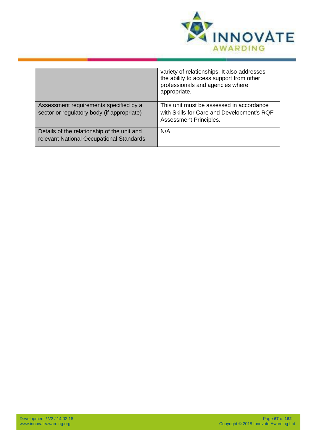

|                                                                                         | variety of relationships. It also addresses<br>the ability to access support from other<br>professionals and agencies where<br>appropriate. |
|-----------------------------------------------------------------------------------------|---------------------------------------------------------------------------------------------------------------------------------------------|
| Assessment requirements specified by a<br>sector or regulatory body (if appropriate)    | This unit must be assessed in accordance<br>with Skills for Care and Development's RQF<br>Assessment Principles.                            |
| Details of the relationship of the unit and<br>relevant National Occupational Standards | N/A                                                                                                                                         |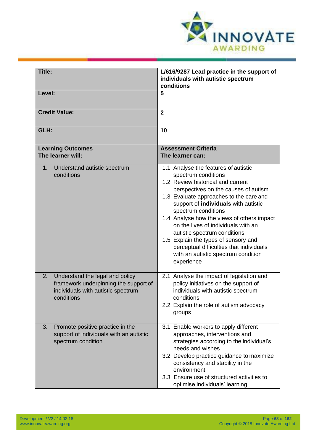

| Title:                                                                                                                             | L/616/9287 Lead practice in the support of<br>individuals with autistic spectrum<br>conditions                                                                                                                                                                                                                                                                                                                                                                                                                   |
|------------------------------------------------------------------------------------------------------------------------------------|------------------------------------------------------------------------------------------------------------------------------------------------------------------------------------------------------------------------------------------------------------------------------------------------------------------------------------------------------------------------------------------------------------------------------------------------------------------------------------------------------------------|
| Level:                                                                                                                             | 5                                                                                                                                                                                                                                                                                                                                                                                                                                                                                                                |
| <b>Credit Value:</b>                                                                                                               | $\overline{2}$                                                                                                                                                                                                                                                                                                                                                                                                                                                                                                   |
| GLH:                                                                                                                               | 10                                                                                                                                                                                                                                                                                                                                                                                                                                                                                                               |
| <b>Learning Outcomes</b><br>The learner will:                                                                                      | <b>Assessment Criteria</b><br>The learner can:                                                                                                                                                                                                                                                                                                                                                                                                                                                                   |
| Understand autistic spectrum<br>1 <sub>1</sub><br>conditions                                                                       | 1.1 Analyse the features of autistic<br>spectrum conditions<br>1.2 Review historical and current<br>perspectives on the causes of autism<br>1.3 Evaluate approaches to the care and<br>support of individuals with autistic<br>spectrum conditions<br>1.4 Analyse how the views of others impact<br>on the lives of individuals with an<br>autistic spectrum conditions<br>1.5 Explain the types of sensory and<br>perceptual difficulties that individuals<br>with an autistic spectrum condition<br>experience |
| Understand the legal and policy<br>2.<br>framework underpinning the support of<br>individuals with autistic spectrum<br>conditions | 2.1 Analyse the impact of legislation and<br>policy initiatives on the support of<br>individuals with autistic spectrum<br>conditions<br>2.2 Explain the role of autism advocacy<br>groups                                                                                                                                                                                                                                                                                                                       |
| Promote positive practice in the<br>3.<br>support of individuals with an autistic<br>spectrum condition                            | 3.1 Enable workers to apply different<br>approaches, interventions and<br>strategies according to the individual's<br>needs and wishes<br>3.2 Develop practice guidance to maximize<br>consistency and stability in the<br>environment<br>3.3 Ensure use of structured activities to<br>optimise individuals' learning                                                                                                                                                                                           |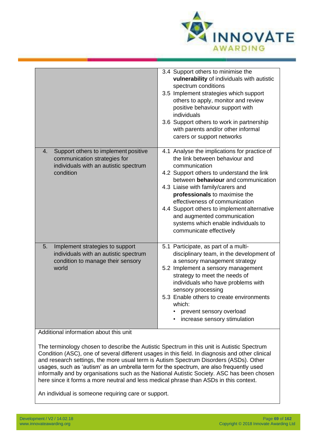

|                                                                                                                                  | 3.4 Support others to minimise the<br>vulnerability of individuals with autistic<br>spectrum conditions<br>3.5 Implement strategies which support<br>others to apply, monitor and review<br>positive behaviour support with<br>individuals<br>3.6 Support others to work in partnership<br>with parents and/or other informal<br>carers or support networks                                                                                 |
|----------------------------------------------------------------------------------------------------------------------------------|---------------------------------------------------------------------------------------------------------------------------------------------------------------------------------------------------------------------------------------------------------------------------------------------------------------------------------------------------------------------------------------------------------------------------------------------|
| Support others to implement positive<br>4.<br>communication strategies for<br>individuals with an autistic spectrum<br>condition | 4.1 Analyse the implications for practice of<br>the link between behaviour and<br>communication<br>4.2 Support others to understand the link<br>between behaviour and communication<br>4.3 Liaise with family/carers and<br>professionals to maximise the<br>effectiveness of communication<br>4.4 Support others to implement alternative<br>and augmented communication<br>systems which enable individuals to<br>communicate effectively |
| Implement strategies to support<br>5.<br>individuals with an autistic spectrum<br>condition to manage their sensory<br>world     | 5.1 Participate, as part of a multi-<br>disciplinary team, in the development of<br>a sensory management strategy<br>5.2 Implement a sensory management<br>strategy to meet the needs of<br>individuals who have problems with<br>sensory processing<br>5.3 Enable others to create environments<br>which:<br>prevent sensory overload<br>increase sensory stimulation                                                                      |

Additional information about this unit

The terminology chosen to describe the Autistic Spectrum in this unit is Autistic Spectrum Condition (ASC), one of several different usages in this field. In diagnosis and other clinical and research settings, the more usual term is Autism Spectrum Disorders (ASDs). Other usages, such as 'autism' as an umbrella term for the spectrum, are also frequently used informally and by organisations such as the National Autistic Society. ASC has been chosen here since it forms a more neutral and less medical phrase than ASDs in this context.

An individual is someone requiring care or support.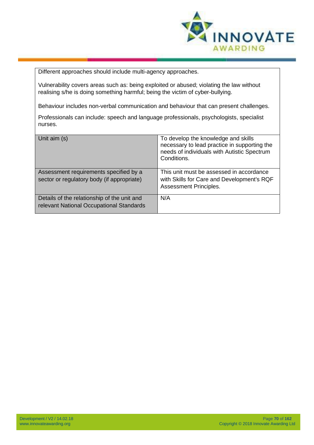

Different approaches should include multi-agency approaches.

Vulnerability covers areas such as: being exploited or abused; violating the law without realising s/he is doing something harmful; being the victim of cyber-bullying.

Behaviour includes non-verbal communication and behaviour that can present challenges.

Professionals can include: speech and language professionals, psychologists, specialist nurses.

| Unit aim (s)                                                                            | To develop the knowledge and skills<br>necessary to lead practice in supporting the<br>needs of individuals with Autistic Spectrum<br>Conditions. |
|-----------------------------------------------------------------------------------------|---------------------------------------------------------------------------------------------------------------------------------------------------|
| Assessment requirements specified by a<br>sector or regulatory body (if appropriate)    | This unit must be assessed in accordance<br>with Skills for Care and Development's RQF<br><b>Assessment Principles.</b>                           |
| Details of the relationship of the unit and<br>relevant National Occupational Standards | N/A                                                                                                                                               |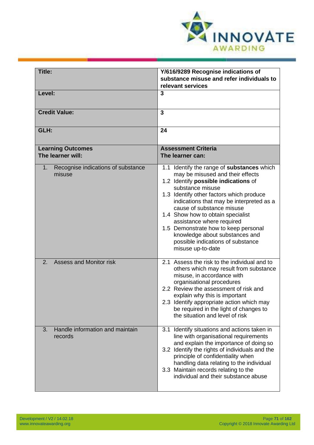

| <b>Title:</b>                                      | Y/616/9289 Recognise indications of<br>substance misuse and refer individuals to<br>relevant services                                                                                                                                                                                                                                                                                                                                                                 |
|----------------------------------------------------|-----------------------------------------------------------------------------------------------------------------------------------------------------------------------------------------------------------------------------------------------------------------------------------------------------------------------------------------------------------------------------------------------------------------------------------------------------------------------|
| Level:                                             | 3                                                                                                                                                                                                                                                                                                                                                                                                                                                                     |
| <b>Credit Value:</b>                               | $\mathbf{3}$                                                                                                                                                                                                                                                                                                                                                                                                                                                          |
| GLH:                                               | 24                                                                                                                                                                                                                                                                                                                                                                                                                                                                    |
| <b>Learning Outcomes</b><br>The learner will:      | <b>Assessment Criteria</b><br>The learner can:                                                                                                                                                                                                                                                                                                                                                                                                                        |
| Recognise indications of substance<br>1.<br>misuse | 1.1 Identify the range of substances which<br>may be misused and their effects<br>1.2 Identify possible indications of<br>substance misuse<br>1.3 Identify other factors which produce<br>indications that may be interpreted as a<br>cause of substance misuse<br>1.4 Show how to obtain specialist<br>assistance where required<br>1.5 Demonstrate how to keep personal<br>knowledge about substances and<br>possible indications of substance<br>misuse up-to-date |
| <b>Assess and Monitor risk</b><br>2.               | 2.1 Assess the risk to the individual and to<br>others which may result from substance<br>misuse, in accordance with<br>organisational procedures<br>2.2 Review the assessment of risk and<br>explain why this is important<br>2.3 Identify appropriate action which may<br>be required in the light of changes to<br>the situation and level of risk                                                                                                                 |
| Handle information and maintain<br>3.<br>records   | 3.1 Identify situations and actions taken in<br>line with organisational requirements<br>and explain the importance of doing so<br>3.2 Identify the rights of individuals and the<br>principle of confidentiality when<br>handling data relating to the individual<br>3.3 Maintain records relating to the<br>individual and their substance abuse                                                                                                                    |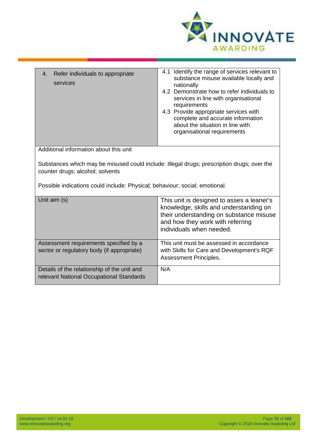

| Refer individuals to appropriate<br>4.<br>services                                                                                                                                                            | 4.1 Identify the range of services relevant to<br>substance misuse available locally and<br>nationally<br>4.2 Demonstrate how to refer individuals to<br>services in line with organisational<br>requirements<br>4.3 Provide appropriate services with<br>complete and accurate information<br>about the situation in line with<br>organisational requirements |
|---------------------------------------------------------------------------------------------------------------------------------------------------------------------------------------------------------------|----------------------------------------------------------------------------------------------------------------------------------------------------------------------------------------------------------------------------------------------------------------------------------------------------------------------------------------------------------------|
| Additional information about this unit                                                                                                                                                                        |                                                                                                                                                                                                                                                                                                                                                                |
| Substances which may be misused could include: Illegal drugs; prescription drugs; over the<br>counter drugs; alcohol; solvents<br>Possible indications could include: Physical; behaviour; social; emotional. |                                                                                                                                                                                                                                                                                                                                                                |
| Unit aim (s)                                                                                                                                                                                                  | This unit is designed to asses a leaner's<br>knowledge, skills and understanding on<br>their understanding on substance misuse<br>and how they work with referring<br>individuals when needed.                                                                                                                                                                 |
| Assessment requirements specified by a<br>sector or regulatory body (if appropriate)                                                                                                                          | This unit must be assessed in accordance<br>with Skills for Care and Development's RQF<br>Assessment Principles.                                                                                                                                                                                                                                               |
| Details of the relationship of the unit and<br>relevant National Occupational Standards                                                                                                                       | N/A                                                                                                                                                                                                                                                                                                                                                            |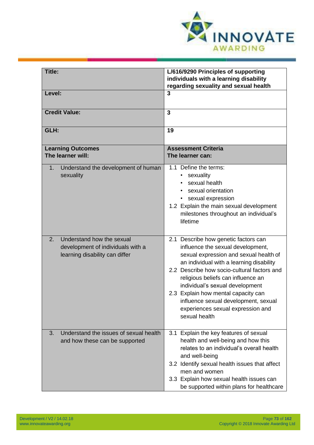

| <b>Title:</b>                                                                                          | L/616/9290 Principles of supporting<br>individuals with a learning disability<br>regarding sexuality and sexual health                                                                                                                                                                                                                                                                                                       |
|--------------------------------------------------------------------------------------------------------|------------------------------------------------------------------------------------------------------------------------------------------------------------------------------------------------------------------------------------------------------------------------------------------------------------------------------------------------------------------------------------------------------------------------------|
| Level:                                                                                                 | $\overline{3}$                                                                                                                                                                                                                                                                                                                                                                                                               |
| <b>Credit Value:</b>                                                                                   | $\overline{3}$                                                                                                                                                                                                                                                                                                                                                                                                               |
| GLH:                                                                                                   | 19                                                                                                                                                                                                                                                                                                                                                                                                                           |
| <b>Learning Outcomes</b><br>The learner will:                                                          | <b>Assessment Criteria</b><br>The learner can:                                                                                                                                                                                                                                                                                                                                                                               |
| Understand the development of human<br>$1_{\cdot}$<br>sexuality                                        | 1.1 Define the terms:<br>sexuality<br>$\bullet$<br>sexual health<br>sexual orientation<br>sexual expression<br>$\bullet$<br>1.2 Explain the main sexual development<br>milestones throughout an individual's<br>lifetime                                                                                                                                                                                                     |
| Understand how the sexual<br>2.<br>development of individuals with a<br>learning disability can differ | 2.1 Describe how genetic factors can<br>influence the sexual development,<br>sexual expression and sexual health of<br>an individual with a learning disability<br>2.2 Describe how socio-cultural factors and<br>religious beliefs can influence an<br>individual's sexual development<br>2.3 Explain how mental capacity can<br>influence sexual development, sexual<br>experiences sexual expression and<br>sexual health |
| Understand the issues of sexual health<br>3.<br>and how these can be supported                         | 3.1 Explain the key features of sexual<br>health and well-being and how this<br>relates to an individual's overall health<br>and well-being<br>3.2 Identify sexual health issues that affect<br>men and women<br>3.3 Explain how sexual health issues can<br>be supported within plans for healthcare                                                                                                                        |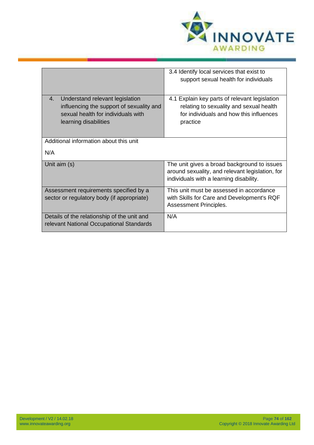

|                                                                                                                                                  | 3.4 Identify local services that exist to<br>support sexual health for individuals                                                              |
|--------------------------------------------------------------------------------------------------------------------------------------------------|-------------------------------------------------------------------------------------------------------------------------------------------------|
| Understand relevant legislation<br>4.<br>influencing the support of sexuality and<br>sexual health for individuals with<br>learning disabilities | 4.1 Explain key parts of relevant legislation<br>relating to sexuality and sexual health<br>for individuals and how this influences<br>practice |
| Additional information about this unit                                                                                                           |                                                                                                                                                 |
| N/A                                                                                                                                              |                                                                                                                                                 |
| Unit aim (s)                                                                                                                                     | The unit gives a broad background to issues<br>around sexuality, and relevant legislation, for<br>individuals with a learning disability.       |
| Assessment requirements specified by a<br>sector or regulatory body (if appropriate)                                                             | This unit must be assessed in accordance<br>with Skills for Care and Development's RQF<br>Assessment Principles.                                |
| Details of the relationship of the unit and<br>relevant National Occupational Standards                                                          | N/A                                                                                                                                             |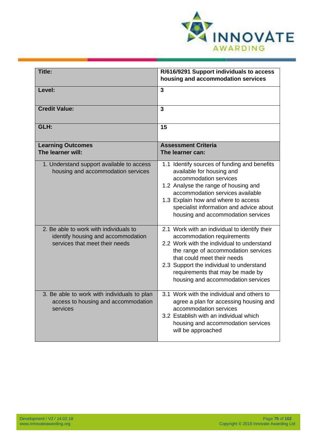

| Title:                                                                                                         | R/616/9291 Support individuals to access<br>housing and accommodation services                                                                                                                                                                                                                                        |
|----------------------------------------------------------------------------------------------------------------|-----------------------------------------------------------------------------------------------------------------------------------------------------------------------------------------------------------------------------------------------------------------------------------------------------------------------|
| Level:                                                                                                         | $\overline{3}$                                                                                                                                                                                                                                                                                                        |
| <b>Credit Value:</b>                                                                                           | 3                                                                                                                                                                                                                                                                                                                     |
| GLH:                                                                                                           | 15                                                                                                                                                                                                                                                                                                                    |
| <b>Learning Outcomes</b><br>The learner will:                                                                  | <b>Assessment Criteria</b><br>The learner can:                                                                                                                                                                                                                                                                        |
| 1. Understand support available to access<br>housing and accommodation services                                | 1.1 Identify sources of funding and benefits<br>available for housing and<br>accommodation services<br>1.2 Analyse the range of housing and<br>accommodation services available<br>1.3 Explain how and where to access<br>specialist information and advice about<br>housing and accommodation services               |
| 2. Be able to work with individuals to<br>identify housing and accommodation<br>services that meet their needs | 2.1 Work with an individual to identify their<br>accommodation requirements<br>2.2 Work with the individual to understand<br>the range of accommodation services<br>that could meet their needs<br>2.3 Support the individual to understand<br>requirements that may be made by<br>housing and accommodation services |
| 3. Be able to work with individuals to plan<br>access to housing and accommodation<br>services                 | 3.1 Work with the individual and others to<br>agree a plan for accessing housing and<br>accommodation services<br>3.2 Establish with an individual which<br>housing and accommodation services<br>will be approached                                                                                                  |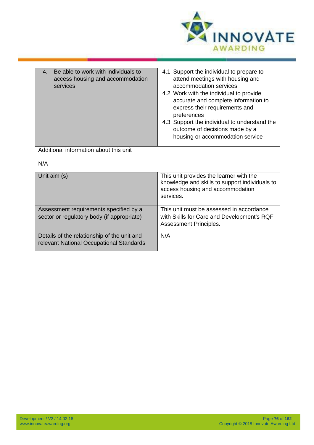

| Be able to work with individuals to<br>$\mathbf{4}$<br>access housing and accommodation<br>services | 4.1 Support the individual to prepare to<br>attend meetings with housing and<br>accommodation services<br>4.2 Work with the individual to provide<br>accurate and complete information to<br>express their requirements and<br>preferences<br>4.3 Support the individual to understand the<br>outcome of decisions made by a<br>housing or accommodation service |
|-----------------------------------------------------------------------------------------------------|------------------------------------------------------------------------------------------------------------------------------------------------------------------------------------------------------------------------------------------------------------------------------------------------------------------------------------------------------------------|
| Additional information about this unit                                                              |                                                                                                                                                                                                                                                                                                                                                                  |
|                                                                                                     |                                                                                                                                                                                                                                                                                                                                                                  |
| N/A                                                                                                 |                                                                                                                                                                                                                                                                                                                                                                  |
| Unit aim (s)                                                                                        | This unit provides the learner with the<br>knowledge and skills to support individuals to<br>access housing and accommodation<br>services.                                                                                                                                                                                                                       |
| Assessment requirements specified by a<br>sector or regulatory body (if appropriate)                | This unit must be assessed in accordance<br>with Skills for Care and Development's RQF<br>Assessment Principles.                                                                                                                                                                                                                                                 |
| Details of the relationship of the unit and<br>relevant National Occupational Standards             | N/A                                                                                                                                                                                                                                                                                                                                                              |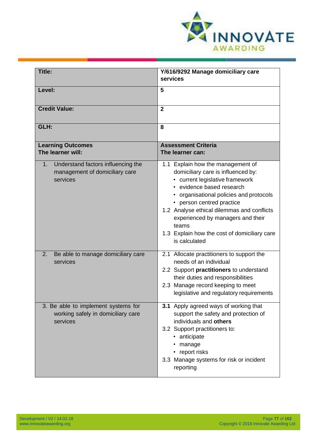

| Title:                                                                                 | Y/616/9292 Manage domiciliary care<br>services                                                                                                                                                                                                                                                                                                                             |
|----------------------------------------------------------------------------------------|----------------------------------------------------------------------------------------------------------------------------------------------------------------------------------------------------------------------------------------------------------------------------------------------------------------------------------------------------------------------------|
| Level:                                                                                 | 5                                                                                                                                                                                                                                                                                                                                                                          |
| <b>Credit Value:</b>                                                                   | $\overline{2}$                                                                                                                                                                                                                                                                                                                                                             |
| GLH:                                                                                   | 8                                                                                                                                                                                                                                                                                                                                                                          |
| <b>Learning Outcomes</b><br>The learner will:                                          | <b>Assessment Criteria</b><br>The learner can:                                                                                                                                                                                                                                                                                                                             |
| Understand factors influencing the<br>1.<br>management of domiciliary care<br>services | 1.1 Explain how the management of<br>domiciliary care is influenced by:<br>current legislative framework<br>• evidence based research<br>• organisational policies and protocols<br>• person centred practice<br>1.2 Analyse ethical dilemmas and conflicts<br>experienced by managers and their<br>teams<br>1.3 Explain how the cost of domiciliary care<br>is calculated |
| Be able to manage domiciliary care<br>2.<br>services                                   | 2.1 Allocate practitioners to support the<br>needs of an individual<br>2.2 Support practitioners to understand<br>their duties and responsibilities<br>2.3 Manage record keeping to meet<br>legislative and regulatory requirements                                                                                                                                        |
| 3. Be able to implement systems for<br>working safely in domiciliary care<br>services  | 3.1 Apply agreed ways of working that<br>support the safety and protection of<br>individuals and others<br>3.2 Support practitioners to:<br>• anticipate<br>manage<br>• report risks<br>3.3 Manage systems for risk or incident<br>reporting                                                                                                                               |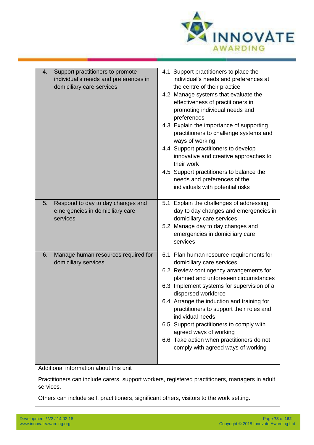

| Support practitioners to promote<br>4.<br>individual's needs and preferences in<br>domiciliary care services | 4.1 Support practitioners to place the<br>individual's needs and preferences at<br>the centre of their practice<br>4.2 Manage systems that evaluate the<br>effectiveness of practitioners in<br>promoting individual needs and<br>preferences<br>4.3 Explain the importance of supporting<br>practitioners to challenge systems and<br>ways of working<br>4.4 Support practitioners to develop<br>innovative and creative approaches to<br>their work<br>4.5 Support practitioners to balance the<br>needs and preferences of the<br>individuals with potential risks |
|--------------------------------------------------------------------------------------------------------------|-----------------------------------------------------------------------------------------------------------------------------------------------------------------------------------------------------------------------------------------------------------------------------------------------------------------------------------------------------------------------------------------------------------------------------------------------------------------------------------------------------------------------------------------------------------------------|
| Respond to day to day changes and<br>5.<br>emergencies in domiciliary care<br>services                       | 5.1 Explain the challenges of addressing<br>day to day changes and emergencies in<br>domiciliary care services<br>5.2 Manage day to day changes and<br>emergencies in domiciliary care<br>services                                                                                                                                                                                                                                                                                                                                                                    |
| Manage human resources required for<br>6.<br>domiciliary services                                            | 6.1 Plan human resource requirements for<br>domiciliary care services<br>6.2 Review contingency arrangements for<br>planned and unforeseen circumstances<br>6.3 Implement systems for supervision of a<br>dispersed workforce<br>6.4 Arrange the induction and training for<br>practitioners to support their roles and<br>individual needs<br>6.5 Support practitioners to comply with<br>agreed ways of working<br>6.6 Take action when practitioners do not<br>comply with agreed ways of working                                                                  |
| Additional information about this unit                                                                       |                                                                                                                                                                                                                                                                                                                                                                                                                                                                                                                                                                       |
|                                                                                                              |                                                                                                                                                                                                                                                                                                                                                                                                                                                                                                                                                                       |

Practitioners can include carers, support workers, registered practitioners, managers in adult services.

Others can include self, practitioners, significant others, visitors to the work setting.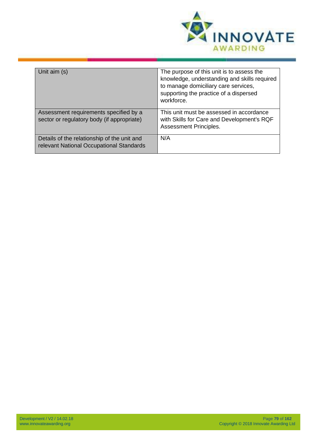

| Unit aim (s)                                                                            | The purpose of this unit is to assess the<br>knowledge, understanding and skills required<br>to manage domiciliary care services,<br>supporting the practice of a dispersed<br>workforce. |
|-----------------------------------------------------------------------------------------|-------------------------------------------------------------------------------------------------------------------------------------------------------------------------------------------|
| Assessment requirements specified by a<br>sector or regulatory body (if appropriate)    | This unit must be assessed in accordance<br>with Skills for Care and Development's RQF<br><b>Assessment Principles.</b>                                                                   |
| Details of the relationship of the unit and<br>relevant National Occupational Standards | N/A                                                                                                                                                                                       |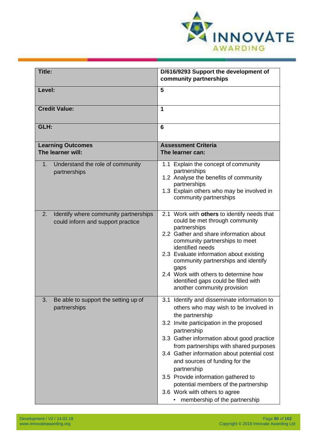

| Title:                                                                           | D/616/9293 Support the development of                                                                                                                                                                                                                                                                                                                                                                                                                                                                       |
|----------------------------------------------------------------------------------|-------------------------------------------------------------------------------------------------------------------------------------------------------------------------------------------------------------------------------------------------------------------------------------------------------------------------------------------------------------------------------------------------------------------------------------------------------------------------------------------------------------|
|                                                                                  | community partnerships                                                                                                                                                                                                                                                                                                                                                                                                                                                                                      |
| Level:                                                                           | 5                                                                                                                                                                                                                                                                                                                                                                                                                                                                                                           |
| <b>Credit Value:</b>                                                             | 1                                                                                                                                                                                                                                                                                                                                                                                                                                                                                                           |
| GLH:                                                                             | 6                                                                                                                                                                                                                                                                                                                                                                                                                                                                                                           |
| <b>Learning Outcomes</b><br>The learner will:                                    | <b>Assessment Criteria</b><br>The learner can:                                                                                                                                                                                                                                                                                                                                                                                                                                                              |
| Understand the role of community<br>1.<br>partnerships                           | 1.1 Explain the concept of community<br>partnerships<br>1.2 Analyse the benefits of community<br>partnerships<br>1.3 Explain others who may be involved in<br>community partnerships                                                                                                                                                                                                                                                                                                                        |
| 2.<br>Identify where community partnerships<br>could inform and support practice | 2.1 Work with others to identify needs that<br>could be met through community<br>partnerships<br>2.2 Gather and share information about<br>community partnerships to meet<br>identified needs<br>2.3 Evaluate information about existing<br>community partnerships and identify<br>gaps<br>2.4 Work with others to determine how<br>identified gaps could be filled with<br>another community provision                                                                                                     |
| 3.<br>Be able to support the setting up of<br>partnerships                       | 3.1 Identify and disseminate information to<br>others who may wish to be involved in<br>the partnership<br>3.2 Invite participation in the proposed<br>partnership<br>3.3 Gather information about good practice<br>from partnerships with shared purposes<br>3.4 Gather information about potential cost<br>and sources of funding for the<br>partnership<br>3.5 Provide information gathered to<br>potential members of the partnership<br>3.6 Work with others to agree<br>membership of the partnership |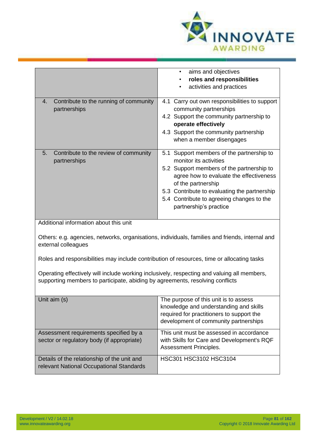

|                                                                                                                                                                              | aims and objectives<br>$\bullet$<br>roles and responsibilities<br>activities and practices                                                                                                                                                                                                               |
|------------------------------------------------------------------------------------------------------------------------------------------------------------------------------|----------------------------------------------------------------------------------------------------------------------------------------------------------------------------------------------------------------------------------------------------------------------------------------------------------|
| Contribute to the running of community<br>4.<br>partnerships                                                                                                                 | 4.1 Carry out own responsibilities to support<br>community partnerships<br>4.2 Support the community partnership to<br>operate effectively<br>4.3 Support the community partnership<br>when a member disengages                                                                                          |
| 5.<br>Contribute to the review of community<br>partnerships                                                                                                                  | 5.1 Support members of the partnership to<br>monitor its activities<br>5.2 Support members of the partnership to<br>agree how to evaluate the effectiveness<br>of the partnership<br>5.3 Contribute to evaluating the partnership<br>5.4 Contribute to agreeing changes to the<br>partnership's practice |
| Additional information about this unit                                                                                                                                       |                                                                                                                                                                                                                                                                                                          |
| Others: e.g. agencies, networks, organisations, individuals, families and friends, internal and<br>external colleagues                                                       |                                                                                                                                                                                                                                                                                                          |
| Roles and responsibilities may include contribution of resources, time or allocating tasks                                                                                   |                                                                                                                                                                                                                                                                                                          |
| Operating effectively will include working inclusively, respecting and valuing all members,<br>supporting members to participate, abiding by agreements, resolving conflicts |                                                                                                                                                                                                                                                                                                          |
| Unit aim (s)                                                                                                                                                                 | The purpose of this unit is to assess<br>knowledge and understanding and skills<br>required for practitioners to support the<br>development of community partnerships                                                                                                                                    |
| Assessment requirements specified by a<br>sector or regulatory body (if appropriate)                                                                                         | This unit must be assessed in accordance<br>with Skills for Care and Development's RQF<br>Assessment Principles.                                                                                                                                                                                         |
| Details of the relationship of the unit and<br>relevant National Occupational Standards                                                                                      | HSC301 HSC3102 HSC3104                                                                                                                                                                                                                                                                                   |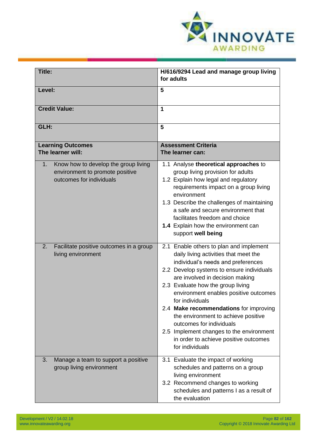

| <b>Title:</b>                                                                                             | H/616/9294 Lead and manage group living<br>for adults                                                                                                                                                                                                                                                                                                                                                                                                                                                                        |
|-----------------------------------------------------------------------------------------------------------|------------------------------------------------------------------------------------------------------------------------------------------------------------------------------------------------------------------------------------------------------------------------------------------------------------------------------------------------------------------------------------------------------------------------------------------------------------------------------------------------------------------------------|
| Level:                                                                                                    | 5                                                                                                                                                                                                                                                                                                                                                                                                                                                                                                                            |
| <b>Credit Value:</b>                                                                                      | 1                                                                                                                                                                                                                                                                                                                                                                                                                                                                                                                            |
| GLH:                                                                                                      | 5                                                                                                                                                                                                                                                                                                                                                                                                                                                                                                                            |
| <b>Learning Outcomes</b><br>The learner will:                                                             | <b>Assessment Criteria</b><br>The learner can:                                                                                                                                                                                                                                                                                                                                                                                                                                                                               |
| Know how to develop the group living<br>1.<br>environment to promote positive<br>outcomes for individuals | 1.1 Analyse theoretical approaches to<br>group living provision for adults<br>1.2 Explain how legal and regulatory<br>requirements impact on a group living<br>environment<br>1.3 Describe the challenges of maintaining<br>a safe and secure environment that<br>facilitates freedom and choice<br>1.4 Explain how the environment can<br>support well being                                                                                                                                                                |
| Facilitate positive outcomes in a group<br>2.<br>living environment                                       | 2.1 Enable others to plan and implement<br>daily living activities that meet the<br>individual's needs and preferences<br>2.2 Develop systems to ensure individuals<br>are involved in decision making<br>2.3 Evaluate how the group living<br>environment enables positive outcomes<br>for individuals<br>2.4 Make recommendations for improving<br>the environment to achieve positive<br>outcomes for individuals<br>2.5 Implement changes to the environment<br>in order to achieve positive outcomes<br>for individuals |
| 3.<br>Manage a team to support a positive<br>group living environment                                     | 3.1 Evaluate the impact of working<br>schedules and patterns on a group<br>living environment<br>3.2 Recommend changes to working<br>schedules and patterns I as a result of<br>the evaluation                                                                                                                                                                                                                                                                                                                               |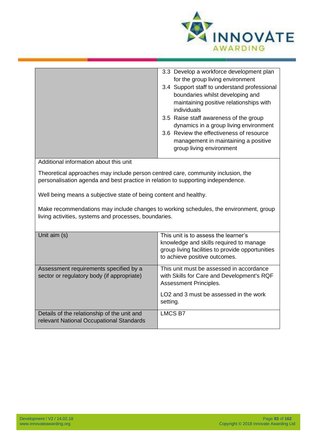

|                                                                                                                                                                      | 3.3 Develop a workforce development plan<br>for the group living environment<br>3.4 Support staff to understand professional<br>boundaries whilst developing and<br>maintaining positive relationships with<br>individuals<br>3.5 Raise staff awareness of the group<br>dynamics in a group living environment<br>3.6 Review the effectiveness of resource |  |
|----------------------------------------------------------------------------------------------------------------------------------------------------------------------|------------------------------------------------------------------------------------------------------------------------------------------------------------------------------------------------------------------------------------------------------------------------------------------------------------------------------------------------------------|--|
|                                                                                                                                                                      | management in maintaining a positive<br>group living environment                                                                                                                                                                                                                                                                                           |  |
| Additional information about this unit                                                                                                                               |                                                                                                                                                                                                                                                                                                                                                            |  |
| Theoretical approaches may include person centred care, community inclusion, the<br>personalisation agenda and best practice in relation to supporting independence. |                                                                                                                                                                                                                                                                                                                                                            |  |
| Well being means a subjective state of being content and healthy.                                                                                                    |                                                                                                                                                                                                                                                                                                                                                            |  |
| Make recommendations may include changes to working schedules, the environment, group<br>living activities, systems and processes, boundaries.                       |                                                                                                                                                                                                                                                                                                                                                            |  |
| Unit $\sin(5)$                                                                                                                                                       | This unit is to assess the learner's                                                                                                                                                                                                                                                                                                                       |  |

| Unit aim (s)                                                                            | This unit is to assess the learner's<br>knowledge and skills required to manage<br>group living facilities to provide opportunities<br>to achieve positive outcomes. |
|-----------------------------------------------------------------------------------------|----------------------------------------------------------------------------------------------------------------------------------------------------------------------|
| Assessment requirements specified by a<br>sector or regulatory body (if appropriate)    | This unit must be assessed in accordance<br>with Skills for Care and Development's RQF<br>Assessment Principles.                                                     |
|                                                                                         | LO <sub>2</sub> and 3 must be assessed in the work<br>setting.                                                                                                       |
| Details of the relationship of the unit and<br>relevant National Occupational Standards | <b>LMCS B7</b>                                                                                                                                                       |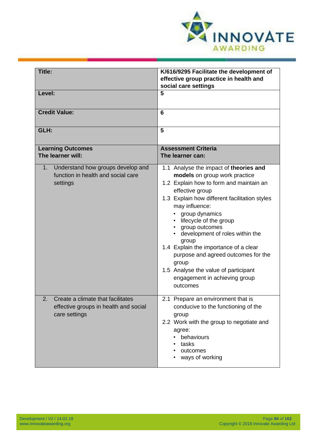

| Title:                                                                                             | K/616/9295 Facilitate the development of<br>effective group practice in health and<br>social care settings                                                                                                                                                                                                                                                                                                                                                                                       |
|----------------------------------------------------------------------------------------------------|--------------------------------------------------------------------------------------------------------------------------------------------------------------------------------------------------------------------------------------------------------------------------------------------------------------------------------------------------------------------------------------------------------------------------------------------------------------------------------------------------|
| Level:                                                                                             | 5                                                                                                                                                                                                                                                                                                                                                                                                                                                                                                |
| <b>Credit Value:</b>                                                                               | 6                                                                                                                                                                                                                                                                                                                                                                                                                                                                                                |
| GLH:                                                                                               | 5                                                                                                                                                                                                                                                                                                                                                                                                                                                                                                |
| <b>Learning Outcomes</b><br>The learner will:                                                      | <b>Assessment Criteria</b><br>The learner can:                                                                                                                                                                                                                                                                                                                                                                                                                                                   |
| Understand how groups develop and<br>$1_{\cdot}$<br>function in health and social care<br>settings | 1.1 Analyse the impact of theories and<br>models on group work practice<br>1.2 Explain how to form and maintain an<br>effective group<br>1.3 Explain how different facilitation styles<br>may influence:<br>group dynamics<br>lifecycle of the group<br>group outcomes<br>development of roles within the<br>group<br>1.4 Explain the importance of a clear<br>purpose and agreed outcomes for the<br>group<br>1.5 Analyse the value of participant<br>engagement in achieving group<br>outcomes |
| Create a climate that facilitates<br>2.<br>effective groups in health and social<br>care settings  | 2.1 Prepare an environment that is<br>conducive to the functioning of the<br>group<br>2.2 Work with the group to negotiate and<br>agree:<br>behaviours<br>tasks<br>outcomes<br>ways of working                                                                                                                                                                                                                                                                                                   |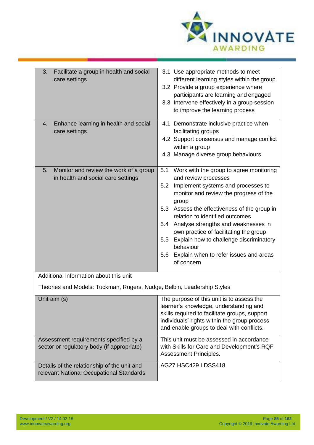

| Facilitate a group in health and social<br>3.<br>care settings                          | 3.1 Use appropriate methods to meet<br>different learning styles within the group<br>3.2 Provide a group experience where<br>participants are learning and engaged<br>3.3 Intervene effectively in a group session<br>to improve the learning process                                                                                                                                                                                                                           |
|-----------------------------------------------------------------------------------------|---------------------------------------------------------------------------------------------------------------------------------------------------------------------------------------------------------------------------------------------------------------------------------------------------------------------------------------------------------------------------------------------------------------------------------------------------------------------------------|
| Enhance learning in health and social<br>4.<br>care settings                            | 4.1 Demonstrate inclusive practice when<br>facilitating groups<br>4.2 Support consensus and manage conflict<br>within a group<br>4.3 Manage diverse group behaviours                                                                                                                                                                                                                                                                                                            |
| Monitor and review the work of a group<br>5.<br>in health and social care settings      | 5.1<br>Work with the group to agree monitoring<br>and review processes<br>Implement systems and processes to<br>5.2<br>monitor and review the progress of the<br>group<br>Assess the effectiveness of the group in<br>5.3<br>relation to identified outcomes<br>5.4 Analyse strengths and weaknesses in<br>own practice of facilitating the group<br>Explain how to challenge discriminatory<br>5.5<br>behaviour<br>Explain when to refer issues and areas<br>5.6<br>of concern |
| Additional information about this unit                                                  |                                                                                                                                                                                                                                                                                                                                                                                                                                                                                 |
| Theories and Models: Tuckman, Rogers, Nudge, Belbin, Leadership Styles                  |                                                                                                                                                                                                                                                                                                                                                                                                                                                                                 |
| Unit aim (s)                                                                            | The purpose of this unit is to assess the<br>learner's knowledge, understanding and<br>skills required to facilitate groups, support<br>individuals' rights within the group process<br>and enable groups to deal with conflicts.                                                                                                                                                                                                                                               |
| Assessment requirements specified by a<br>sector or regulatory body (if appropriate)    | This unit must be assessed in accordance<br>with Skills for Care and Development's RQF<br>Assessment Principles.                                                                                                                                                                                                                                                                                                                                                                |
| Details of the relationship of the unit and<br>relevant National Occupational Standards | <b>AG27 HSC429 LDSS418</b>                                                                                                                                                                                                                                                                                                                                                                                                                                                      |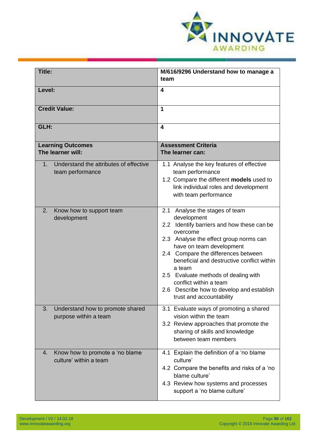

| Title:                                                                       | M/616/9296 Understand how to manage a<br>team                                                                                                                                                                                                                                                                                                                                                                           |
|------------------------------------------------------------------------------|-------------------------------------------------------------------------------------------------------------------------------------------------------------------------------------------------------------------------------------------------------------------------------------------------------------------------------------------------------------------------------------------------------------------------|
| Level:                                                                       | 4                                                                                                                                                                                                                                                                                                                                                                                                                       |
| <b>Credit Value:</b>                                                         | 1                                                                                                                                                                                                                                                                                                                                                                                                                       |
| GLH:                                                                         | $\overline{\mathbf{4}}$                                                                                                                                                                                                                                                                                                                                                                                                 |
| <b>Learning Outcomes</b><br>The learner will:                                | <b>Assessment Criteria</b><br>The learner can:                                                                                                                                                                                                                                                                                                                                                                          |
| Understand the attributes of effective<br>1 <sub>1</sub><br>team performance | 1.1 Analyse the key features of effective<br>team performance<br>1.2 Compare the different models used to<br>link individual roles and development<br>with team performance                                                                                                                                                                                                                                             |
| Know how to support team<br>2.<br>development                                | 2.1 Analyse the stages of team<br>development<br>2.2 Identify barriers and how these can be<br>overcome<br>2.3 Analyse the effect group norms can<br>have on team development<br>2.4 Compare the differences between<br>beneficial and destructive conflict within<br>a team<br>2.5 Evaluate methods of dealing with<br>conflict within a team<br>2.6 Describe how to develop and establish<br>trust and accountability |
| Understand how to promote shared<br>3.<br>purpose within a team              | 3.1 Evaluate ways of promoting a shared<br>vision within the team<br>3.2 Review approaches that promote the<br>sharing of skills and knowledge<br>between team members                                                                                                                                                                                                                                                  |
| Know how to promote a 'no blame<br>4.<br>culture' within a team              | 4.1 Explain the definition of a 'no blame<br>culture'<br>4.2 Compare the benefits and risks of a 'no<br>blame culture'<br>4.3 Review how systems and processes<br>support a 'no blame culture'                                                                                                                                                                                                                          |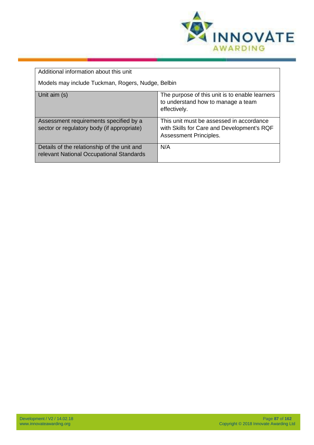

| Additional information about this unit                                                  |                                                                                                                         |
|-----------------------------------------------------------------------------------------|-------------------------------------------------------------------------------------------------------------------------|
| Models may include Tuckman, Rogers, Nudge, Belbin                                       |                                                                                                                         |
| Unit aim (s)                                                                            | The purpose of this unit is to enable learners<br>to understand how to manage a team<br>effectively.                    |
| Assessment requirements specified by a<br>sector or regulatory body (if appropriate)    | This unit must be assessed in accordance<br>with Skills for Care and Development's RQF<br><b>Assessment Principles.</b> |
| Details of the relationship of the unit and<br>relevant National Occupational Standards | N/A                                                                                                                     |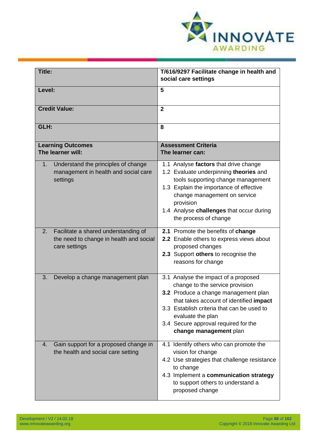

| Title:                                                                                                    | T/616/9297 Facilitate change in health and<br>social care settings                                                                                                                                                                                                                              |
|-----------------------------------------------------------------------------------------------------------|-------------------------------------------------------------------------------------------------------------------------------------------------------------------------------------------------------------------------------------------------------------------------------------------------|
| Level:                                                                                                    | 5                                                                                                                                                                                                                                                                                               |
| <b>Credit Value:</b>                                                                                      | $\overline{2}$                                                                                                                                                                                                                                                                                  |
| GLH:                                                                                                      | 8                                                                                                                                                                                                                                                                                               |
| <b>Learning Outcomes</b><br>The learner will:                                                             | <b>Assessment Criteria</b><br>The learner can:                                                                                                                                                                                                                                                  |
| Understand the principles of change<br>1 <sub>1</sub><br>management in health and social care<br>settings | 1.1 Analyse factors that drive change<br>1.2 Evaluate underpinning theories and<br>tools supporting change management<br>1.3 Explain the importance of effective<br>change management on service<br>provision<br>1.4 Analyse challenges that occur during<br>the process of change              |
| Facilitate a shared understanding of<br>2.<br>the need to change in health and social<br>care settings    | 2.1 Promote the benefits of change<br>2.2 Enable others to express views about<br>proposed changes<br>2.3 Support others to recognise the<br>reasons for change                                                                                                                                 |
| 3.<br>Develop a change management plan                                                                    | 3.1 Analyse the impact of a proposed<br>change to the service provision<br>3.2 Produce a change management plan<br>that takes account of identified impact<br>3.3 Establish criteria that can be used to<br>evaluate the plan<br>3.4 Secure approval required for the<br>change management plan |
| Gain support for a proposed change in<br>4.<br>the health and social care setting                         | 4.1 Identify others who can promote the<br>vision for change<br>4.2 Use strategies that challenge resistance<br>to change<br>4.3 Implement a communication strategy<br>to support others to understand a<br>proposed change                                                                     |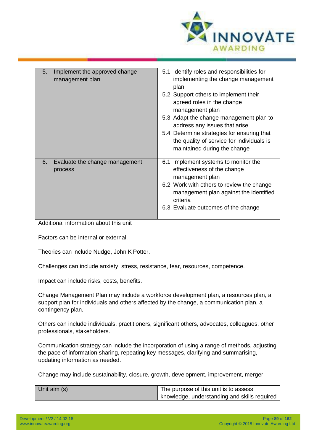

| 5.<br>Implement the approved change<br>management plan                                                                                                                                                                 | 5.1 Identify roles and responsibilities for<br>implementing the change management<br>plan<br>5.2 Support others to implement their<br>agreed roles in the change<br>management plan<br>5.3 Adapt the change management plan to<br>address any issues that arise<br>5.4 Determine strategies for ensuring that<br>the quality of service for individuals is<br>maintained during the change |  |
|------------------------------------------------------------------------------------------------------------------------------------------------------------------------------------------------------------------------|--------------------------------------------------------------------------------------------------------------------------------------------------------------------------------------------------------------------------------------------------------------------------------------------------------------------------------------------------------------------------------------------|--|
| Evaluate the change management<br>6.<br>process                                                                                                                                                                        | 6.1 Implement systems to monitor the<br>effectiveness of the change<br>management plan<br>6.2 Work with others to review the change<br>management plan against the identified<br>criteria<br>6.3 Evaluate outcomes of the change                                                                                                                                                           |  |
| Additional information about this unit                                                                                                                                                                                 |                                                                                                                                                                                                                                                                                                                                                                                            |  |
| Factors can be internal or external.                                                                                                                                                                                   |                                                                                                                                                                                                                                                                                                                                                                                            |  |
| Theories can include Nudge, John K Potter.                                                                                                                                                                             |                                                                                                                                                                                                                                                                                                                                                                                            |  |
| Challenges can include anxiety, stress, resistance, fear, resources, competence.                                                                                                                                       |                                                                                                                                                                                                                                                                                                                                                                                            |  |
| Impact can include risks, costs, benefits.                                                                                                                                                                             |                                                                                                                                                                                                                                                                                                                                                                                            |  |
| Change Management Plan may include a workforce development plan, a resources plan, a<br>support plan for individuals and others affected by the change, a communication plan, a<br>contingency plan.                   |                                                                                                                                                                                                                                                                                                                                                                                            |  |
| Others can include individuals, practitioners, significant others, advocates, colleagues, other<br>professionals, stakeholders.                                                                                        |                                                                                                                                                                                                                                                                                                                                                                                            |  |
| Communication strategy can include the incorporation of using a range of methods, adjusting<br>the pace of information sharing, repeating key messages, clarifying and summarising,<br>updating information as needed. |                                                                                                                                                                                                                                                                                                                                                                                            |  |
| Change may include sustainability, closure, growth, development, improvement, merger.                                                                                                                                  |                                                                                                                                                                                                                                                                                                                                                                                            |  |
| Unit aim (s)                                                                                                                                                                                                           | The purpose of this unit is to assess<br>knowledge, understanding and skills required                                                                                                                                                                                                                                                                                                      |  |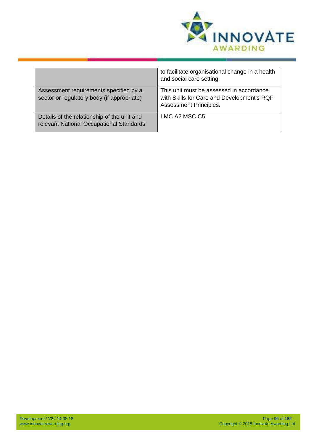

|                                                                                         | to facilitate organisational change in a health<br>and social care setting.                                      |
|-----------------------------------------------------------------------------------------|------------------------------------------------------------------------------------------------------------------|
| Assessment requirements specified by a<br>sector or regulatory body (if appropriate)    | This unit must be assessed in accordance<br>with Skills for Care and Development's RQF<br>Assessment Principles. |
| Details of the relationship of the unit and<br>relevant National Occupational Standards | LMC A2 MSC C5                                                                                                    |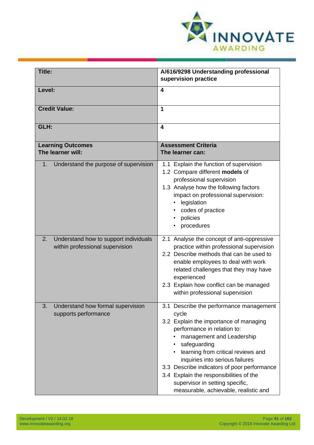

| Title:                                                                         | A/616/9298 Understanding professional<br>supervision practice                                                                                                                                                                                                                                                                                                                                                         |
|--------------------------------------------------------------------------------|-----------------------------------------------------------------------------------------------------------------------------------------------------------------------------------------------------------------------------------------------------------------------------------------------------------------------------------------------------------------------------------------------------------------------|
| Level:                                                                         | 4                                                                                                                                                                                                                                                                                                                                                                                                                     |
| <b>Credit Value:</b>                                                           | 1                                                                                                                                                                                                                                                                                                                                                                                                                     |
| GLH:                                                                           | 4                                                                                                                                                                                                                                                                                                                                                                                                                     |
| <b>Learning Outcomes</b><br>The learner will:                                  | <b>Assessment Criteria</b><br>The learner can:                                                                                                                                                                                                                                                                                                                                                                        |
| Understand the purpose of supervision<br>1.                                    | 1.1 Explain the function of supervision<br>1.2 Compare different models of<br>professional supervision<br>1.3 Analyse how the following factors<br>impact on professional supervision:<br>legislation<br>codes of practice<br>policies<br>procedures                                                                                                                                                                  |
| 2.<br>Understand how to support individuals<br>within professional supervision | 2.1 Analyse the concept of anti-oppressive<br>practice within professional supervision<br>2.2 Describe methods that can be used to<br>enable employees to deal with work<br>related challenges that they may have<br>experienced<br>2.3 Explain how conflict can be managed<br>within professional supervision                                                                                                        |
| 3.<br>Understand how formal supervision<br>supports performance                | 3.1 Describe the performance management<br>cycle<br>3.2 Explain the importance of managing<br>performance in relation to:<br>management and Leadership<br>safeguarding<br>learning from critical reviews and<br>inquiries into serious failures<br>3.3 Describe indicators of poor performance<br>3.4 Explain the responsibilities of the<br>supervisor in setting specific,<br>measurable, achievable, realistic and |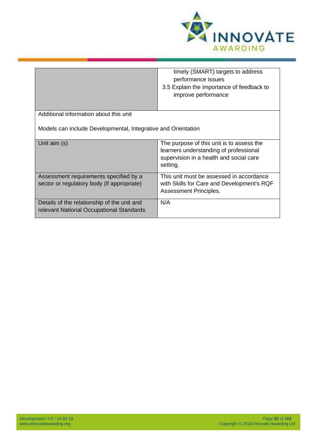

|                                                                                         | timely (SMART) targets to address<br>performance issues<br>3.5 Explain the importance of feedback to<br>improve performance                |
|-----------------------------------------------------------------------------------------|--------------------------------------------------------------------------------------------------------------------------------------------|
| Additional information about this unit                                                  |                                                                                                                                            |
| Models can include Developmental, Integrative and Orientation                           |                                                                                                                                            |
| Unit aim (s)                                                                            | The purpose of this unit is to assess the<br>learners understanding of professional<br>supervision in a health and social care<br>setting. |
| Assessment requirements specified by a<br>sector or regulatory body (if appropriate)    | This unit must be assessed in accordance<br>with Skills for Care and Development's RQF<br>Assessment Principles.                           |
| Details of the relationship of the unit and<br>relevant National Occupational Standards | N/A                                                                                                                                        |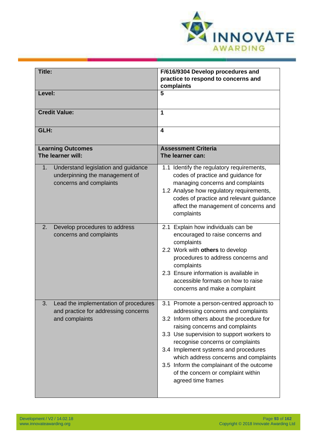

| Title:                                                                                                 | F/616/9304 Develop procedures and<br>practice to respond to concerns and<br>complaints                                                                                                                                                                                                                                                                                                                                                    |
|--------------------------------------------------------------------------------------------------------|-------------------------------------------------------------------------------------------------------------------------------------------------------------------------------------------------------------------------------------------------------------------------------------------------------------------------------------------------------------------------------------------------------------------------------------------|
| Level:                                                                                                 | 5                                                                                                                                                                                                                                                                                                                                                                                                                                         |
| <b>Credit Value:</b>                                                                                   | 1                                                                                                                                                                                                                                                                                                                                                                                                                                         |
| GLH:                                                                                                   | $\overline{\mathbf{4}}$                                                                                                                                                                                                                                                                                                                                                                                                                   |
| <b>Learning Outcomes</b><br>The learner will:                                                          | <b>Assessment Criteria</b><br>The learner can:                                                                                                                                                                                                                                                                                                                                                                                            |
| Understand legislation and guidance<br>1.<br>underpinning the management of<br>concerns and complaints | 1.1 Identify the regulatory requirements,<br>codes of practice and guidance for<br>managing concerns and complaints<br>1.2 Analyse how regulatory requirements,<br>codes of practice and relevant guidance<br>affect the management of concerns and<br>complaints                                                                                                                                                                         |
| 2.<br>Develop procedures to address<br>concerns and complaints                                         | 2.1 Explain how individuals can be<br>encouraged to raise concerns and<br>complaints<br>2.2 Work with others to develop<br>procedures to address concerns and<br>complaints<br>2.3 Ensure information is available in<br>accessible formats on how to raise<br>concerns and make a complaint                                                                                                                                              |
| 3.<br>Lead the implementation of procedures<br>and practice for addressing concerns<br>and complaints  | 3.1 Promote a person-centred approach to<br>addressing concerns and complaints<br>3.2 Inform others about the procedure for<br>raising concerns and complaints<br>3.3 Use supervision to support workers to<br>recognise concerns or complaints<br>3.4 Implement systems and procedures<br>which address concerns and complaints<br>3.5 Inform the complainant of the outcome<br>of the concern or complaint within<br>agreed time frames |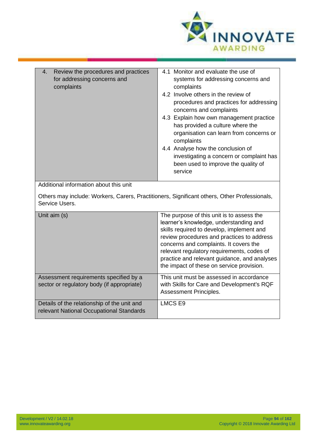

| Review the procedures and practices<br>4.<br>for addressing concerns and<br>complaints                         | 4.1 Monitor and evaluate the use of<br>systems for addressing concerns and<br>complaints<br>4.2 Involve others in the review of<br>procedures and practices for addressing<br>concerns and complaints<br>4.3 Explain how own management practice<br>has provided a culture where the<br>organisation can learn from concerns or<br>complaints<br>4.4 Analyse how the conclusion of<br>investigating a concern or complaint has<br>been used to improve the quality of<br>service |  |
|----------------------------------------------------------------------------------------------------------------|----------------------------------------------------------------------------------------------------------------------------------------------------------------------------------------------------------------------------------------------------------------------------------------------------------------------------------------------------------------------------------------------------------------------------------------------------------------------------------|--|
| Additional information about this unit                                                                         |                                                                                                                                                                                                                                                                                                                                                                                                                                                                                  |  |
| Others may include: Workers, Carers, Practitioners, Significant others, Other Professionals,<br>Service Users. |                                                                                                                                                                                                                                                                                                                                                                                                                                                                                  |  |
| Unit aim (s)                                                                                                   | The purpose of this unit is to assess the<br>learner's knowledge, understanding and<br>skills required to develop, implement and<br>review procedures and practices to address<br>concerns and complaints. It covers the<br>relevant requision, requirements, codes of                                                                                                                                                                                                           |  |

relevant regulatory requirements, codes of practice and relevant guidance, and analyses the impact of these on service provision. Assessment requirements specified by a sector or regulatory body (if appropriate) This unit must be assessed in accordance with Skills for Care and Development's RQF Assessment Principles.

|                                                                                         | ASSESSMENt Principles. |
|-----------------------------------------------------------------------------------------|------------------------|
| Details of the relationship of the unit and<br>relevant National Occupational Standards | LMCS E9                |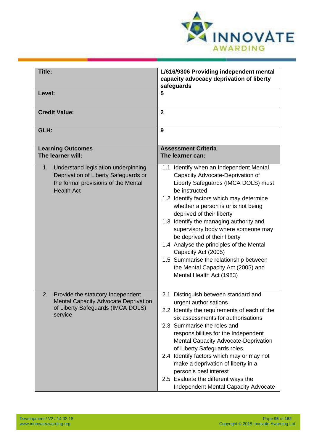

| <b>Title:</b>                                                                                                                                 | L/616/9306 Providing independent mental<br>capacity advocacy deprivation of liberty<br>safeguards                                                                                                                                                                                                                                                                                                                                                                                                                                                   |
|-----------------------------------------------------------------------------------------------------------------------------------------------|-----------------------------------------------------------------------------------------------------------------------------------------------------------------------------------------------------------------------------------------------------------------------------------------------------------------------------------------------------------------------------------------------------------------------------------------------------------------------------------------------------------------------------------------------------|
| Level:                                                                                                                                        | 5                                                                                                                                                                                                                                                                                                                                                                                                                                                                                                                                                   |
| <b>Credit Value:</b>                                                                                                                          | $\overline{2}$                                                                                                                                                                                                                                                                                                                                                                                                                                                                                                                                      |
| GLH:                                                                                                                                          | 9                                                                                                                                                                                                                                                                                                                                                                                                                                                                                                                                                   |
| <b>Learning Outcomes</b><br>The learner will:                                                                                                 | <b>Assessment Criteria</b><br>The learner can:                                                                                                                                                                                                                                                                                                                                                                                                                                                                                                      |
| Understand legislation underpinning<br>1.<br>Deprivation of Liberty Safeguards or<br>the formal provisions of the Mental<br><b>Health Act</b> | 1.1 Identify when an Independent Mental<br>Capacity Advocate-Deprivation of<br>Liberty Safeguards (IMCA DOLS) must<br>be instructed<br>1.2 Identify factors which may determine<br>whether a person is or is not being<br>deprived of their liberty<br>1.3 Identify the managing authority and<br>supervisory body where someone may<br>be deprived of their liberty<br>1.4 Analyse the principles of the Mental<br>Capacity Act (2005)<br>1.5 Summarise the relationship between<br>the Mental Capacity Act (2005) and<br>Mental Health Act (1983) |
| 2.<br>Provide the statutory Independent<br><b>Mental Capacity Advocate Deprivation</b><br>of Liberty Safeguards (IMCA DOLS)<br>service        | 2.1 Distinguish between standard and<br>urgent authorisations<br>2.2 Identify the requirements of each of the<br>six assessments for authorisations<br>2.3 Summarise the roles and<br>responsibilities for the Independent<br><b>Mental Capacity Advocate-Deprivation</b><br>of Liberty Safeguards roles<br>2.4 Identify factors which may or may not<br>make a deprivation of liberty in a<br>person's best interest<br>2.5 Evaluate the different ways the<br><b>Independent Mental Capacity Advocate</b>                                         |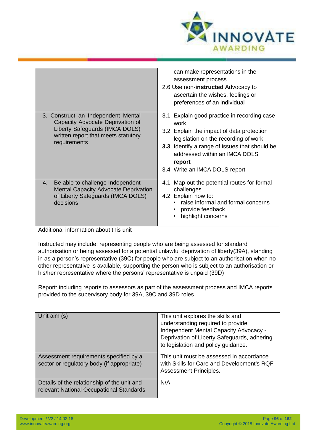

|                                                                                                                                                                                                                                                                                                                                                                                                                                                                                                                                                                                                                                                                       | can make representations in the<br>assessment process<br>2.6 Use non-instructed Advocacy to<br>ascertain the wishes, feelings or<br>preferences of an individual                                                                                                      |  |
|-----------------------------------------------------------------------------------------------------------------------------------------------------------------------------------------------------------------------------------------------------------------------------------------------------------------------------------------------------------------------------------------------------------------------------------------------------------------------------------------------------------------------------------------------------------------------------------------------------------------------------------------------------------------------|-----------------------------------------------------------------------------------------------------------------------------------------------------------------------------------------------------------------------------------------------------------------------|--|
| 3. Construct an Independent Mental<br>Capacity Advocate Deprivation of<br>Liberty Safeguards (IMCA DOLS)<br>written report that meets statutory<br>requirements                                                                                                                                                                                                                                                                                                                                                                                                                                                                                                       | 3.1 Explain good practice in recording case<br>work<br>3.2 Explain the impact of data protection<br>legislation on the recording of work<br>3.3 Identify a range of issues that should be<br>addressed within an IMCA DOLS<br>report<br>3.4 Write an IMCA DOLS report |  |
| Be able to challenge Independent<br>4.<br><b>Mental Capacity Advocate Deprivation</b><br>of Liberty Safeguards (IMCA DOLS)<br>decisions                                                                                                                                                                                                                                                                                                                                                                                                                                                                                                                               | 4.1 Map out the potential routes for formal<br>challenges<br>4.2 Explain how to:<br>raise informal and formal concerns<br>provide feedback<br>highlight concerns                                                                                                      |  |
| Additional information about this unit<br>Instructed may include: representing people who are being assessed for standard<br>authorisation or being assessed for a potential unlawful deprivation of liberty(39A), standing<br>in as a person's representative (39C) for people who are subject to an authorisation when no<br>other representative is available, supporting the person who is subject to an authorisation or<br>his/her representative where the persons' representative is unpaid (39D)<br>Report: including reports to assessors as part of the assessment process and IMCA reports<br>provided to the supervisory body for 39A, 39C and 39D roles |                                                                                                                                                                                                                                                                       |  |
| Unit aim (s)                                                                                                                                                                                                                                                                                                                                                                                                                                                                                                                                                                                                                                                          | This unit explores the skills and<br>understanding required to provide<br>Independent Mental Capacity Advocacy -<br>Deprivation of Liberty Safeguards, adhering<br>to legislation and policy guidance.                                                                |  |
| Assessment requirements specified by a<br>sector or regulatory body (if appropriate)                                                                                                                                                                                                                                                                                                                                                                                                                                                                                                                                                                                  | This unit must be assessed in accordance<br>with Skills for Care and Development's RQF<br>Assessment Principles.                                                                                                                                                      |  |
| Details of the relationship of the unit and<br>relevant National Occupational Standards                                                                                                                                                                                                                                                                                                                                                                                                                                                                                                                                                                               | N/A                                                                                                                                                                                                                                                                   |  |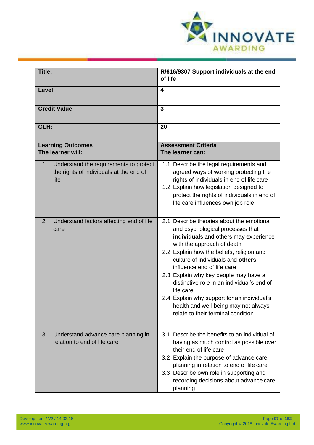

| Title:                                                                                                      | R/616/9307 Support individuals at the end<br>of life                                                                                                                                                                                                                                                                                                                                                                                                                                                  |
|-------------------------------------------------------------------------------------------------------------|-------------------------------------------------------------------------------------------------------------------------------------------------------------------------------------------------------------------------------------------------------------------------------------------------------------------------------------------------------------------------------------------------------------------------------------------------------------------------------------------------------|
| Level:                                                                                                      | 4                                                                                                                                                                                                                                                                                                                                                                                                                                                                                                     |
| <b>Credit Value:</b>                                                                                        | 3                                                                                                                                                                                                                                                                                                                                                                                                                                                                                                     |
| GLH:                                                                                                        | 20                                                                                                                                                                                                                                                                                                                                                                                                                                                                                                    |
| <b>Learning Outcomes</b><br>The learner will:                                                               | <b>Assessment Criteria</b><br>The learner can:                                                                                                                                                                                                                                                                                                                                                                                                                                                        |
| Understand the requirements to protect<br>1 <sub>1</sub><br>the rights of individuals at the end of<br>life | 1.1 Describe the legal requirements and<br>agreed ways of working protecting the<br>rights of individuals in end of life care<br>1.2 Explain how legislation designed to<br>protect the rights of individuals in end of<br>life care influences own job role                                                                                                                                                                                                                                          |
| Understand factors affecting end of life<br>2.<br>care                                                      | 2.1 Describe theories about the emotional<br>and psychological processes that<br>individuals and others may experience<br>with the approach of death<br>2.2 Explain how the beliefs, religion and<br>culture of individuals and others<br>influence end of life care<br>2.3 Explain why key people may have a<br>distinctive role in an individual's end of<br>life care<br>2.4 Explain why support for an individual's<br>health and well-being may not always<br>relate to their terminal condition |
| Understand advance care planning in<br>3.<br>relation to end of life care                                   | 3.1 Describe the benefits to an individual of<br>having as much control as possible over<br>their end of life care<br>3.2 Explain the purpose of advance care<br>planning in relation to end of life care<br>3.3 Describe own role in supporting and<br>recording decisions about advance care<br>planning                                                                                                                                                                                            |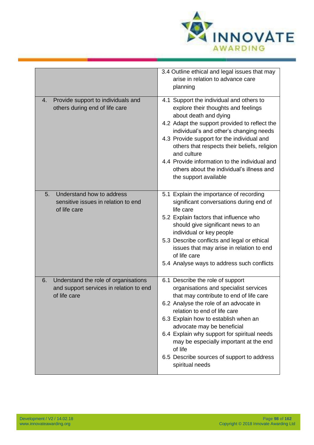

|                                                                                                       | 3.4 Outline ethical and legal issues that may<br>arise in relation to advance care<br>planning                                                                                                                                                                                                                                                                                                                                            |
|-------------------------------------------------------------------------------------------------------|-------------------------------------------------------------------------------------------------------------------------------------------------------------------------------------------------------------------------------------------------------------------------------------------------------------------------------------------------------------------------------------------------------------------------------------------|
| Provide support to individuals and<br>4.<br>others during end of life care                            | 4.1 Support the individual and others to<br>explore their thoughts and feelings<br>about death and dying<br>4.2 Adapt the support provided to reflect the<br>individual's and other's changing needs<br>4.3 Provide support for the individual and<br>others that respects their beliefs, religion<br>and culture<br>4.4 Provide information to the individual and<br>others about the individual's illness and<br>the support available  |
| Understand how to address<br>5.<br>sensitive issues in relation to end<br>of life care                | 5.1 Explain the importance of recording<br>significant conversations during end of<br>life care<br>5.2 Explain factors that influence who<br>should give significant news to an<br>individual or key people<br>5.3 Describe conflicts and legal or ethical<br>issues that may arise in relation to end<br>of life care<br>5.4 Analyse ways to address such conflicts                                                                      |
| Understand the role of organisations<br>6.<br>and support services in relation to end<br>of life care | 6.1 Describe the role of support<br>organisations and specialist services<br>that may contribute to end of life care<br>6.2 Analyse the role of an advocate in<br>relation to end of life care<br>6.3 Explain how to establish when an<br>advocate may be beneficial<br>6.4 Explain why support for spiritual needs<br>may be especially important at the end<br>of life<br>6.5 Describe sources of support to address<br>spiritual needs |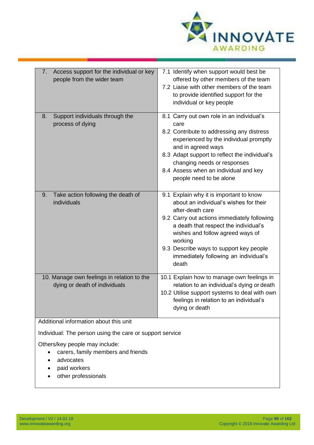

| Access support for the individual or key<br>7.<br>people from the wider team                       | 7.1 Identify when support would best be<br>offered by other members of the team<br>7.2 Liaise with other members of the team<br>to provide identified support for the<br>individual or key people                                                                                                                                         |
|----------------------------------------------------------------------------------------------------|-------------------------------------------------------------------------------------------------------------------------------------------------------------------------------------------------------------------------------------------------------------------------------------------------------------------------------------------|
| Support individuals through the<br>8.<br>process of dying                                          | 8.1 Carry out own role in an individual's<br>care<br>8.2 Contribute to addressing any distress<br>experienced by the individual promptly<br>and in agreed ways<br>8.3 Adapt support to reflect the individual's<br>changing needs or responses<br>8.4 Assess when an individual and key<br>people need to be alone                        |
| Take action following the death of<br>9.<br>individuals                                            | 9.1 Explain why it is important to know<br>about an individual's wishes for their<br>after-death care<br>9.2 Carry out actions immediately following<br>a death that respect the individual's<br>wishes and follow agreed ways of<br>working<br>9.3 Describe ways to support key people<br>immediately following an individual's<br>death |
| 10. Manage own feelings in relation to the<br>dying or death of individuals                        | 10.1 Explain how to manage own feelings in<br>relation to an individual's dying or death<br>10.2 Utilise support systems to deal with own<br>feelings in relation to an individual's<br>dying or death                                                                                                                                    |
| Additional information about this unit<br>Individual: The person using the care or support service |                                                                                                                                                                                                                                                                                                                                           |

Others/key people may include:

- carers, family members and friends
- advocates
- paid workers
- other professionals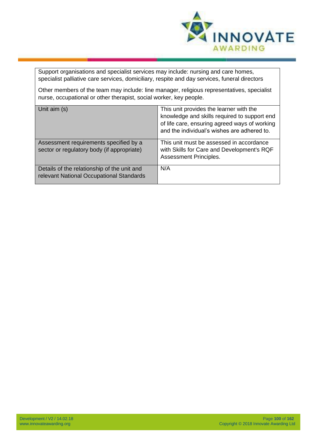

Support organisations and specialist services may include: nursing and care homes, specialist palliative care services, domiciliary, respite and day services, funeral directors

Other members of the team may include: line manager, religious representatives, specialist nurse, occupational or other therapist, social worker, key people.

| Unit aim (s)                                                                            | This unit provides the learner with the<br>knowledge and skills required to support end<br>of life care, ensuring agreed ways of working<br>and the individual's wishes are adhered to. |
|-----------------------------------------------------------------------------------------|-----------------------------------------------------------------------------------------------------------------------------------------------------------------------------------------|
| Assessment requirements specified by a<br>sector or regulatory body (if appropriate)    | This unit must be assessed in accordance<br>with Skills for Care and Development's RQF<br>Assessment Principles.                                                                        |
| Details of the relationship of the unit and<br>relevant National Occupational Standards | N/A                                                                                                                                                                                     |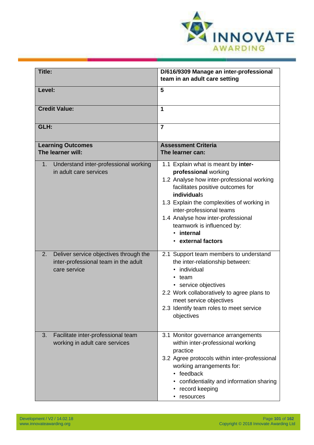

| Title:                                                                                               | D/616/9309 Manage an inter-professional<br>team in an adult care setting                                                                                                                                                                                                                                                                      |
|------------------------------------------------------------------------------------------------------|-----------------------------------------------------------------------------------------------------------------------------------------------------------------------------------------------------------------------------------------------------------------------------------------------------------------------------------------------|
| Level:                                                                                               | 5                                                                                                                                                                                                                                                                                                                                             |
| <b>Credit Value:</b>                                                                                 | 1                                                                                                                                                                                                                                                                                                                                             |
| GLH:                                                                                                 | $\overline{7}$                                                                                                                                                                                                                                                                                                                                |
| <b>Learning Outcomes</b><br>The learner will:                                                        | <b>Assessment Criteria</b><br>The learner can:                                                                                                                                                                                                                                                                                                |
| Understand inter-professional working<br>1.<br>in adult care services                                | 1.1 Explain what is meant by inter-<br>professional working<br>1.2 Analyse how inter-professional working<br>facilitates positive outcomes for<br>individuals<br>1.3 Explain the complexities of working in<br>inter-professional teams<br>1.4 Analyse how inter-professional<br>teamwork is influenced by:<br>• internal<br>external factors |
| Deliver service objectives through the<br>2.<br>inter-professional team in the adult<br>care service | 2.1 Support team members to understand<br>the inter-relationship between:<br>individual<br>$\bullet$<br>team<br>service objectives<br>2.2 Work collaboratively to agree plans to<br>meet service objectives<br>2.3 Identify team roles to meet service<br>objectives                                                                          |
| Facilitate inter-professional team<br>3.<br>working in adult care services                           | 3.1 Monitor governance arrangements<br>within inter-professional working<br>practice<br>3.2 Agree protocols within inter-professional<br>working arrangements for:<br>• feedback<br>• confidentiality and information sharing<br>record keeping<br>resources                                                                                  |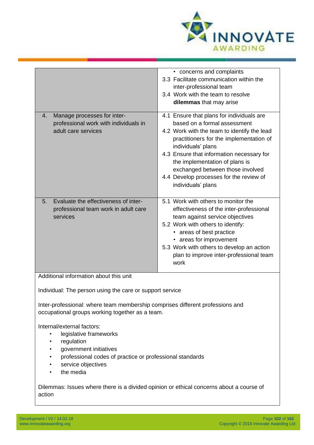

| Manage processes for inter-<br>4.                                                                                                                                                           | • concerns and complaints<br>3.3 Facilitate communication within the<br>inter-professional team<br>3.4 Work with the team to resolve<br>dilemmas that may arise<br>4.1 Ensure that plans for individuals are                                                                                                                     |
|---------------------------------------------------------------------------------------------------------------------------------------------------------------------------------------------|----------------------------------------------------------------------------------------------------------------------------------------------------------------------------------------------------------------------------------------------------------------------------------------------------------------------------------|
| professional work with individuals in<br>adult care services                                                                                                                                | based on a formal assessment<br>4.2 Work with the team to identify the lead<br>practitioners for the implementation of<br>individuals' plans<br>4.3 Ensure that information necessary for<br>the implementation of plans is<br>exchanged between those involved<br>4.4 Develop processes for the review of<br>individuals' plans |
| Evaluate the effectiveness of inter-<br>5.<br>professional team work in adult care<br>services                                                                                              | 5.1 Work with others to monitor the<br>effectiveness of the inter-professional<br>team against service objectives<br>5.2 Work with others to identify:<br>• areas of best practice<br>• areas for improvement<br>5.3 Work with others to develop an action<br>plan to improve inter-professional team<br>work                    |
| Additional information about this unit<br>Individual: The person using the care or support service                                                                                          |                                                                                                                                                                                                                                                                                                                                  |
| Inter-professional: where team membership comprises different professions and<br>occupational groups working together as a team.                                                            |                                                                                                                                                                                                                                                                                                                                  |
| Internal/external factors:<br>legislative frameworks<br>regulation<br>government initiatives<br>professional codes of practice or professional standards<br>service objectives<br>the media |                                                                                                                                                                                                                                                                                                                                  |
| Dilemmas: Issues where there is a divided opinion or ethical concerns about a course of<br>action                                                                                           |                                                                                                                                                                                                                                                                                                                                  |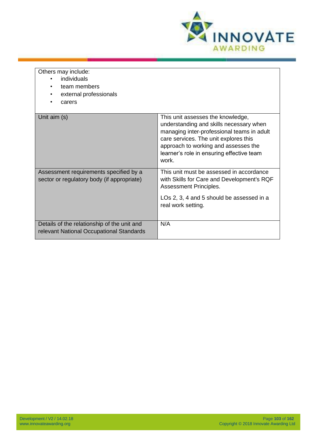

Others may include:

- individuals
- team members
- external professionals
- carers

| Unit aim (s)                                                                            | This unit assesses the knowledge,<br>understanding and skills necessary when<br>managing inter-professional teams in adult<br>care services. The unit explores this<br>approach to working and assesses the<br>learner's role in ensuring effective team<br>work. |
|-----------------------------------------------------------------------------------------|-------------------------------------------------------------------------------------------------------------------------------------------------------------------------------------------------------------------------------------------------------------------|
| Assessment requirements specified by a<br>sector or regulatory body (if appropriate)    | This unit must be assessed in accordance<br>with Skills for Care and Development's RQF<br><b>Assessment Principles.</b>                                                                                                                                           |
|                                                                                         | LOs 2, 3, 4 and 5 should be assessed in a<br>real work setting.                                                                                                                                                                                                   |
| Details of the relationship of the unit and<br>relevant National Occupational Standards | N/A                                                                                                                                                                                                                                                               |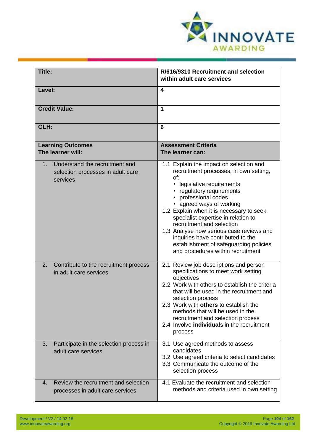

| <b>Title:</b>                                                                              | R/616/9310 Recruitment and selection<br>within adult care services                                                                                                                                                                                                                                                                                                                                                                                                                    |
|--------------------------------------------------------------------------------------------|---------------------------------------------------------------------------------------------------------------------------------------------------------------------------------------------------------------------------------------------------------------------------------------------------------------------------------------------------------------------------------------------------------------------------------------------------------------------------------------|
| Level:                                                                                     | 4                                                                                                                                                                                                                                                                                                                                                                                                                                                                                     |
| <b>Credit Value:</b>                                                                       | 1                                                                                                                                                                                                                                                                                                                                                                                                                                                                                     |
| GLH:                                                                                       | 6                                                                                                                                                                                                                                                                                                                                                                                                                                                                                     |
| <b>Learning Outcomes</b><br>The learner will:                                              | <b>Assessment Criteria</b><br>The learner can:                                                                                                                                                                                                                                                                                                                                                                                                                                        |
| Understand the recruitment and<br>$1_{-}$<br>selection processes in adult care<br>services | 1.1 Explain the impact on selection and<br>recruitment processes, in own setting,<br>of:<br>• legislative requirements<br>regulatory requirements<br>• professional codes<br>• agreed ways of working<br>1.2 Explain when it is necessary to seek<br>specialist expertise in relation to<br>recruitment and selection<br>1.3 Analyse how serious case reviews and<br>inquiries have contributed to the<br>establishment of safeguarding policies<br>and procedures within recruitment |
| 2.<br>Contribute to the recruitment process<br>in adult care services                      | 2.1 Review job descriptions and person<br>specifications to meet work setting<br>objectives<br>2.2 Work with others to establish the criteria<br>that will be used in the recruitment and<br>selection process<br>2.3 Work with others to establish the<br>methods that will be used in the<br>recruitment and selection process<br>2.4 Involve individuals in the recruitment<br>process                                                                                             |
| Participate in the selection process in<br>3.<br>adult care services                       | 3.1 Use agreed methods to assess<br>candidates<br>3.2 Use agreed criteria to select candidates<br>3.3 Communicate the outcome of the<br>selection process                                                                                                                                                                                                                                                                                                                             |
| Review the recruitment and selection<br>4.<br>processes in adult care services             | 4.1 Evaluate the recruitment and selection<br>methods and criteria used in own setting                                                                                                                                                                                                                                                                                                                                                                                                |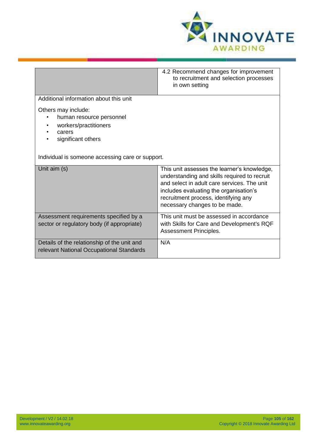

|                                                                                                          | 4.2 Recommend changes for improvement<br>to recruitment and selection processes<br>in own setting                                                                                                                                                             |
|----------------------------------------------------------------------------------------------------------|---------------------------------------------------------------------------------------------------------------------------------------------------------------------------------------------------------------------------------------------------------------|
| Additional information about this unit                                                                   |                                                                                                                                                                                                                                                               |
| Others may include:<br>human resource personnel<br>workers/practitioners<br>carers<br>significant others |                                                                                                                                                                                                                                                               |
| Individual is someone accessing care or support.                                                         |                                                                                                                                                                                                                                                               |
| Unit aim (s)                                                                                             | This unit assesses the learner's knowledge,<br>understanding and skills required to recruit<br>and select in adult care services. The unit<br>includes evaluating the organisation's<br>recruitment process, identifying any<br>necessary changes to be made. |
| Assessment requirements specified by a<br>sector or regulatory body (if appropriate)                     | This unit must be assessed in accordance<br>with Skills for Care and Development's RQF<br>Assessment Principles.                                                                                                                                              |
| Details of the relationship of the unit and<br>relevant National Occupational Standards                  | N/A                                                                                                                                                                                                                                                           |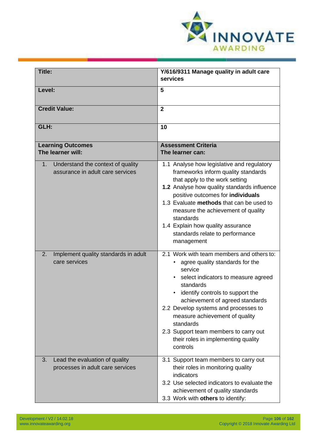

| Title:                                                                      | Y/616/9311 Manage quality in adult care                                                                                                                                                                                                                                                                                                                                                               |
|-----------------------------------------------------------------------------|-------------------------------------------------------------------------------------------------------------------------------------------------------------------------------------------------------------------------------------------------------------------------------------------------------------------------------------------------------------------------------------------------------|
|                                                                             | services                                                                                                                                                                                                                                                                                                                                                                                              |
| Level:                                                                      | 5                                                                                                                                                                                                                                                                                                                                                                                                     |
| <b>Credit Value:</b>                                                        | $\overline{2}$                                                                                                                                                                                                                                                                                                                                                                                        |
| GLH:                                                                        | 10                                                                                                                                                                                                                                                                                                                                                                                                    |
| <b>Learning Outcomes</b><br>The learner will:                               | <b>Assessment Criteria</b><br>The learner can:                                                                                                                                                                                                                                                                                                                                                        |
| Understand the context of quality<br>1.<br>assurance in adult care services | 1.1 Analyse how legislative and regulatory<br>frameworks inform quality standards<br>that apply to the work setting<br>1.2 Analyse how quality standards influence<br>positive outcomes for individuals<br>1.3 Evaluate methods that can be used to<br>measure the achievement of quality<br>standards<br>1.4 Explain how quality assurance<br>standards relate to performance<br>management          |
| Implement quality standards in adult<br>2.<br>care services                 | 2.1 Work with team members and others to:<br>agree quality standards for the<br>service<br>select indicators to measure agreed<br>standards<br>identify controls to support the<br>achievement of agreed standards<br>2.2 Develop systems and processes to<br>measure achievement of quality<br>standards<br>2.3 Support team members to carry out<br>their roles in implementing quality<br>controls |
| Lead the evaluation of quality<br>3.<br>processes in adult care services    | 3.1 Support team members to carry out<br>their roles in monitoring quality<br>indicators<br>3.2 Use selected indicators to evaluate the<br>achievement of quality standards<br>3.3 Work with others to identify:                                                                                                                                                                                      |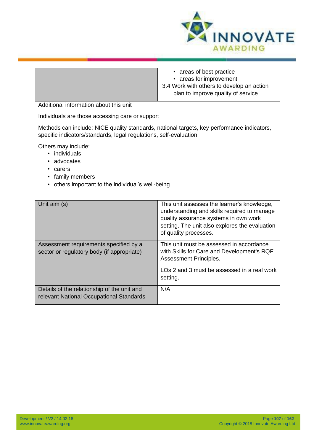

|                                                                                                                                                                 | • areas of best practice<br>• areas for improvement<br>3.4 Work with others to develop an action<br>plan to improve quality of service                                                                         |
|-----------------------------------------------------------------------------------------------------------------------------------------------------------------|----------------------------------------------------------------------------------------------------------------------------------------------------------------------------------------------------------------|
| Additional information about this unit                                                                                                                          |                                                                                                                                                                                                                |
| Individuals are those accessing care or support                                                                                                                 |                                                                                                                                                                                                                |
| Methods can include: NICE quality standards, national targets, key performance indicators,<br>specific indicators/standards, legal regulations, self-evaluation |                                                                                                                                                                                                                |
| Others may include:<br>· individuals<br>advocates<br>carers<br>family members<br>others important to the individual's well-being                                |                                                                                                                                                                                                                |
| Unit aim (s)                                                                                                                                                    | This unit assesses the learner's knowledge,<br>understanding and skills required to manage<br>quality assurance systems in own work<br>setting. The unit also explores the evaluation<br>of quality processes. |
| Assessment requirements specified by a<br>sector or regulatory body (if appropriate)                                                                            | This unit must be assessed in accordance<br>with Skills for Care and Development's RQF<br>Assessment Principles.<br>LOs 2 and 3 must be assessed in a real work<br>setting.                                    |
| Details of the relationship of the unit and<br>relevant National Occupational Standards                                                                         | N/A                                                                                                                                                                                                            |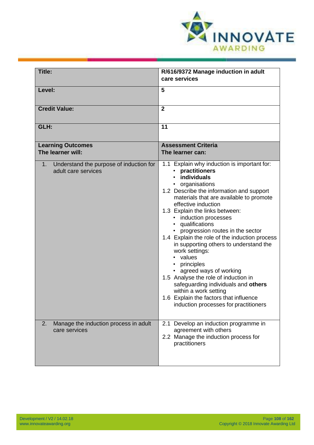

| Title:                                                               | R/616/9372 Manage induction in adult<br>care services                                                                                                                                                                                                                                                                                                                                                                                                                                                                                                                                                                                                                                           |
|----------------------------------------------------------------------|-------------------------------------------------------------------------------------------------------------------------------------------------------------------------------------------------------------------------------------------------------------------------------------------------------------------------------------------------------------------------------------------------------------------------------------------------------------------------------------------------------------------------------------------------------------------------------------------------------------------------------------------------------------------------------------------------|
| Level:                                                               | 5                                                                                                                                                                                                                                                                                                                                                                                                                                                                                                                                                                                                                                                                                               |
| <b>Credit Value:</b>                                                 | $\mathbf{2}$                                                                                                                                                                                                                                                                                                                                                                                                                                                                                                                                                                                                                                                                                    |
| GLH:                                                                 | 11                                                                                                                                                                                                                                                                                                                                                                                                                                                                                                                                                                                                                                                                                              |
| <b>Learning Outcomes</b><br>The learner will:                        | <b>Assessment Criteria</b><br>The learner can:                                                                                                                                                                                                                                                                                                                                                                                                                                                                                                                                                                                                                                                  |
| Understand the purpose of induction for<br>1.<br>adult care services | 1.1 Explain why induction is important for:<br>practitioners<br>individuals<br>organisations<br>1.2 Describe the information and support<br>materials that are available to promote<br>effective induction<br>1.3 Explain the links between:<br>• induction processes<br>• qualifications<br>• progression routes in the sector<br>1.4 Explain the role of the induction process<br>in supporting others to understand the<br>work settings:<br>• values<br>• principles<br>• agreed ways of working<br>1.5 Analyse the role of induction in<br>safeguarding individuals and others<br>within a work setting<br>1.6 Explain the factors that influence<br>induction processes for practitioners |
| Manage the induction process in adult<br>2.<br>care services         | 2.1 Develop an induction programme in<br>agreement with others<br>2.2 Manage the induction process for<br>practitioners                                                                                                                                                                                                                                                                                                                                                                                                                                                                                                                                                                         |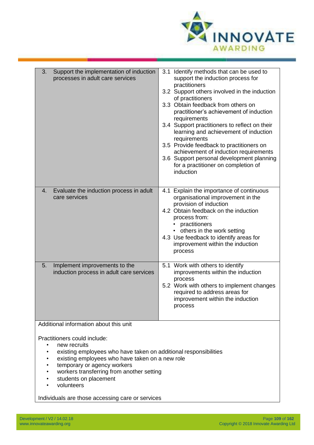

| Support the implementation of induction<br>3.<br>processes in adult care services                                        | 3.1 Identify methods that can be used to<br>support the induction process for<br>practitioners<br>3.2 Support others involved in the induction<br>of practitioners<br>3.3 Obtain feedback from others on<br>practitioner's achievement of induction<br>requirements<br>Support practitioners to reflect on their<br>3.4<br>learning and achievement of induction<br>requirements<br>3.5 Provide feedback to practitioners on<br>achievement of induction requirements<br>3.6 Support personal development planning<br>for a practitioner on completion of<br>induction |
|--------------------------------------------------------------------------------------------------------------------------|------------------------------------------------------------------------------------------------------------------------------------------------------------------------------------------------------------------------------------------------------------------------------------------------------------------------------------------------------------------------------------------------------------------------------------------------------------------------------------------------------------------------------------------------------------------------|
| Evaluate the induction process in adult<br>4.                                                                            | 4.1 Explain the importance of continuous                                                                                                                                                                                                                                                                                                                                                                                                                                                                                                                               |
| care services                                                                                                            | organisational improvement in the<br>provision of induction                                                                                                                                                                                                                                                                                                                                                                                                                                                                                                            |
|                                                                                                                          | 4.2 Obtain feedback on the induction                                                                                                                                                                                                                                                                                                                                                                                                                                                                                                                                   |
|                                                                                                                          | process from:<br>practitioners                                                                                                                                                                                                                                                                                                                                                                                                                                                                                                                                         |
|                                                                                                                          | • others in the work setting<br>4.3 Use feedback to identify areas for                                                                                                                                                                                                                                                                                                                                                                                                                                                                                                 |
|                                                                                                                          | improvement within the induction                                                                                                                                                                                                                                                                                                                                                                                                                                                                                                                                       |
|                                                                                                                          | process                                                                                                                                                                                                                                                                                                                                                                                                                                                                                                                                                                |
| Implement improvements to the<br>5.<br>induction process in adult care services                                          | 5.1 Work with others to identify<br>improvements within the induction                                                                                                                                                                                                                                                                                                                                                                                                                                                                                                  |
|                                                                                                                          | process                                                                                                                                                                                                                                                                                                                                                                                                                                                                                                                                                                |
|                                                                                                                          | 5.2 Work with others to implement changes<br>required to address areas for                                                                                                                                                                                                                                                                                                                                                                                                                                                                                             |
|                                                                                                                          | improvement within the induction                                                                                                                                                                                                                                                                                                                                                                                                                                                                                                                                       |
|                                                                                                                          | process                                                                                                                                                                                                                                                                                                                                                                                                                                                                                                                                                                |
| Additional information about this unit                                                                                   |                                                                                                                                                                                                                                                                                                                                                                                                                                                                                                                                                                        |
| Practitioners could include:                                                                                             |                                                                                                                                                                                                                                                                                                                                                                                                                                                                                                                                                                        |
| new recruits                                                                                                             |                                                                                                                                                                                                                                                                                                                                                                                                                                                                                                                                                                        |
| existing employees who have taken on additional responsibilities<br>٠<br>existing employees who have taken on a new role |                                                                                                                                                                                                                                                                                                                                                                                                                                                                                                                                                                        |
| temporary or agency workers                                                                                              |                                                                                                                                                                                                                                                                                                                                                                                                                                                                                                                                                                        |
| workers transferring from another setting                                                                                |                                                                                                                                                                                                                                                                                                                                                                                                                                                                                                                                                                        |

- students on placement
- volunteers

Individuals are those accessing care or services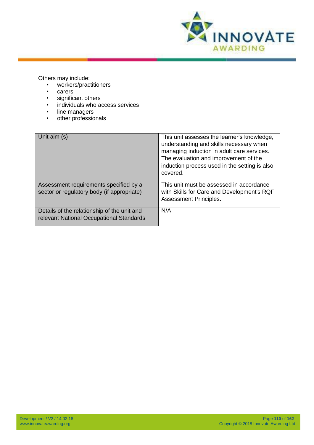

Others may include:

- workers/practitioners
- carers<br>• signific
- significant others
- individuals who access services
- line managers
- other professionals

| Unit aim (s)                                                                            | This unit assesses the learner's knowledge,<br>understanding and skills necessary when<br>managing induction in adult care services.<br>The evaluation and improvement of the<br>induction process used in the setting is also<br>covered. |
|-----------------------------------------------------------------------------------------|--------------------------------------------------------------------------------------------------------------------------------------------------------------------------------------------------------------------------------------------|
| Assessment requirements specified by a<br>sector or regulatory body (if appropriate)    | This unit must be assessed in accordance<br>with Skills for Care and Development's RQF<br>Assessment Principles.                                                                                                                           |
| Details of the relationship of the unit and<br>relevant National Occupational Standards | N/A                                                                                                                                                                                                                                        |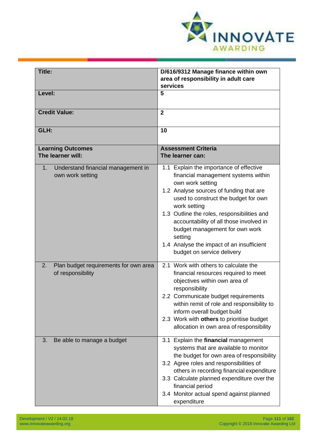

| Title:                                                           | D/616/9312 Manage finance within own<br>area of responsibility in adult care<br>services                                                                                                                                                                                                                                                                                                                                |
|------------------------------------------------------------------|-------------------------------------------------------------------------------------------------------------------------------------------------------------------------------------------------------------------------------------------------------------------------------------------------------------------------------------------------------------------------------------------------------------------------|
| Level:                                                           | 5                                                                                                                                                                                                                                                                                                                                                                                                                       |
| <b>Credit Value:</b>                                             | $\overline{2}$                                                                                                                                                                                                                                                                                                                                                                                                          |
| GLH:                                                             | 10                                                                                                                                                                                                                                                                                                                                                                                                                      |
| <b>Learning Outcomes</b><br>The learner will:                    | <b>Assessment Criteria</b><br>The learner can:                                                                                                                                                                                                                                                                                                                                                                          |
| Understand financial management in<br>1.<br>own work setting     | 1.1 Explain the importance of effective<br>financial management systems within<br>own work setting<br>1.2 Analyse sources of funding that are<br>used to construct the budget for own<br>work setting<br>1.3 Outline the roles, responsibilities and<br>accountability of all those involved in<br>budget management for own work<br>setting<br>1.4 Analyse the impact of an insufficient<br>budget on service delivery |
| 2.<br>Plan budget requirements for own area<br>of responsibility | 2.1 Work with others to calculate the<br>financial resources required to meet<br>objectives within own area of<br>responsibility<br>2.2 Communicate budget requirements<br>within remit of role and responsibility to<br>inform overall budget build<br>2.3 Work with others to prioritise budget<br>allocation in own area of responsibility                                                                           |
| Be able to manage a budget<br>3.                                 | 3.1 Explain the financial management<br>systems that are available to monitor<br>the budget for own area of responsibility<br>3.2 Agree roles and responsibilities of<br>others in recording financial expenditure<br>3.3 Calculate planned expenditure over the<br>financial period<br>3.4 Monitor actual spend against planned<br>expenditure                                                                         |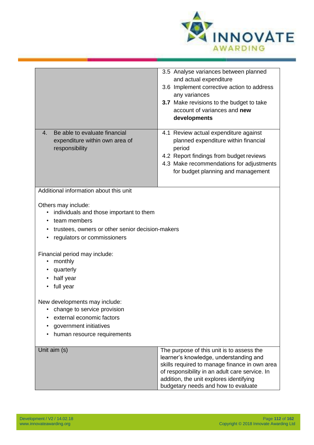

|                                                                                                                                                                                | 3.5 Analyse variances between planned<br>and actual expenditure<br>3.6 Implement corrective action to address<br>any variances<br>3.7 Make revisions to the budget to take<br>account of variances and new<br>developments                                               |
|--------------------------------------------------------------------------------------------------------------------------------------------------------------------------------|--------------------------------------------------------------------------------------------------------------------------------------------------------------------------------------------------------------------------------------------------------------------------|
| Be able to evaluate financial<br>4.<br>expenditure within own area of<br>responsibility                                                                                        | 4.1 Review actual expenditure against<br>planned expenditure within financial<br>period<br>4.2 Report findings from budget reviews<br>4.3 Make recommendations for adjustments<br>for budget planning and management                                                     |
| Additional information about this unit                                                                                                                                         |                                                                                                                                                                                                                                                                          |
| Others may include:<br>individuals and those important to them<br>$\bullet$<br>team members<br>trustees, owners or other senior decision-makers<br>regulators or commissioners |                                                                                                                                                                                                                                                                          |
| Financial period may include:<br>monthly<br>$\bullet$<br>quarterly<br>half year<br>full year                                                                                   |                                                                                                                                                                                                                                                                          |
| New developments may include:<br>change to service provision<br>external economic factors<br>government initiatives<br>human resource requirements                             |                                                                                                                                                                                                                                                                          |
| Unit aim (s)                                                                                                                                                                   | The purpose of this unit is to assess the<br>learner's knowledge, understanding and<br>skills required to manage finance in own area<br>of responsibility in an adult care service. In<br>addition, the unit explores identifying<br>budgetary needs and how to evaluate |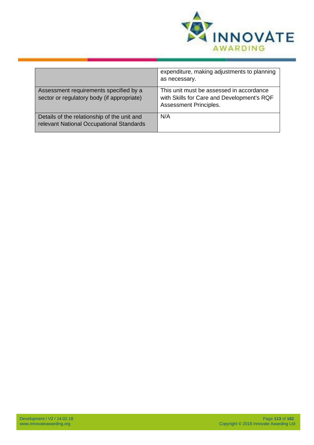

|                                                                                         | expenditure, making adjustments to planning<br>as necessary.                                                     |
|-----------------------------------------------------------------------------------------|------------------------------------------------------------------------------------------------------------------|
| Assessment requirements specified by a<br>sector or regulatory body (if appropriate)    | This unit must be assessed in accordance<br>with Skills for Care and Development's RQF<br>Assessment Principles. |
| Details of the relationship of the unit and<br>relevant National Occupational Standards | N/A                                                                                                              |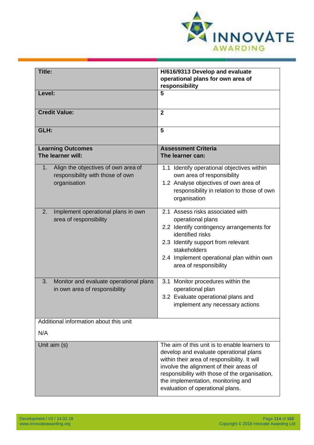

| <b>Title:</b>                                                                                 | H/616/9313 Develop and evaluate<br>operational plans for own area of<br>responsibility                                                                                                                                                                                                                         |
|-----------------------------------------------------------------------------------------------|----------------------------------------------------------------------------------------------------------------------------------------------------------------------------------------------------------------------------------------------------------------------------------------------------------------|
| Level:                                                                                        | 5                                                                                                                                                                                                                                                                                                              |
| <b>Credit Value:</b>                                                                          | $\overline{2}$                                                                                                                                                                                                                                                                                                 |
| GLH:                                                                                          | 5                                                                                                                                                                                                                                                                                                              |
| <b>Learning Outcomes</b><br>The learner will:                                                 | <b>Assessment Criteria</b><br>The learner can:                                                                                                                                                                                                                                                                 |
| Align the objectives of own area of<br>1.<br>responsibility with those of own<br>organisation | 1.1 Identify operational objectives within<br>own area of responsibility<br>1.2 Analyse objectives of own area of<br>responsibility in relation to those of own<br>organisation                                                                                                                                |
| Implement operational plans in own<br>2.<br>area of responsibility                            | 2.1 Assess risks associated with<br>operational plans<br>2.2 Identify contingency arrangements for<br>identified risks<br>2.3 Identify support from relevant<br>stakeholders<br>2.4 Implement operational plan within own<br>area of responsibility                                                            |
| Monitor and evaluate operational plans<br>3.<br>in own area of responsibility                 | 3.1 Monitor procedures within the<br>operational plan<br>3.2 Evaluate operational plans and<br>implement any necessary actions                                                                                                                                                                                 |
| Additional information about this unit                                                        |                                                                                                                                                                                                                                                                                                                |
| N/A                                                                                           |                                                                                                                                                                                                                                                                                                                |
| Unit aim (s)                                                                                  | The aim of this unit is to enable learners to<br>develop and evaluate operational plans<br>within their area of responsibility. It will<br>involve the alignment of their areas of<br>responsibility with those of the organisation,<br>the implementation, monitoring and<br>evaluation of operational plans. |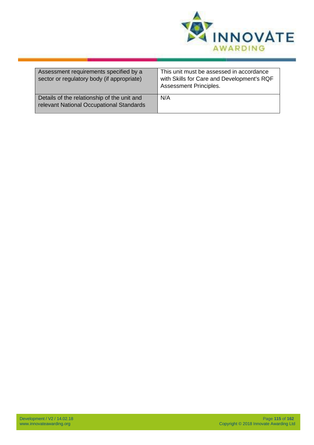

| Assessment requirements specified by a<br>sector or regulatory body (if appropriate)    | This unit must be assessed in accordance<br>with Skills for Care and Development's RQF<br><b>Assessment Principles.</b> |
|-----------------------------------------------------------------------------------------|-------------------------------------------------------------------------------------------------------------------------|
| Details of the relationship of the unit and<br>relevant National Occupational Standards | N/A                                                                                                                     |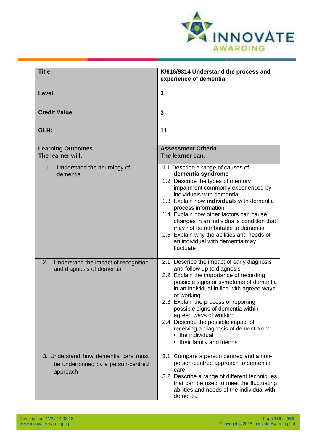

| Title:                                                                                 | K/616/9314 Understand the process and                                                                                                                                                                                                                                                                                                                                                                                                                          |
|----------------------------------------------------------------------------------------|----------------------------------------------------------------------------------------------------------------------------------------------------------------------------------------------------------------------------------------------------------------------------------------------------------------------------------------------------------------------------------------------------------------------------------------------------------------|
|                                                                                        | experience of dementia                                                                                                                                                                                                                                                                                                                                                                                                                                         |
| Level:                                                                                 | $\overline{3}$                                                                                                                                                                                                                                                                                                                                                                                                                                                 |
| <b>Credit Value:</b>                                                                   | $\overline{3}$                                                                                                                                                                                                                                                                                                                                                                                                                                                 |
| GLH:                                                                                   | 11                                                                                                                                                                                                                                                                                                                                                                                                                                                             |
| <b>Learning Outcomes</b><br>The learner will:                                          | <b>Assessment Criteria</b><br>The learner can:                                                                                                                                                                                                                                                                                                                                                                                                                 |
| 1.<br>Understand the neurology of<br>dementia                                          | 1.1 Describe a range of causes of<br>dementia syndrome<br>1.2 Describe the types of memory<br>impairment commonly experienced by<br>individuals with dementia<br>1.3 Explain how individuals with dementia<br>process information<br>1.4 Explain how other factors can cause<br>changes in an individual's condition that<br>may not be attributable to dementia<br>1.5 Explain why the abilities and needs of<br>an individual with dementia may<br>fluctuate |
| 2.<br>Understand the impact of recognition<br>and diagnosis of dementia                | 2.1 Describe the impact of early diagnosis<br>and follow up to diagnosis<br>2.2 Explain the importance of recording<br>possible signs or symptoms of dementia<br>in an individual in line with agreed ways<br>of working<br>2.3 Explain the process of reporting<br>possible signs of dementia within<br>agreed ways of working<br>2.4 Describe the possible impact of<br>receiving a diagnosis of dementia on:<br>the individual<br>their family and friends  |
| 3. Understand how dementia care must<br>be underpinned by a person-centred<br>approach | 3.1 Compare a person centred and a non-<br>person-centred approach to dementia<br>care<br>3.2 Describe a range of different techniques<br>that can be used to meet the fluctuating<br>abilities and needs of the individual with<br>dementia                                                                                                                                                                                                                   |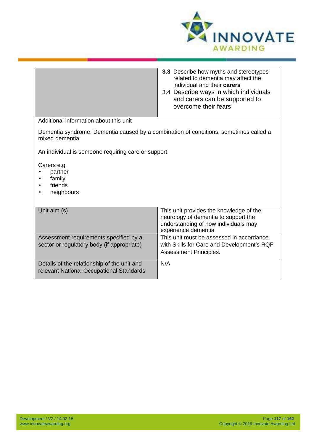

|                                                                                                         | <b>3.3</b> Describe how myths and stereotypes<br>related to dementia may affect the<br>individual and their carers<br>3.4 Describe ways in which individuals<br>and carers can be supported to<br>overcome their fears |
|---------------------------------------------------------------------------------------------------------|------------------------------------------------------------------------------------------------------------------------------------------------------------------------------------------------------------------------|
| Additional information about this unit                                                                  |                                                                                                                                                                                                                        |
| Dementia syndrome: Dementia caused by a combination of conditions, sometimes called a<br>mixed dementia |                                                                                                                                                                                                                        |
| An individual is someone requiring care or support                                                      |                                                                                                                                                                                                                        |
| Carers e.g.<br>partner<br>family<br>friends<br>neighbours                                               |                                                                                                                                                                                                                        |
| Unit aim (s)                                                                                            | This unit provides the knowledge of the<br>neurology of dementia to support the<br>understanding of how individuals may<br>experience dementia                                                                         |
| Assessment requirements specified by a<br>sector or regulatory body (if appropriate)                    | This unit must be assessed in accordance<br>with Skills for Care and Development's RQF<br><b>Assessment Principles.</b>                                                                                                |
| Details of the relationship of the unit and<br>relevant National Occupational Standards                 | N/A                                                                                                                                                                                                                    |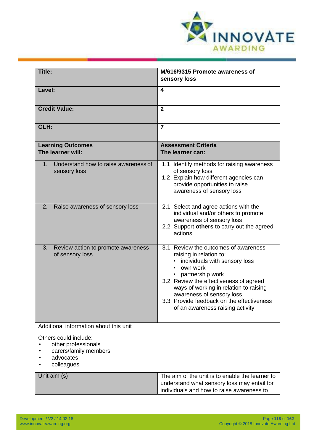

| Title:                                                                                           | M/616/9315 Promote awareness of                                                                                                                                                                                                                                                                                                    |
|--------------------------------------------------------------------------------------------------|------------------------------------------------------------------------------------------------------------------------------------------------------------------------------------------------------------------------------------------------------------------------------------------------------------------------------------|
|                                                                                                  | sensory loss                                                                                                                                                                                                                                                                                                                       |
| Level:                                                                                           | 4                                                                                                                                                                                                                                                                                                                                  |
| <b>Credit Value:</b>                                                                             | $\mathbf{2}$                                                                                                                                                                                                                                                                                                                       |
| GLH:                                                                                             | $\overline{7}$                                                                                                                                                                                                                                                                                                                     |
| <b>Learning Outcomes</b><br>The learner will:                                                    | <b>Assessment Criteria</b><br>The learner can:                                                                                                                                                                                                                                                                                     |
| Understand how to raise awareness of<br>1.<br>sensory loss                                       | 1.1 Identify methods for raising awareness<br>of sensory loss<br>1.2 Explain how different agencies can<br>provide opportunities to raise<br>awareness of sensory loss                                                                                                                                                             |
| 2.<br>Raise awareness of sensory loss                                                            | 2.1 Select and agree actions with the<br>individual and/or others to promote<br>awareness of sensory loss<br>2.2 Support others to carry out the agreed<br>actions                                                                                                                                                                 |
| 3.<br>Review action to promote awareness<br>of sensory loss                                      | 3.1 Review the outcomes of awareness<br>raising in relation to:<br>individuals with sensory loss<br>own work<br>partnership work<br>3.2 Review the effectiveness of agreed<br>ways of working in relation to raising<br>awareness of sensory loss<br>3.3 Provide feedback on the effectiveness<br>of an awareness raising activity |
| Additional information about this unit                                                           |                                                                                                                                                                                                                                                                                                                                    |
| Others could include:<br>other professionals<br>carers/family members<br>advocates<br>colleagues |                                                                                                                                                                                                                                                                                                                                    |
| Unit aim (s)                                                                                     | The aim of the unit is to enable the learner to<br>understand what sensory loss may entail for<br>individuals and how to raise awareness to                                                                                                                                                                                        |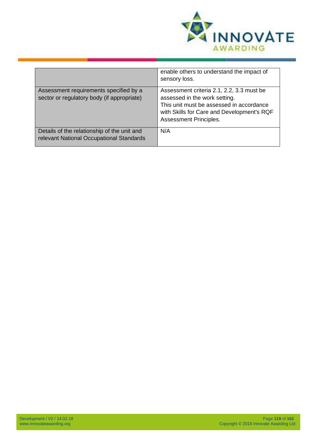

|                                                                                         | enable others to understand the impact of<br>sensory loss.                                                                                                                                     |
|-----------------------------------------------------------------------------------------|------------------------------------------------------------------------------------------------------------------------------------------------------------------------------------------------|
| Assessment requirements specified by a<br>sector or regulatory body (if appropriate)    | Assessment criteria 2.1, 2.2, 3.3 must be<br>assessed in the work setting.<br>This unit must be assessed in accordance<br>with Skills for Care and Development's RQF<br>Assessment Principles. |
| Details of the relationship of the unit and<br>relevant National Occupational Standards | N/A                                                                                                                                                                                            |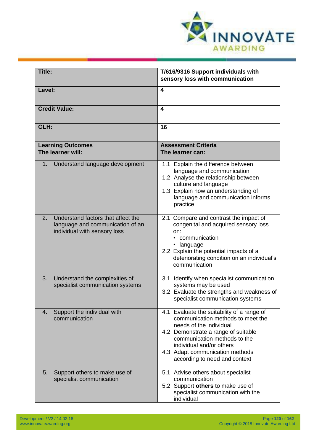

| Title:                                                                                                       | T/616/9316 Support individuals with<br>sensory loss with communication                                                                                                                                                                                                            |
|--------------------------------------------------------------------------------------------------------------|-----------------------------------------------------------------------------------------------------------------------------------------------------------------------------------------------------------------------------------------------------------------------------------|
| Level:                                                                                                       | $\overline{\mathbf{4}}$                                                                                                                                                                                                                                                           |
| <b>Credit Value:</b>                                                                                         | $\overline{\mathbf{4}}$                                                                                                                                                                                                                                                           |
| GLH:                                                                                                         | 16                                                                                                                                                                                                                                                                                |
| <b>Learning Outcomes</b><br>The learner will:                                                                | <b>Assessment Criteria</b><br>The learner can:                                                                                                                                                                                                                                    |
| Understand language development<br>1.                                                                        | 1.1 Explain the difference between<br>language and communication<br>1.2 Analyse the relationship between<br>culture and language<br>1.3 Explain how an understanding of<br>language and communication informs<br>practice                                                         |
| 2.<br>Understand factors that affect the<br>language and communication of an<br>individual with sensory loss | 2.1 Compare and contrast the impact of<br>congenital and acquired sensory loss<br>on:<br>communication<br>· language<br>2.2 Explain the potential impacts of a<br>deteriorating condition on an individual's<br>communication                                                     |
| Understand the complexities of<br>3.<br>specialist communication systems                                     | 3.1<br>Identify when specialist communication<br>systems may be used<br>3.2 Evaluate the strengths and weakness of<br>specialist communication systems                                                                                                                            |
| Support the individual with<br>4.<br>communication                                                           | 4.1 Evaluate the suitability of a range of<br>communication methods to meet the<br>needs of the individual<br>4.2 Demonstrate a range of suitable<br>communication methods to the<br>individual and/or others<br>4.3 Adapt communication methods<br>according to need and context |
| Support others to make use of<br>5.<br>specialist communication                                              | 5.1 Advise others about specialist<br>communication<br>5.2 Support others to make use of<br>specialist communication with the<br>individual                                                                                                                                       |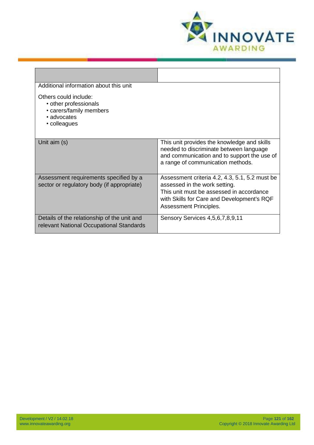

| Additional information about this unit                                                                   |                                                                                                                                                                                                     |
|----------------------------------------------------------------------------------------------------------|-----------------------------------------------------------------------------------------------------------------------------------------------------------------------------------------------------|
| Others could include:<br>• other professionals<br>• carers/family members<br>• advocates<br>• colleagues |                                                                                                                                                                                                     |
| Unit aim (s)                                                                                             | This unit provides the knowledge and skills<br>needed to discriminate between language<br>and communication and to support the use of<br>a range of communication methods.                          |
| Assessment requirements specified by a<br>sector or regulatory body (if appropriate)                     | Assessment criteria 4.2, 4.3, 5.1, 5.2 must be<br>assessed in the work setting.<br>This unit must be assessed in accordance<br>with Skills for Care and Development's RQF<br>Assessment Principles. |
| Details of the relationship of the unit and<br>relevant National Occupational Standards                  | Sensory Services 4,5,6,7,8,9,11                                                                                                                                                                     |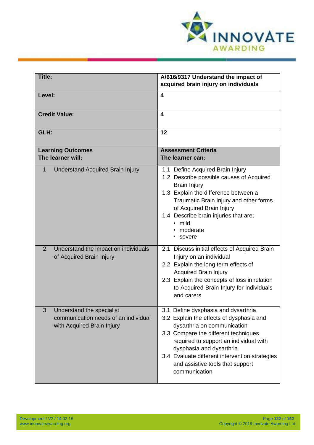

| Title:                                                                                                | A/616/9317 Understand the impact of<br>acquired brain injury on individuals                                                                                                                                                                                                                                                         |
|-------------------------------------------------------------------------------------------------------|-------------------------------------------------------------------------------------------------------------------------------------------------------------------------------------------------------------------------------------------------------------------------------------------------------------------------------------|
| Level:                                                                                                | $\overline{\mathbf{4}}$                                                                                                                                                                                                                                                                                                             |
| <b>Credit Value:</b>                                                                                  | $\boldsymbol{4}$                                                                                                                                                                                                                                                                                                                    |
| GLH:                                                                                                  | 12                                                                                                                                                                                                                                                                                                                                  |
| <b>Learning Outcomes</b><br>The learner will:                                                         | <b>Assessment Criteria</b><br>The learner can:                                                                                                                                                                                                                                                                                      |
| <b>Understand Acquired Brain Injury</b><br>1.                                                         | 1.1 Define Acquired Brain Injury<br>1.2 Describe possible causes of Acquired<br><b>Brain Injury</b><br>1.3 Explain the difference between a<br>Traumatic Brain Injury and other forms<br>of Acquired Brain Injury<br>1.4 Describe brain injuries that are;<br>• mild<br>moderate<br>severe                                          |
| Understand the impact on individuals<br>2.<br>of Acquired Brain Injury                                | 2.1 Discuss initial effects of Acquired Brain<br>Injury on an individual<br>2.2 Explain the long term effects of<br><b>Acquired Brain Injury</b><br>2.3 Explain the concepts of loss in relation<br>to Acquired Brain Injury for individuals<br>and carers                                                                          |
| 3.<br>Understand the specialist<br>communication needs of an individual<br>with Acquired Brain Injury | 3.1 Define dysphasia and dysarthria<br>3.2 Explain the effects of dysphasia and<br>dysarthria on communication<br>3.3 Compare the different techniques<br>required to support an individual with<br>dysphasia and dysarthria<br>3.4 Evaluate different intervention strategies<br>and assistive tools that support<br>communication |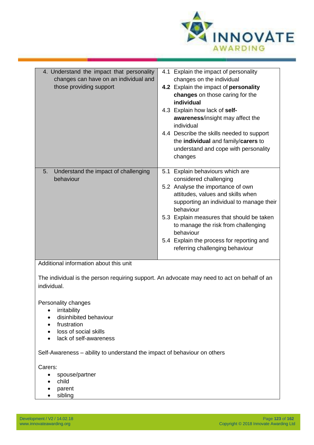

| 4. Understand the impact that personality<br>changes can have on an individual and<br>those providing support                                        | 4.1 Explain the impact of personality<br>changes on the individual<br>4.2 Explain the impact of personality<br>changes on those caring for the<br>individual<br>4.3 Explain how lack of self-<br>awareness/insight may affect the<br>individual<br>4.4 Describe the skills needed to support<br>the individual and family/carers to<br>understand and cope with personality<br>changes |
|------------------------------------------------------------------------------------------------------------------------------------------------------|----------------------------------------------------------------------------------------------------------------------------------------------------------------------------------------------------------------------------------------------------------------------------------------------------------------------------------------------------------------------------------------|
| Understand the impact of challenging<br>5.<br>behaviour                                                                                              | Explain behaviours which are<br>5.1<br>considered challenging<br>5.2 Analyse the importance of own<br>attitudes, values and skills when<br>supporting an individual to manage their<br>behaviour<br>5.3 Explain measures that should be taken<br>to manage the risk from challenging<br>behaviour<br>5.4 Explain the process for reporting and<br>referring challenging behaviour      |
| Additional information about this unit<br>The individual is the person requiring support. An advocate may need to act on behalf of an<br>individual. |                                                                                                                                                                                                                                                                                                                                                                                        |

Personality changes

- irritability
- disinhibited behaviour
- frustration
- loss of social skills
- lack of self-awareness

Self-Awareness – ability to understand the impact of behaviour on others

Carers:

- spouse/partner
- child
- parent
- sibling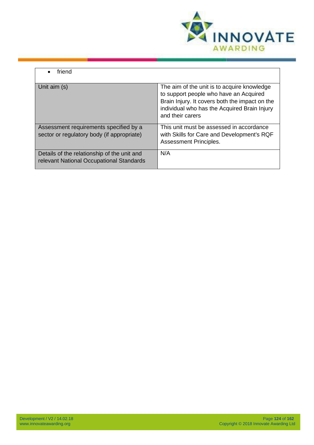

| friend                                                                                  |                                                                                                                                                                                                             |
|-----------------------------------------------------------------------------------------|-------------------------------------------------------------------------------------------------------------------------------------------------------------------------------------------------------------|
| Unit aim (s)                                                                            | The aim of the unit is to acquire knowledge<br>to support people who have an Acquired<br>Brain Injury. It covers both the impact on the<br>individual who has the Acquired Brain Injury<br>and their carers |
| Assessment requirements specified by a<br>sector or regulatory body (if appropriate)    | This unit must be assessed in accordance<br>with Skills for Care and Development's RQF<br><b>Assessment Principles.</b>                                                                                     |
| Details of the relationship of the unit and<br>relevant National Occupational Standards | N/A                                                                                                                                                                                                         |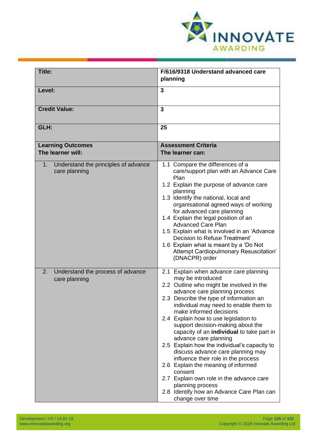

| Title:                                                               | F/616/9318 Understand advanced care                                                                                                                                                                                                                                                                                                                                                                                                                                                                                                                                                                                                                                                                                        |
|----------------------------------------------------------------------|----------------------------------------------------------------------------------------------------------------------------------------------------------------------------------------------------------------------------------------------------------------------------------------------------------------------------------------------------------------------------------------------------------------------------------------------------------------------------------------------------------------------------------------------------------------------------------------------------------------------------------------------------------------------------------------------------------------------------|
|                                                                      | planning                                                                                                                                                                                                                                                                                                                                                                                                                                                                                                                                                                                                                                                                                                                   |
| Level:                                                               | 3                                                                                                                                                                                                                                                                                                                                                                                                                                                                                                                                                                                                                                                                                                                          |
| <b>Credit Value:</b>                                                 | 3                                                                                                                                                                                                                                                                                                                                                                                                                                                                                                                                                                                                                                                                                                                          |
| GLH:                                                                 | 25                                                                                                                                                                                                                                                                                                                                                                                                                                                                                                                                                                                                                                                                                                                         |
| <b>Learning Outcomes</b><br>The learner will:                        | <b>Assessment Criteria</b><br>The learner can:                                                                                                                                                                                                                                                                                                                                                                                                                                                                                                                                                                                                                                                                             |
| Understand the principles of advance<br>$1_{\cdot}$<br>care planning | 1.1 Compare the differences of a<br>care/support plan with an Advance Care<br>Plan<br>1.2 Explain the purpose of advance care<br>planning<br>1.3 Identify the national, local and<br>organisational agreed ways of working<br>for advanced care planning<br>1.4 Explain the legal position of an<br><b>Advanced Care Plan</b><br>1.5 Explain what is involved in an 'Advance<br>Decision to Refuse Treatment'<br>1.6 Explain what is meant by a 'Do Not<br>Attempt Cardiopulmonary Resuscitation'<br>(DNACPR) order                                                                                                                                                                                                        |
| 2.<br>Understand the process of advance<br>care planning             | 2.1 Explain when advance care planning<br>may be introduced<br>2.2 Outline who might be involved in the<br>advance care planning process<br>2.3 Describe the type of information an<br>individual may need to enable them to<br>make informed decisions<br>2.4 Explain how to use legislation to<br>support decision-making about the<br>capacity of an individual to take part in<br>advance care planning<br>2.5 Explain how the individual's capacity to<br>discuss advance care planning may<br>influence their role in the process<br>2.6 Explain the meaning of informed<br>consent<br>2.7 Explain own role in the advance care<br>planning process<br>2.8 Identify how an Advance Care Plan can<br>change over time |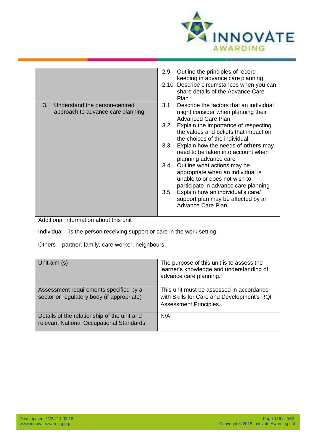

|                                                                           | 2.9<br>Outline the principles of record                                |
|---------------------------------------------------------------------------|------------------------------------------------------------------------|
|                                                                           | keeping in advance care planning                                       |
|                                                                           | 2.10 Describe circumstances when you can                               |
|                                                                           | share details of the Advance Care                                      |
|                                                                           | Plan                                                                   |
| Understand the person-centred<br>3.                                       | Describe the factors that an individual<br>3.1                         |
| approach to advance care planning                                         | might consider when planning their                                     |
|                                                                           | <b>Advanced Care Plan</b><br>3.2                                       |
|                                                                           | Explain the importance of respecting                                   |
|                                                                           | the values and beliefs that impact on<br>the choices of the individual |
|                                                                           | 3.3<br>Explain how the needs of others may                             |
|                                                                           | need to be taken into account when                                     |
|                                                                           | planning advance care                                                  |
|                                                                           | 3.4<br>Outline what actions may be                                     |
|                                                                           | appropriate when an individual is                                      |
|                                                                           | unable to or does not wish to                                          |
|                                                                           | participate in advance care planning                                   |
|                                                                           | Explain how an individual's care/<br>3.5                               |
|                                                                           | support plan may be affected by an                                     |
|                                                                           | <b>Advance Care Plan</b>                                               |
|                                                                           |                                                                        |
| Additional information about this unit                                    |                                                                        |
| Individual – is the person receiving support or care in the work setting. |                                                                        |
|                                                                           |                                                                        |
| Others - partner, family, care worker, neighbours.                        |                                                                        |
|                                                                           |                                                                        |
|                                                                           |                                                                        |
| Unit aim (s)                                                              | The purpose of this unit is to assess the                              |
|                                                                           | learner's knowledge and understanding of                               |
|                                                                           | advance care planning.                                                 |
|                                                                           |                                                                        |
| Assessment requirements specified by a                                    | This unit must be assessed in accordance                               |
| sector or regulatory body (if appropriate)                                | with Skills for Care and Development's RQF                             |
|                                                                           | Assessment Principles.                                                 |
| Details of the relationship of the unit and                               | N/A                                                                    |
| relevant National Occupational Standards                                  |                                                                        |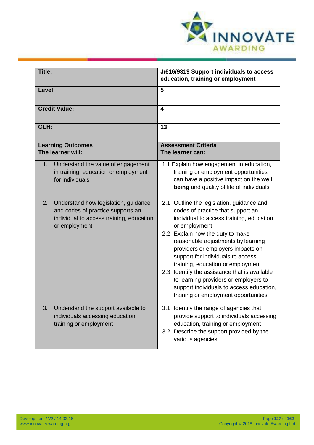

| Title:                                                                                                                                       | J/616/9319 Support individuals to access<br>education, training or employment                                                                                                                                                                                                                                                                                                                                                                                                                                      |
|----------------------------------------------------------------------------------------------------------------------------------------------|--------------------------------------------------------------------------------------------------------------------------------------------------------------------------------------------------------------------------------------------------------------------------------------------------------------------------------------------------------------------------------------------------------------------------------------------------------------------------------------------------------------------|
| Level:                                                                                                                                       | 5                                                                                                                                                                                                                                                                                                                                                                                                                                                                                                                  |
| <b>Credit Value:</b>                                                                                                                         | 4                                                                                                                                                                                                                                                                                                                                                                                                                                                                                                                  |
| GLH:                                                                                                                                         | 13                                                                                                                                                                                                                                                                                                                                                                                                                                                                                                                 |
| <b>Learning Outcomes</b><br>The learner will:                                                                                                | <b>Assessment Criteria</b><br>The learner can:                                                                                                                                                                                                                                                                                                                                                                                                                                                                     |
| Understand the value of engagement<br>$1_{\cdot}$<br>in training, education or employment<br>for individuals                                 | 1.1 Explain how engagement in education,<br>training or employment opportunities<br>can have a positive impact on the well<br>being and quality of life of individuals                                                                                                                                                                                                                                                                                                                                             |
| Understand how legislation, guidance<br>2.<br>and codes of practice supports an<br>individual to access training, education<br>or employment | 2.1 Outline the legislation, guidance and<br>codes of practice that support an<br>individual to access training, education<br>or employment<br>2.2 Explain how the duty to make<br>reasonable adjustments by learning<br>providers or employers impacts on<br>support for individuals to access<br>training, education or employment<br>2.3 Identify the assistance that is available<br>to learning providers or employers to<br>support individuals to access education,<br>training or employment opportunities |
| Understand the support available to<br>3.<br>individuals accessing education,<br>training or employment                                      | 3.1 Identify the range of agencies that<br>provide support to individuals accessing<br>education, training or employment<br>3.2 Describe the support provided by the<br>various agencies                                                                                                                                                                                                                                                                                                                           |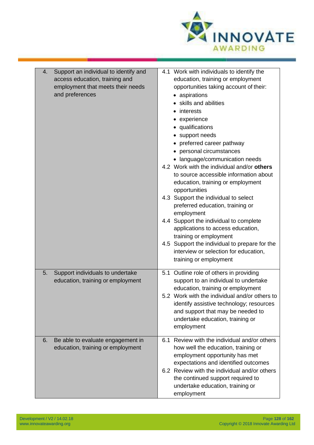

| Support an individual to identify and<br>4.<br>access education, training and<br>employment that meets their needs<br>and preferences | 4.1 Work with individuals to identify the<br>education, training or employment<br>opportunities taking account of their:<br>• aspirations<br>skills and abilities<br>• interests<br>• experience<br>• qualifications<br>• support needs<br>• preferred career pathway<br>• personal circumstances<br>• language/communication needs<br>4.2 Work with the individual and/or others<br>to source accessible information about<br>education, training or employment<br>opportunities<br>4.3 Support the individual to select<br>preferred education, training or<br>employment<br>4.4 Support the individual to complete<br>applications to access education,<br>training or employment<br>4.5 Support the individual to prepare for the<br>interview or selection for education,<br>training or employment |
|---------------------------------------------------------------------------------------------------------------------------------------|----------------------------------------------------------------------------------------------------------------------------------------------------------------------------------------------------------------------------------------------------------------------------------------------------------------------------------------------------------------------------------------------------------------------------------------------------------------------------------------------------------------------------------------------------------------------------------------------------------------------------------------------------------------------------------------------------------------------------------------------------------------------------------------------------------|
| Support individuals to undertake<br>5.<br>education, training or employment                                                           | 5.1 Outline role of others in providing<br>support to an individual to undertake<br>education, training or employment<br>5.2 Work with the individual and/or others to<br>identify assistive technology; resources<br>and support that may be needed to<br>undertake education, training or<br>employment                                                                                                                                                                                                                                                                                                                                                                                                                                                                                                |
| Be able to evaluate engagement in<br>6.<br>education, training or employment                                                          | 6.1 Review with the individual and/or others<br>how well the education, training or<br>employment opportunity has met<br>expectations and identified outcomes<br>6.2 Review with the individual and/or others<br>the continued support required to<br>undertake education, training or<br>employment                                                                                                                                                                                                                                                                                                                                                                                                                                                                                                     |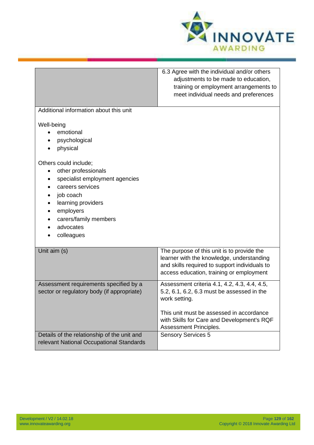

| Additional information about this unit                                                                                                                                                                      | 6.3 Agree with the individual and/or others<br>adjustments to be made to education,<br>training or employment arrangements to<br>meet individual needs and preferences                                                          |
|-------------------------------------------------------------------------------------------------------------------------------------------------------------------------------------------------------------|---------------------------------------------------------------------------------------------------------------------------------------------------------------------------------------------------------------------------------|
| Well-being<br>emotional<br>psychological<br>physical                                                                                                                                                        |                                                                                                                                                                                                                                 |
| Others could include;<br>other professionals<br>specialist employment agencies<br>careers services<br>job coach<br>learning providers<br>employers<br>٠<br>carers/family members<br>advocates<br>colleagues |                                                                                                                                                                                                                                 |
| Unit aim (s)                                                                                                                                                                                                | The purpose of this unit is to provide the<br>learner with the knowledge, understanding<br>and skills required to support individuals to<br>access education, training or employment                                            |
| Assessment requirements specified by a<br>sector or regulatory body (if appropriate)                                                                                                                        | Assessment criteria 4.1, 4.2, 4.3, 4.4, 4.5,<br>5.2, 6.1, 6.2, 6.3 must be assessed in the<br>work setting.<br>This unit must be assessed in accordance<br>with Skills for Care and Development's RQF<br>Assessment Principles. |
| Details of the relationship of the unit and<br>relevant National Occupational Standards                                                                                                                     | <b>Sensory Services 5</b>                                                                                                                                                                                                       |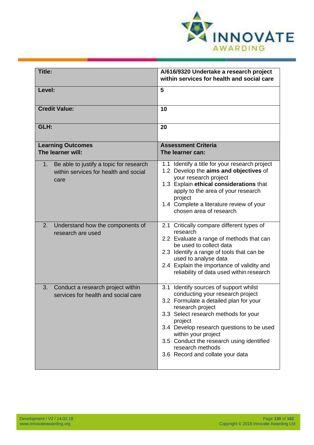

| <b>Title:</b>                                                                                              | A/616/9320 Undertake a research project<br>within services for health and social care                                                                                                                                                                                                                                                                                |
|------------------------------------------------------------------------------------------------------------|----------------------------------------------------------------------------------------------------------------------------------------------------------------------------------------------------------------------------------------------------------------------------------------------------------------------------------------------------------------------|
| Level:                                                                                                     | 5                                                                                                                                                                                                                                                                                                                                                                    |
| <b>Credit Value:</b>                                                                                       | 10                                                                                                                                                                                                                                                                                                                                                                   |
| GLH:                                                                                                       | 20                                                                                                                                                                                                                                                                                                                                                                   |
| <b>Learning Outcomes</b><br>The learner will:                                                              | <b>Assessment Criteria</b><br>The learner can:                                                                                                                                                                                                                                                                                                                       |
| Be able to justify a topic for research<br>1 <sub>1</sub><br>within services for health and social<br>care | 1.1 Identify a title for your research project<br>1.2 Develop the aims and objectives of<br>your research project<br>1.3 Explain ethical considerations that<br>apply to the area of your research<br>project<br>1.4 Complete a literature review of your<br>chosen area of research                                                                                 |
| 2.<br>Understand how the components of<br>research are used                                                | 2.1 Critically compare different types of<br>research<br>2.2 Evaluate a range of methods that can<br>be used to collect data<br>2.3 Identify a range of tools that can be<br>used to analyse data<br>2.4 Explain the importance of validity and<br>reliability of data used within research                                                                          |
| 3.<br>Conduct a research project within<br>services for health and social care                             | 3.1 Identify sources of support whilst<br>conducting your research project<br>3.2 Formulate a detailed plan for your<br>research project<br>3.3 Select research methods for your<br>project<br>3.4 Develop research questions to be used<br>within your project<br>3.5 Conduct the research using identified<br>research methods<br>3.6 Record and collate your data |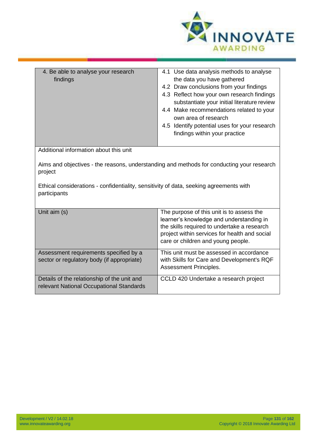

| 4. Be able to analyse your research<br>findings                                                        | 4.1 Use data analysis methods to analyse<br>the data you have gathered<br>4.2 Draw conclusions from your findings<br>4.3 Reflect how your own research findings<br>substantiate your initial literature review<br>4.4 Make recommendations related to your<br>own area of research<br>4.5 Identify potential uses for your research<br>findings within your practice |  |
|--------------------------------------------------------------------------------------------------------|----------------------------------------------------------------------------------------------------------------------------------------------------------------------------------------------------------------------------------------------------------------------------------------------------------------------------------------------------------------------|--|
| Additional information about this unit                                                                 |                                                                                                                                                                                                                                                                                                                                                                      |  |
| Aims and objectives - the reasons, understanding and methods for conducting your research<br>project   |                                                                                                                                                                                                                                                                                                                                                                      |  |
| Ethical considerations - confidentiality, sensitivity of data, seeking agreements with<br>participants |                                                                                                                                                                                                                                                                                                                                                                      |  |
| Unit aim (s)                                                                                           | The purpose of this unit is to assess the<br>learner's knowledge and understanding in<br>the skills required to undertake a research<br>project within services for health and social<br>care or children and young people.                                                                                                                                          |  |
| Assessment requirements specified by a<br>sector or regulatory body (if appropriate)                   | This unit must be assessed in accordance<br>with Skills for Care and Development's RQF<br>Assessment Principles.                                                                                                                                                                                                                                                     |  |
| Details of the relationship of the unit and<br>relevant National Occupational Standards                | CCLD 420 Undertake a research project                                                                                                                                                                                                                                                                                                                                |  |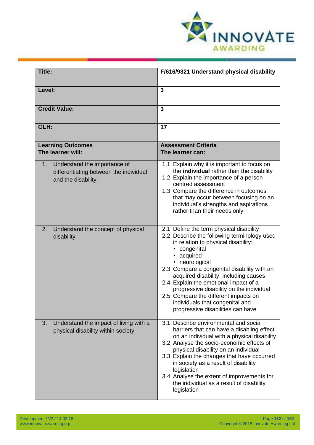

| Title:                                                                                             | F/616/9321 Understand physical disability                                                                                                                                                                                                                                                                                                                                                                                                                                             |
|----------------------------------------------------------------------------------------------------|---------------------------------------------------------------------------------------------------------------------------------------------------------------------------------------------------------------------------------------------------------------------------------------------------------------------------------------------------------------------------------------------------------------------------------------------------------------------------------------|
| Level:                                                                                             | 3                                                                                                                                                                                                                                                                                                                                                                                                                                                                                     |
| <b>Credit Value:</b>                                                                               | 3                                                                                                                                                                                                                                                                                                                                                                                                                                                                                     |
| GLH:                                                                                               | 17                                                                                                                                                                                                                                                                                                                                                                                                                                                                                    |
| <b>Learning Outcomes</b><br>The learner will:                                                      | <b>Assessment Criteria</b><br>The learner can:                                                                                                                                                                                                                                                                                                                                                                                                                                        |
| Understand the importance of<br>1.<br>differentiating between the individual<br>and the disability | 1.1 Explain why it is important to focus on<br>the individual rather than the disability<br>1.2 Explain the importance of a person-<br>centred assessment<br>1.3 Compare the difference in outcomes<br>that may occur between focusing on an<br>individual's strengths and aspirations<br>rather than their needs only                                                                                                                                                                |
| Understand the concept of physical<br>2.<br>disability                                             | 2.1 Define the term physical disability<br>2.2 Describe the following terminology used<br>in relation to physical disability:<br>• congenital<br>• acquired<br>neurological<br>$\bullet$<br>2.3 Compare a congenital disability with an<br>acquired disability, including causes<br>2.4 Explain the emotional impact of a<br>progressive disability on the individual<br>2.5 Compare the different impacts on<br>individuals that congenital and<br>progressive disabilities can have |
| Understand the impact of living with a<br>3.<br>physical disability within society                 | 3.1 Describe environmental and social<br>barriers that can have a disabling effect<br>on an individual with a physical disability<br>3.2 Analyse the socio-economic effects of<br>physical disability on an individual<br>3.3 Explain the changes that have occurred<br>in society as a result of disability<br>legislation<br>3.4 Analyse the extent of improvements for<br>the individual as a result of disability<br>legislation                                                  |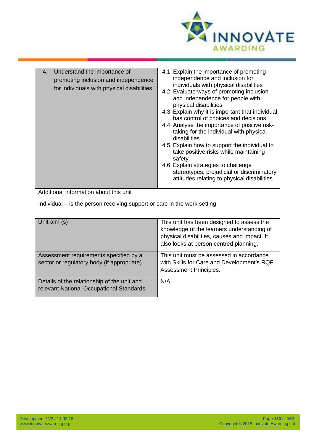

| 4.1 Explain the importance of promoting<br>Understand the importance of<br>4.<br>independence and inclusion for<br>promoting inclusion and independence<br>individuals with physical disabilities<br>for individuals with physical disabilities<br>4.2 Evaluate ways of promoting inclusion<br>and independence for people with<br>physical disabilities<br>4.3 Explain why it is important that individual<br>has control of choices and decisions<br>4.4 Analyse the importance of positive risk-<br>taking for the individual with physical<br>disabilities<br>4.5 Explain how to support the individual to<br>take positive risks while maintaining<br>safety<br>4.6 Explain strategies to challenge<br>stereotypes, prejudicial or discriminatory<br>attitudes relating to physical disabilities |                                         |  |
|-------------------------------------------------------------------------------------------------------------------------------------------------------------------------------------------------------------------------------------------------------------------------------------------------------------------------------------------------------------------------------------------------------------------------------------------------------------------------------------------------------------------------------------------------------------------------------------------------------------------------------------------------------------------------------------------------------------------------------------------------------------------------------------------------------|-----------------------------------------|--|
|                                                                                                                                                                                                                                                                                                                                                                                                                                                                                                                                                                                                                                                                                                                                                                                                       | Additional information about this unit. |  |

Additional information about this unit

Individual – is the person receiving support or care in the work setting.

| Unit aim (s)                                                                            | This unit has been designed to assess the<br>knowledge of the learners understanding of<br>physical disabilities, causes and impact. It<br>also looks at person centred planning. |
|-----------------------------------------------------------------------------------------|-----------------------------------------------------------------------------------------------------------------------------------------------------------------------------------|
| Assessment requirements specified by a<br>sector or regulatory body (if appropriate)    | This unit must be assessed in accordance<br>with Skills for Care and Development's RQF<br>Assessment Principles.                                                                  |
| Details of the relationship of the unit and<br>relevant National Occupational Standards | N/A                                                                                                                                                                               |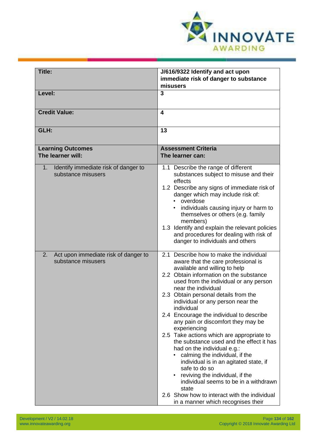

| <b>Title:</b>                                                             | J/616/9322 Identify and act upon<br>immediate risk of danger to substance                                                                                                                                                                                                                                                                                                                                                                                                                                                                                                                                                                                                                                                                                                                                                |
|---------------------------------------------------------------------------|--------------------------------------------------------------------------------------------------------------------------------------------------------------------------------------------------------------------------------------------------------------------------------------------------------------------------------------------------------------------------------------------------------------------------------------------------------------------------------------------------------------------------------------------------------------------------------------------------------------------------------------------------------------------------------------------------------------------------------------------------------------------------------------------------------------------------|
|                                                                           | misusers                                                                                                                                                                                                                                                                                                                                                                                                                                                                                                                                                                                                                                                                                                                                                                                                                 |
| Level:                                                                    | $\overline{3}$                                                                                                                                                                                                                                                                                                                                                                                                                                                                                                                                                                                                                                                                                                                                                                                                           |
|                                                                           |                                                                                                                                                                                                                                                                                                                                                                                                                                                                                                                                                                                                                                                                                                                                                                                                                          |
| <b>Credit Value:</b>                                                      | $\overline{\mathbf{4}}$                                                                                                                                                                                                                                                                                                                                                                                                                                                                                                                                                                                                                                                                                                                                                                                                  |
| GLH:                                                                      | 13                                                                                                                                                                                                                                                                                                                                                                                                                                                                                                                                                                                                                                                                                                                                                                                                                       |
|                                                                           |                                                                                                                                                                                                                                                                                                                                                                                                                                                                                                                                                                                                                                                                                                                                                                                                                          |
| <b>Learning Outcomes</b>                                                  | <b>Assessment Criteria</b>                                                                                                                                                                                                                                                                                                                                                                                                                                                                                                                                                                                                                                                                                                                                                                                               |
| The learner will:                                                         | The learner can:                                                                                                                                                                                                                                                                                                                                                                                                                                                                                                                                                                                                                                                                                                                                                                                                         |
| Identify immediate risk of danger to<br>$1_{\cdot}$<br>substance misusers | 1.1 Describe the range of different<br>substances subject to misuse and their<br>effects<br>1.2 Describe any signs of immediate risk of<br>danger which may include risk of:<br>• overdose<br>individuals causing injury or harm to<br>themselves or others (e.g. family<br>members)<br>1.3 Identify and explain the relevant policies<br>and procedures for dealing with risk of<br>danger to individuals and others                                                                                                                                                                                                                                                                                                                                                                                                    |
| Act upon immediate risk of danger to<br>2.<br>substance misusers          | 2.1 Describe how to make the individual<br>aware that the care professional is<br>available and willing to help<br>2.2 Obtain information on the substance<br>used from the individual or any person<br>near the individual<br>2.3 Obtain personal details from the<br>individual or any person near the<br>individual<br>2.4 Encourage the individual to describe<br>any pain or discomfort they may be<br>experiencing<br>2.5 Take actions which are appropriate to<br>the substance used and the effect it has<br>had on the individual e.g.:<br>calming the individual, if the<br>individual is in an agitated state, if<br>safe to do so<br>reviving the individual, if the<br>individual seems to be in a withdrawn<br>state<br>2.6 Show how to interact with the individual<br>in a manner which recognises their |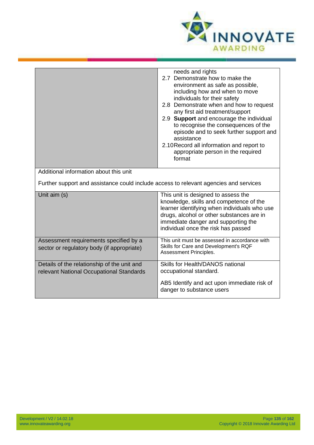

|                                                                                         | needs and rights<br>2.7 Demonstrate how to make the<br>environment as safe as possible,<br>including how and when to move<br>individuals for their safety<br>2.8 Demonstrate when and how to request<br>any first aid treatment/support<br>2.9 Support and encourage the individual<br>to recognise the consequences of the<br>episode and to seek further support and<br>assistance<br>2.10 Record all information and report to<br>appropriate person in the required<br>format |
|-----------------------------------------------------------------------------------------|-----------------------------------------------------------------------------------------------------------------------------------------------------------------------------------------------------------------------------------------------------------------------------------------------------------------------------------------------------------------------------------------------------------------------------------------------------------------------------------|
| Additional information about this unit                                                  |                                                                                                                                                                                                                                                                                                                                                                                                                                                                                   |
| Further support and assistance could include access to relevant agencies and services   |                                                                                                                                                                                                                                                                                                                                                                                                                                                                                   |
| Unit aim (s)                                                                            | This unit is designed to assess the<br>knowledge, skills and competence of the<br>learner identifying when individuals who use<br>drugs, alcohol or other substances are in<br>immediate danger and supporting the<br>individual once the risk has passed                                                                                                                                                                                                                         |
| Assessment requirements specified by a<br>sector or regulatory body (if appropriate)    | This unit must be assessed in accordance with<br>Skills for Care and Development's RQF<br>Assessment Principles.                                                                                                                                                                                                                                                                                                                                                                  |
| Details of the relationship of the unit and<br>relevant National Occupational Standards | Skills for Health/DANOS national<br>occupational standard.<br>AB5 Identify and act upon immediate risk of<br>danger to substance users                                                                                                                                                                                                                                                                                                                                            |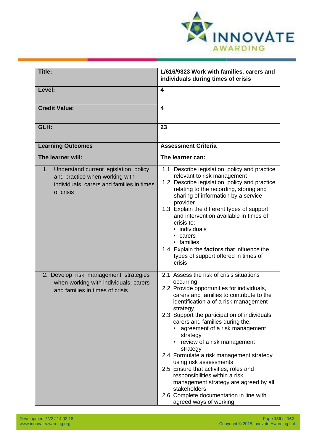

| <b>Title:</b>                                                                                                                            | L/616/9323 Work with families, carers and<br>individuals during times of crisis                                                                                                                                                                                                                                                                                                                                                                                                                                                                                                                                                                                               |
|------------------------------------------------------------------------------------------------------------------------------------------|-------------------------------------------------------------------------------------------------------------------------------------------------------------------------------------------------------------------------------------------------------------------------------------------------------------------------------------------------------------------------------------------------------------------------------------------------------------------------------------------------------------------------------------------------------------------------------------------------------------------------------------------------------------------------------|
| Level:                                                                                                                                   | 4                                                                                                                                                                                                                                                                                                                                                                                                                                                                                                                                                                                                                                                                             |
| <b>Credit Value:</b>                                                                                                                     | 4                                                                                                                                                                                                                                                                                                                                                                                                                                                                                                                                                                                                                                                                             |
| GLH:                                                                                                                                     | 23                                                                                                                                                                                                                                                                                                                                                                                                                                                                                                                                                                                                                                                                            |
| <b>Learning Outcomes</b>                                                                                                                 | <b>Assessment Criteria</b>                                                                                                                                                                                                                                                                                                                                                                                                                                                                                                                                                                                                                                                    |
| The learner will:                                                                                                                        | The learner can:                                                                                                                                                                                                                                                                                                                                                                                                                                                                                                                                                                                                                                                              |
| 1.<br>Understand current legislation, policy<br>and practice when working with<br>individuals, carers and families in times<br>of crisis | 1.1 Describe legislation, policy and practice<br>relevant to risk management<br>1.2 Describe legislation, policy and practice<br>relating to the recording, storing and<br>sharing of information by a service<br>provider<br>1.3 Explain the different types of support<br>and intervention available in times of<br>crisis to;<br>• individuals<br>• carers<br>• families<br>1.4 Explain the factors that influence the<br>types of support offered in times of<br>crisis                                                                                                                                                                                                   |
| 2. Develop risk management strategies<br>when working with individuals, carers<br>and families in times of crisis                        | 2.1 Assess the risk of crisis situations<br>occurring<br>2.2 Provide opportunities for individuals,<br>carers and families to contribute to the<br>identification a of a risk management<br>strategy<br>2.3 Support the participation of individuals,<br>carers and families during the:<br>agreement of a risk management<br>strategy<br>review of a risk management<br>$\bullet$<br>strategy<br>2.4 Formulate a risk management strategy<br>using risk assessments<br>2.5 Ensure that activities, roles and<br>responsibilities within a risk<br>management strategy are agreed by all<br>stakeholders<br>2.6 Complete documentation in line with<br>agreed ways of working |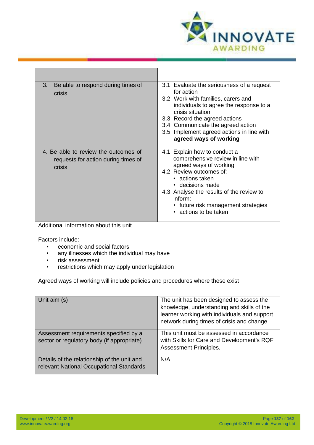

| Be able to respond during times of<br>3.<br>crisis                                                                                                                  | 3.1 Evaluate the seriousness of a request<br>for action<br>3.2 Work with families, carers and<br>individuals to agree the response to a<br>crisis situation<br>3.3 Record the agreed actions<br>3.4 Communicate the agreed action<br>3.5 Implement agreed actions in line with<br>agreed ways of working |
|---------------------------------------------------------------------------------------------------------------------------------------------------------------------|----------------------------------------------------------------------------------------------------------------------------------------------------------------------------------------------------------------------------------------------------------------------------------------------------------|
| 4. Be able to review the outcomes of<br>requests for action during times of<br>crisis                                                                               | 4.1 Explain how to conduct a<br>comprehensive review in line with<br>agreed ways of working<br>4.2 Review outcomes of:<br>• actions taken<br>• decisions made<br>4.3 Analyse the results of the review to<br>inform:<br>• future risk management strategies<br>• actions to be taken                     |
| Additional information about this unit                                                                                                                              |                                                                                                                                                                                                                                                                                                          |
| Factors include:<br>economic and social factors<br>any illnesses which the individual may have<br>risk assessment<br>restrictions which may apply under legislation |                                                                                                                                                                                                                                                                                                          |
| Agreed ways of working will include policies and procedures where these exist                                                                                       |                                                                                                                                                                                                                                                                                                          |
| Unit aim (s)                                                                                                                                                        | The unit has been designed to assess the<br>knowledge, understanding and skills of the<br>learner working with individuals and support<br>network during times of crisis and change                                                                                                                      |
| Assessment requirements specified by a<br>sector or regulatory body (if appropriate)                                                                                | This unit must be assessed in accordance<br>with Skills for Care and Development's RQF<br>Assessment Principles.                                                                                                                                                                                         |
| Details of the relationship of the unit and<br>relevant National Occupational Standards                                                                             | N/A                                                                                                                                                                                                                                                                                                      |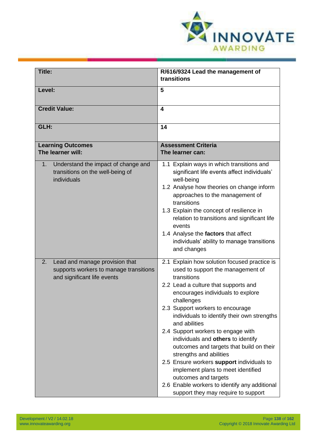

| <b>Title:</b>                                                                                                 | R/616/9324 Lead the management of<br>transitions                                                                                                                                                                                                                                                                                                                                                                                                                                                                                                                                                                                                      |
|---------------------------------------------------------------------------------------------------------------|-------------------------------------------------------------------------------------------------------------------------------------------------------------------------------------------------------------------------------------------------------------------------------------------------------------------------------------------------------------------------------------------------------------------------------------------------------------------------------------------------------------------------------------------------------------------------------------------------------------------------------------------------------|
| Level:                                                                                                        | 5                                                                                                                                                                                                                                                                                                                                                                                                                                                                                                                                                                                                                                                     |
| <b>Credit Value:</b>                                                                                          | 4                                                                                                                                                                                                                                                                                                                                                                                                                                                                                                                                                                                                                                                     |
| GLH:                                                                                                          | 14                                                                                                                                                                                                                                                                                                                                                                                                                                                                                                                                                                                                                                                    |
| <b>Learning Outcomes</b><br>The learner will:                                                                 | <b>Assessment Criteria</b><br>The learner can:                                                                                                                                                                                                                                                                                                                                                                                                                                                                                                                                                                                                        |
| Understand the impact of change and<br>1.<br>transitions on the well-being of<br>individuals                  | 1.1 Explain ways in which transitions and<br>significant life events affect individuals'<br>well-being<br>1.2 Analyse how theories on change inform<br>approaches to the management of<br>transitions<br>1.3 Explain the concept of resilience in<br>relation to transitions and significant life<br>events<br>1.4 Analyse the factors that affect<br>individuals' ability to manage transitions<br>and changes                                                                                                                                                                                                                                       |
| Lead and manage provision that<br>2.<br>supports workers to manage transitions<br>and significant life events | 2.1 Explain how solution focused practice is<br>used to support the management of<br>transitions<br>2.2 Lead a culture that supports and<br>encourages individuals to explore<br>challenges<br>2.3 Support workers to encourage<br>individuals to identify their own strengths<br>and abilities<br>2.4 Support workers to engage with<br>individuals and others to identify<br>outcomes and targets that build on their<br>strengths and abilities<br>2.5 Ensure workers support individuals to<br>implement plans to meet identified<br>outcomes and targets<br>2.6 Enable workers to identify any additional<br>support they may require to support |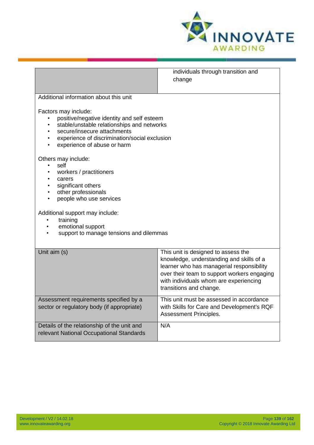

|                                                             | individuals through transition and          |
|-------------------------------------------------------------|---------------------------------------------|
|                                                             | change                                      |
| Additional information about this unit                      |                                             |
| Factors may include:                                        |                                             |
| positive/negative identity and self esteem                  |                                             |
| stable/unstable relationships and networks<br>$\bullet$     |                                             |
| secure/insecure attachments<br>$\bullet$                    |                                             |
| experience of discrimination/social exclusion<br>$\bullet$  |                                             |
| experience of abuse or harm                                 |                                             |
| Others may include:                                         |                                             |
| self                                                        |                                             |
| workers / practitioners                                     |                                             |
| carers<br>$\bullet$                                         |                                             |
| significant others                                          |                                             |
| other professionals<br>$\bullet$<br>people who use services |                                             |
|                                                             |                                             |
| Additional support may include:                             |                                             |
| training<br>$\bullet$                                       |                                             |
| emotional support<br>$\bullet$                              |                                             |
| support to manage tensions and dilemmas                     |                                             |
|                                                             |                                             |
| Unit aim (s)                                                | This unit is designed to assess the         |
|                                                             | knowledge, understanding and skills of a    |
|                                                             | learner who has managerial responsibility   |
|                                                             | over their team to support workers engaging |
|                                                             | with individuals whom are experiencing      |
|                                                             | transitions and change.                     |
| Assessment requirements specified by a                      | This unit must be assessed in accordance    |
| sector or regulatory body (if appropriate)                  | with Skills for Care and Development's RQF  |
|                                                             | Assessment Principles.                      |
| Details of the relationship of the unit and                 | N/A                                         |
| relevant National Occupational Standards                    |                                             |
|                                                             |                                             |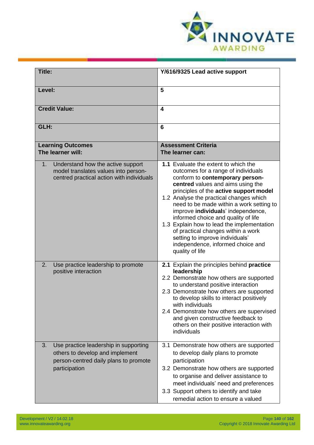

| Title:                                                                                                                                   | Y/616/9325 Lead active support                                                                                                                                                                                                                                                                                                                                                                                                                                                                                                                   |
|------------------------------------------------------------------------------------------------------------------------------------------|--------------------------------------------------------------------------------------------------------------------------------------------------------------------------------------------------------------------------------------------------------------------------------------------------------------------------------------------------------------------------------------------------------------------------------------------------------------------------------------------------------------------------------------------------|
| Level:                                                                                                                                   | 5                                                                                                                                                                                                                                                                                                                                                                                                                                                                                                                                                |
| <b>Credit Value:</b>                                                                                                                     | 4                                                                                                                                                                                                                                                                                                                                                                                                                                                                                                                                                |
| GLH:                                                                                                                                     | 6                                                                                                                                                                                                                                                                                                                                                                                                                                                                                                                                                |
| <b>Learning Outcomes</b><br>The learner will:                                                                                            | <b>Assessment Criteria</b><br>The learner can:                                                                                                                                                                                                                                                                                                                                                                                                                                                                                                   |
| Understand how the active support<br>1 <sub>1</sub><br>model translates values into person-<br>centred practical action with individuals | 1.1 Evaluate the extent to which the<br>outcomes for a range of individuals<br>conform to contemporary person-<br>centred values and aims using the<br>principles of the active support model<br>1.2 Analyse the practical changes which<br>need to be made within a work setting to<br>improve individuals' independence,<br>informed choice and quality of life<br>1.3 Explain how to lead the implementation<br>of practical changes within a work<br>setting to improve individuals'<br>independence, informed choice and<br>quality of life |
| 2.<br>Use practice leadership to promote<br>positive interaction                                                                         | 2.1 Explain the principles behind practice<br>leadership<br>2.2 Demonstrate how others are supported<br>to understand positive interaction<br>2.3 Demonstrate how others are supported<br>to develop skills to interact positively<br>with individuals<br>2.4 Demonstrate how others are supervised<br>and given constructive feedback to<br>others on their positive interaction with<br>individuals                                                                                                                                            |
| Use practice leadership in supporting<br>3.<br>others to develop and implement<br>person-centred daily plans to promote<br>participation | 3.1 Demonstrate how others are supported<br>to develop daily plans to promote<br>participation<br>3.2 Demonstrate how others are supported<br>to organise and deliver assistance to<br>meet individuals' need and preferences<br>3.3 Support others to identify and take<br>remedial action to ensure a valued                                                                                                                                                                                                                                   |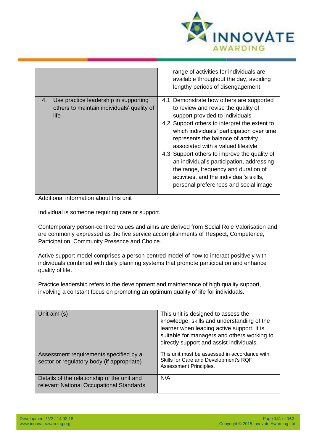

|                                                                                                   | range of activities for individuals are<br>available throughout the day, avoiding<br>lengthy periods of disengagement                                                                                                                                                                                                                                                                                                                                                                                                   |
|---------------------------------------------------------------------------------------------------|-------------------------------------------------------------------------------------------------------------------------------------------------------------------------------------------------------------------------------------------------------------------------------------------------------------------------------------------------------------------------------------------------------------------------------------------------------------------------------------------------------------------------|
| Use practice leadership in supporting<br>4.<br>others to maintain individuals' quality of<br>life | 4.1 Demonstrate how others are supported<br>to review and revise the quality of<br>support provided to individuals<br>4.2 Support others to interpret the extent to<br>which individuals' participation over time<br>represents the balance of activity<br>associated with a valued lifestyle<br>4.3 Support others to improve the quality of<br>an individual's participation, addressing<br>the range, frequency and duration of<br>activities, and the individual's skills,<br>personal preferences and social image |
| Additional information about this unit                                                            |                                                                                                                                                                                                                                                                                                                                                                                                                                                                                                                         |
| Individual is someone requiring care or support.                                                  |                                                                                                                                                                                                                                                                                                                                                                                                                                                                                                                         |
|                                                                                                   | Contemporary person-centred values and aims are derived from Social Role Valorisation and                                                                                                                                                                                                                                                                                                                                                                                                                               |

Contemporary person-centred values and aims are derived from Social Role Valorisation and are commonly expressed as the five service accomplishments of Respect, Competence, Participation, Community Presence and Choice.

Active support model comprises a person-centred model of how to interact positively with individuals combined with daily planning systems that promote participation and enhance quality of life.

Practice leadership refers to the development and maintenance of high quality support, involving a constant focus on promoting an optimum quality of life for individuals.

| Unit aim (s)                                                                            | This unit is designed to assess the<br>knowledge, skills and understanding of the<br>learner when leading active support. It is<br>suitable for managers and others working to<br>directly support and assist individuals. |
|-----------------------------------------------------------------------------------------|----------------------------------------------------------------------------------------------------------------------------------------------------------------------------------------------------------------------------|
| Assessment requirements specified by a<br>sector or regulatory body (if appropriate)    | This unit must be assessed in accordance with<br>Skills for Care and Development's RQF<br>Assessment Principles.                                                                                                           |
| Details of the relationship of the unit and<br>relevant National Occupational Standards | N/A                                                                                                                                                                                                                        |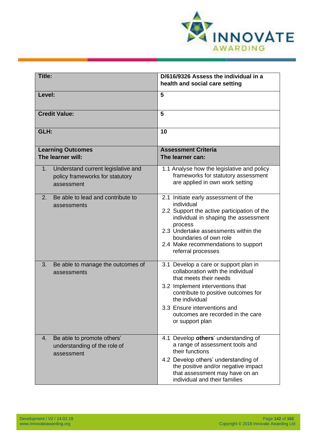

| <b>Title:</b>                                                                             | D/616/9326 Assess the individual in a<br>health and social care setting                                                                                                                                                                                                                   |
|-------------------------------------------------------------------------------------------|-------------------------------------------------------------------------------------------------------------------------------------------------------------------------------------------------------------------------------------------------------------------------------------------|
| Level:                                                                                    | 5                                                                                                                                                                                                                                                                                         |
| <b>Credit Value:</b>                                                                      | 5                                                                                                                                                                                                                                                                                         |
| GLH:                                                                                      | 10                                                                                                                                                                                                                                                                                        |
| <b>Learning Outcomes</b><br>The learner will:                                             | <b>Assessment Criteria</b><br>The learner can:                                                                                                                                                                                                                                            |
| Understand current legislative and<br>1.<br>policy frameworks for statutory<br>assessment | 1.1 Analyse how the legislative and policy<br>frameworks for statutory assessment<br>are applied in own work setting                                                                                                                                                                      |
| Be able to lead and contribute to<br>2.<br>assessments                                    | 2.1 Initiate early assessment of the<br>individual<br>2.2 Support the active participation of the<br>individual in shaping the assessment<br>process<br>2.3 Undertake assessments within the<br>boundaries of own role<br>2.4 Make recommendations to support<br>referral processes       |
| 3.<br>Be able to manage the outcomes of<br>assessments                                    | 3.1 Develop a care or support plan in<br>collaboration with the individual<br>that meets their needs<br>3.2 Implement interventions that<br>contribute to positive outcomes for<br>the individual<br>3.3 Ensure interventions and<br>outcomes are recorded in the care<br>or support plan |
| Be able to promote others'<br>4.<br>understanding of the role of<br>assessment            | 4.1 Develop others' understanding of<br>a range of assessment tools and<br>their functions<br>4.2 Develop others' understanding of<br>the positive and/or negative impact<br>that assessment may have on an<br>individual and their families                                              |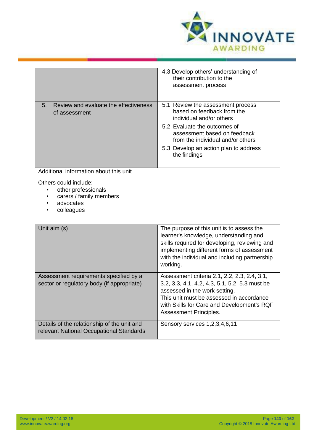

|                                                                                                                 | 4.3 Develop others' understanding of<br>their contribution to the<br>assessment process                                                                                                                                                                   |
|-----------------------------------------------------------------------------------------------------------------|-----------------------------------------------------------------------------------------------------------------------------------------------------------------------------------------------------------------------------------------------------------|
| Review and evaluate the effectiveness<br>5 <sub>1</sub><br>of assessment                                        | 5.1 Review the assessment process<br>based on feedback from the<br>individual and/or others<br>5.2 Evaluate the outcomes of<br>assessment based on feedback<br>from the individual and/or others<br>5.3 Develop an action plan to address<br>the findings |
| Additional information about this unit                                                                          |                                                                                                                                                                                                                                                           |
| Others could include:<br>other professionals<br>$\bullet$<br>carers / family members<br>advocates<br>colleagues |                                                                                                                                                                                                                                                           |
| Unit aim (s)                                                                                                    | The purpose of this unit is to assess the<br>learner's knowledge, understanding and<br>skills required for developing, reviewing and<br>implementing different forms of assessment<br>with the individual and including partnership<br>working.           |
| Assessment requirements specified by a<br>sector or regulatory body (if appropriate)                            | Assessment criteria 2.1, 2.2, 2.3, 2.4, 3.1,<br>3.2, 3.3, 4.1, 4.2, 4.3, 5.1, 5.2, 5.3 must be<br>assessed in the work setting.<br>This unit must be assessed in accordance<br>with Skills for Care and Development's RQF<br>Assessment Principles.       |
| Details of the relationship of the unit and<br>relevant National Occupational Standards                         | Sensory services 1,2,3,4,6,11                                                                                                                                                                                                                             |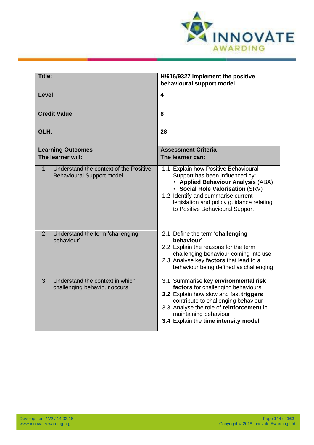

| Title:                                                                                | H/616/9327 Implement the positive<br>behavioural support model                                                                                                                                                                                                           |
|---------------------------------------------------------------------------------------|--------------------------------------------------------------------------------------------------------------------------------------------------------------------------------------------------------------------------------------------------------------------------|
| Level:                                                                                | $\overline{\mathbf{4}}$                                                                                                                                                                                                                                                  |
| <b>Credit Value:</b>                                                                  | 8                                                                                                                                                                                                                                                                        |
| GLH:                                                                                  | 28                                                                                                                                                                                                                                                                       |
| <b>Learning Outcomes</b><br>The learner will:                                         | <b>Assessment Criteria</b><br>The learner can:                                                                                                                                                                                                                           |
| Understand the context of the Positive<br>$1_{-}$<br><b>Behavioural Support model</b> | 1.1 Explain how Positive Behavioural<br>Support has been influenced by:<br>• Applied Behaviour Analysis (ABA)<br>· Social Role Valorisation (SRV)<br>1.2 Identify and summarise current<br>legislation and policy guidance relating<br>to Positive Behavioural Support   |
| Understand the term 'challenging<br>2.<br>behaviour'                                  | 2.1 Define the term 'challenging<br>behaviour'<br>2.2 Explain the reasons for the term<br>challenging behaviour coming into use<br>2.3 Analyse key factors that lead to a<br>behaviour being defined as challenging                                                      |
| Understand the context in which<br>3.<br>challenging behaviour occurs                 | 3.1 Summarise key environmental risk<br>factors for challenging behaviours<br>3.2 Explain how slow and fast triggers<br>contribute to challenging behaviour<br>3.3 Analyse the role of reinforcement in<br>maintaining behaviour<br>3.4 Explain the time intensity model |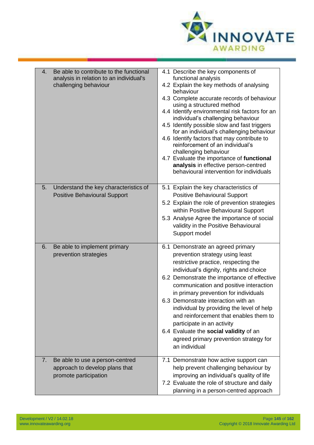

| 4. | Be able to contribute to the functional<br>analysis in relation to an individual's<br>challenging behaviour | 4.1 Describe the key components of<br>functional analysis<br>4.2 Explain the key methods of analysing<br>behaviour<br>4.3 Complete accurate records of behaviour<br>using a structured method<br>4.4 Identify environmental risk factors for an<br>individual's challenging behaviour<br>4.5 Identify possible slow and fast triggers<br>for an individual's challenging behaviour<br>4.6 Identify factors that may contribute to<br>reinforcement of an individual's<br>challenging behaviour<br>4.7 Evaluate the importance of functional<br>analysis in effective person-centred<br>behavioural intervention for individuals |
|----|-------------------------------------------------------------------------------------------------------------|---------------------------------------------------------------------------------------------------------------------------------------------------------------------------------------------------------------------------------------------------------------------------------------------------------------------------------------------------------------------------------------------------------------------------------------------------------------------------------------------------------------------------------------------------------------------------------------------------------------------------------|
| 5. | Understand the key characteristics of                                                                       | 5.1 Explain the key characteristics of                                                                                                                                                                                                                                                                                                                                                                                                                                                                                                                                                                                          |
|    | <b>Positive Behavioural Support</b>                                                                         | <b>Positive Behavioural Support</b>                                                                                                                                                                                                                                                                                                                                                                                                                                                                                                                                                                                             |
|    |                                                                                                             | 5.2 Explain the role of prevention strategies                                                                                                                                                                                                                                                                                                                                                                                                                                                                                                                                                                                   |
|    |                                                                                                             | within Positive Behavioural Support                                                                                                                                                                                                                                                                                                                                                                                                                                                                                                                                                                                             |
|    |                                                                                                             | 5.3 Analyse Agree the importance of social                                                                                                                                                                                                                                                                                                                                                                                                                                                                                                                                                                                      |
|    |                                                                                                             | validity in the Positive Behavioural                                                                                                                                                                                                                                                                                                                                                                                                                                                                                                                                                                                            |
|    |                                                                                                             | Support model                                                                                                                                                                                                                                                                                                                                                                                                                                                                                                                                                                                                                   |
| 6. | Be able to implement primary<br>prevention strategies                                                       | 6.1 Demonstrate an agreed primary<br>prevention strategy using least<br>restrictive practice, respecting the<br>individual's dignity, rights and choice<br>6.2 Demonstrate the importance of effective<br>communication and positive interaction<br>in primary prevention for individuals<br>6.3 Demonstrate interaction with an<br>individual by providing the level of help<br>and reinforcement that enables them to<br>participate in an activity<br>6.4 Evaluate the social validity of an<br>agreed primary prevention strategy for<br>an individual                                                                      |
| 7. | Be able to use a person-centred                                                                             | 7.1 Demonstrate how active support can                                                                                                                                                                                                                                                                                                                                                                                                                                                                                                                                                                                          |
|    | approach to develop plans that                                                                              | help prevent challenging behaviour by                                                                                                                                                                                                                                                                                                                                                                                                                                                                                                                                                                                           |
|    | promote participation                                                                                       | improving an individual's quality of life                                                                                                                                                                                                                                                                                                                                                                                                                                                                                                                                                                                       |
|    |                                                                                                             | 7.2 Evaluate the role of structure and daily                                                                                                                                                                                                                                                                                                                                                                                                                                                                                                                                                                                    |
|    |                                                                                                             | planning in a person-centred approach                                                                                                                                                                                                                                                                                                                                                                                                                                                                                                                                                                                           |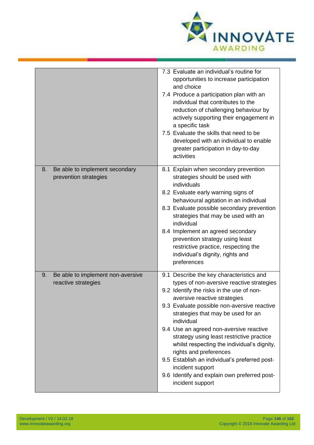

|                                                                | 7.3 Evaluate an individual's routine for<br>opportunities to increase participation<br>and choice<br>7.4 Produce a participation plan with an<br>individual that contributes to the<br>reduction of challenging behaviour by<br>actively supporting their engagement in<br>a specific task<br>7.5 Evaluate the skills that need to be<br>developed with an individual to enable<br>greater participation in day-to-day<br>activities                                                                                                                                            |
|----------------------------------------------------------------|---------------------------------------------------------------------------------------------------------------------------------------------------------------------------------------------------------------------------------------------------------------------------------------------------------------------------------------------------------------------------------------------------------------------------------------------------------------------------------------------------------------------------------------------------------------------------------|
| Be able to implement secondary<br>8.<br>prevention strategies  | 8.1 Explain when secondary prevention<br>strategies should be used with<br>individuals<br>8.2 Evaluate early warning signs of<br>behavioural agitation in an individual<br>8.3 Evaluate possible secondary prevention<br>strategies that may be used with an<br>individual<br>8.4 Implement an agreed secondary<br>prevention strategy using least<br>restrictive practice, respecting the<br>individual's dignity, rights and<br>preferences                                                                                                                                   |
| Be able to implement non-aversive<br>9.<br>reactive strategies | 9.1 Describe the key characteristics and<br>types of non-aversive reactive strategies<br>9.2 Identify the risks in the use of non-<br>aversive reactive strategies<br>9.3 Evaluate possible non-aversive reactive<br>strategies that may be used for an<br>individual<br>9.4 Use an agreed non-aversive reactive<br>strategy using least restrictive practice<br>whilst respecting the individual's dignity,<br>rights and preferences<br>9.5 Establish an individual's preferred post-<br>incident support<br>9.6 Identify and explain own preferred post-<br>incident support |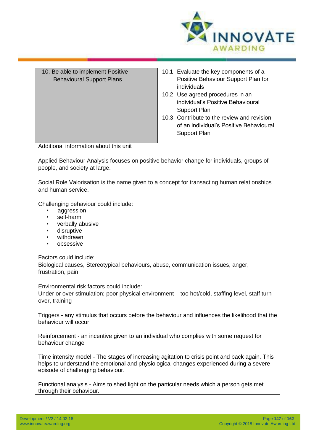

| 10. Be able to implement Positive<br><b>Behavioural Support Plans</b>                                                      | 10.1 Evaluate the key components of a<br>Positive Behaviour Support Plan for<br>individuals |  |
|----------------------------------------------------------------------------------------------------------------------------|---------------------------------------------------------------------------------------------|--|
|                                                                                                                            | 10.2 Use agreed procedures in an<br>individual's Positive Behavioural                       |  |
|                                                                                                                            | Support Plan                                                                                |  |
|                                                                                                                            | 10.3 Contribute to the review and revision<br>of an individual's Positive Behavioural       |  |
|                                                                                                                            | Support Plan                                                                                |  |
| Additional information about this unit                                                                                     |                                                                                             |  |
| Applied Behaviour Analysis focuses on positive behavior change for individuals, groups of<br>people, and society at large. |                                                                                             |  |
| Social Role Valorisation is the name given to a concept for transacting human relationships<br>and human service.          |                                                                                             |  |

Challenging behaviour could include:

- aggression
- self-harm
- verbally abusive
- disruptive
- withdrawn
- obsessive

Factors could include:

Biological causes, Stereotypical behaviours, abuse, communication issues, anger, frustration, pain

Environmental risk factors could include:

Under or over stimulation; poor physical environment – too hot/cold, staffing level, staff turn over, training

Triggers - any stimulus that occurs before the behaviour and influences the likelihood that the behaviour will occur

Reinforcement - an incentive given to an individual who complies with some request for behaviour change

Time intensity model - The stages of increasing agitation to crisis point and back again. This helps to understand the emotional and physiological changes experienced during a severe episode of challenging behaviour.

Functional analysis - Aims to shed light on the particular needs which a person gets met through their behaviour.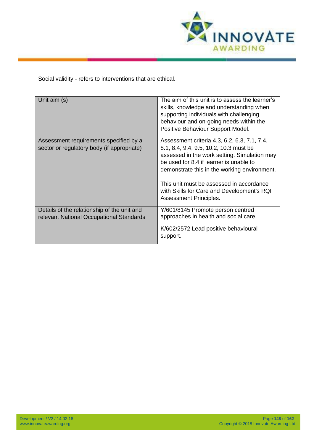

Social validity - refers to interventions that are ethical.

| Unit aim (s)                                                                            | The aim of this unit is to assess the learner's<br>skills, knowledge and understanding when<br>supporting individuals with challenging<br>behaviour and on-going needs within the<br>Positive Behaviour Support Model.                                                                                                                                |
|-----------------------------------------------------------------------------------------|-------------------------------------------------------------------------------------------------------------------------------------------------------------------------------------------------------------------------------------------------------------------------------------------------------------------------------------------------------|
| Assessment requirements specified by a<br>sector or regulatory body (if appropriate)    | Assessment criteria 4.3, 6.2, 6.3, 7.1, 7.4,<br>8.1, 8.4, 9.4, 9.5, 10.2, 10.3 must be<br>assessed in the work setting. Simulation may<br>be used for 8.4 if learner is unable to<br>demonstrate this in the working environment.<br>This unit must be assessed in accordance<br>with Skills for Care and Development's RQF<br>Assessment Principles. |
| Details of the relationship of the unit and<br>relevant National Occupational Standards | Y/601/8145 Promote person centred<br>approaches in health and social care.<br>K/602/2572 Lead positive behavioural<br>support.                                                                                                                                                                                                                        |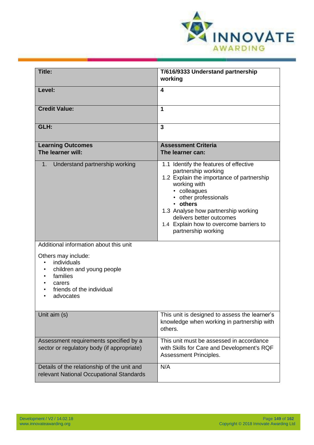

| <b>Title:</b>                                                                                                                                                                                            |                                                                                                                                                                                                                                                                                                                      |
|----------------------------------------------------------------------------------------------------------------------------------------------------------------------------------------------------------|----------------------------------------------------------------------------------------------------------------------------------------------------------------------------------------------------------------------------------------------------------------------------------------------------------------------|
|                                                                                                                                                                                                          | T/616/9333 Understand partnership<br>working                                                                                                                                                                                                                                                                         |
| Level:                                                                                                                                                                                                   | 4                                                                                                                                                                                                                                                                                                                    |
| <b>Credit Value:</b>                                                                                                                                                                                     | 1                                                                                                                                                                                                                                                                                                                    |
| GLH:                                                                                                                                                                                                     | $\overline{3}$                                                                                                                                                                                                                                                                                                       |
| <b>Learning Outcomes</b><br>The learner will:                                                                                                                                                            | <b>Assessment Criteria</b><br>The learner can:                                                                                                                                                                                                                                                                       |
| Understand partnership working<br>1.                                                                                                                                                                     | 1.1 Identify the features of effective<br>partnership working<br>1.2 Explain the importance of partnership<br>working with<br>• colleagues<br>• other professionals<br>• others<br>1.3 Analyse how partnership working<br>delivers better outcomes<br>1.4 Explain how to overcome barriers to<br>partnership working |
| Additional information about this unit<br>Others may include:<br>individuals<br>$\bullet$<br>children and young people<br>$\bullet$<br>families<br>٠<br>carers<br>friends of the individual<br>advocates |                                                                                                                                                                                                                                                                                                                      |
| Unit aim (s)                                                                                                                                                                                             | This unit is designed to assess the learner's<br>knowledge when working in partnership with<br>others.                                                                                                                                                                                                               |
| Assessment requirements specified by a<br>sector or regulatory body (if appropriate)                                                                                                                     | This unit must be assessed in accordance<br>with Skills for Care and Development's RQF<br>Assessment Principles.                                                                                                                                                                                                     |
| Details of the relationship of the unit and<br>relevant National Occupational Standards                                                                                                                  | N/A                                                                                                                                                                                                                                                                                                                  |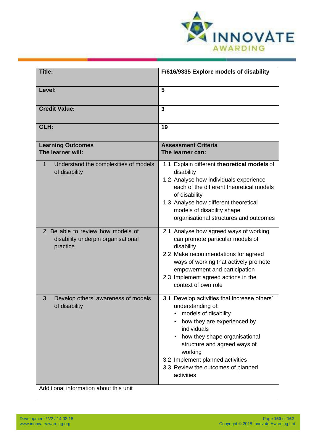

| Title:                                                                               | F/616/9335 Explore models of disability                                                                                                                                                                                                                                                                     |
|--------------------------------------------------------------------------------------|-------------------------------------------------------------------------------------------------------------------------------------------------------------------------------------------------------------------------------------------------------------------------------------------------------------|
| Level:                                                                               | 5                                                                                                                                                                                                                                                                                                           |
| <b>Credit Value:</b>                                                                 | $\overline{3}$                                                                                                                                                                                                                                                                                              |
| GLH:                                                                                 | 19                                                                                                                                                                                                                                                                                                          |
| <b>Learning Outcomes</b><br>The learner will:                                        | <b>Assessment Criteria</b><br>The learner can:                                                                                                                                                                                                                                                              |
| Understand the complexities of models<br>1.<br>of disability                         | 1.1 Explain different theoretical models of<br>disability<br>1.2 Analyse how individuals experience<br>each of the different theoretical models<br>of disability<br>1.3 Analyse how different theoretical<br>models of disability shape<br>organisational structures and outcomes                           |
| 2. Be able to review how models of<br>disability underpin organisational<br>practice | 2.1 Analyse how agreed ways of working<br>can promote particular models of<br>disability<br>2.2 Make recommendations for agreed<br>ways of working that actively promote<br>empowerment and participation<br>2.3 Implement agreed actions in the<br>context of own role                                     |
| 3.<br>Develop others' awareness of models<br>of disability                           | 3.1 Develop activities that increase others'<br>understanding of:<br>models of disability<br>how they are experienced by<br>individuals<br>how they shape organisational<br>structure and agreed ways of<br>working<br>3.2 Implement planned activities<br>3.3 Review the outcomes of planned<br>activities |
| Additional information about this unit                                               |                                                                                                                                                                                                                                                                                                             |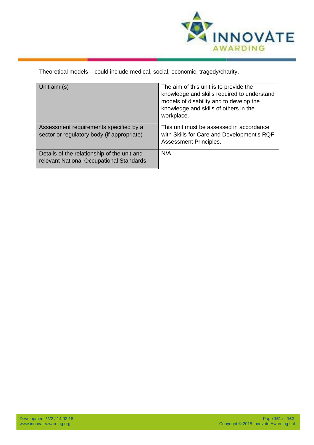

| Theoretical models – could include medical, social, economic, tragedy/charity.          |                                                                                                                                                                                         |  |
|-----------------------------------------------------------------------------------------|-----------------------------------------------------------------------------------------------------------------------------------------------------------------------------------------|--|
| Unit aim (s)                                                                            | The aim of this unit is to provide the<br>knowledge and skills required to understand<br>models of disability and to develop the<br>knowledge and skills of others in the<br>workplace. |  |
| Assessment requirements specified by a<br>sector or regulatory body (if appropriate)    | This unit must be assessed in accordance<br>with Skills for Care and Development's RQF<br>Assessment Principles.                                                                        |  |
| Details of the relationship of the unit and<br>relevant National Occupational Standards | N/A                                                                                                                                                                                     |  |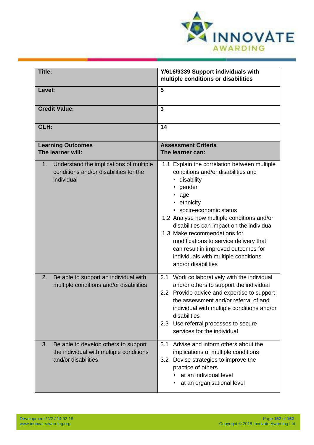

| Title:                                                                                                         | Y/616/9339 Support individuals with<br>multiple conditions or disabilities                                                                                                                                                                                                                                                                                                                                                                 |
|----------------------------------------------------------------------------------------------------------------|--------------------------------------------------------------------------------------------------------------------------------------------------------------------------------------------------------------------------------------------------------------------------------------------------------------------------------------------------------------------------------------------------------------------------------------------|
| Level:                                                                                                         | 5                                                                                                                                                                                                                                                                                                                                                                                                                                          |
| <b>Credit Value:</b>                                                                                           | 3                                                                                                                                                                                                                                                                                                                                                                                                                                          |
| GLH:                                                                                                           | 14                                                                                                                                                                                                                                                                                                                                                                                                                                         |
| <b>Learning Outcomes</b><br>The learner will:                                                                  | <b>Assessment Criteria</b><br>The learner can:                                                                                                                                                                                                                                                                                                                                                                                             |
| Understand the implications of multiple<br>$1_{\cdot}$<br>conditions and/or disabilities for the<br>individual | 1.1 Explain the correlation between multiple<br>conditions and/or disabilities and<br>• disability<br>gender<br>• age<br>• ethnicity<br>· socio-economic status<br>1.2 Analyse how multiple conditions and/or<br>disabilities can impact on the individual<br>1.3 Make recommendations for<br>modifications to service delivery that<br>can result in improved outcomes for<br>individuals with multiple conditions<br>and/or disabilities |
| Be able to support an individual with<br>2.<br>multiple conditions and/or disabilities                         | Work collaboratively with the individual<br>2.1<br>and/or others to support the individual<br>2.2 Provide advice and expertise to support<br>the assessment and/or referral of and<br>individual with multiple conditions and/or<br>disabilities<br>2.3 Use referral processes to secure<br>services for the individual                                                                                                                    |
| Be able to develop others to support<br>3.<br>the individual with multiple conditions<br>and/or disabilities   | Advise and inform others about the<br>3.1<br>implications of multiple conditions<br>3.2 Devise strategies to improve the<br>practice of others<br>at an individual level<br>at an organisational level                                                                                                                                                                                                                                     |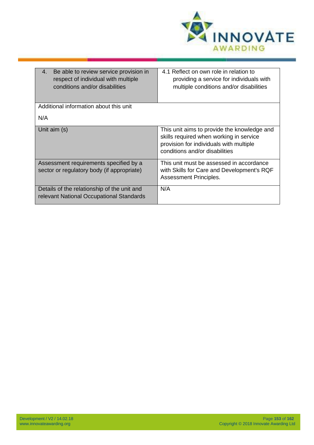

| Be able to review service provision in<br>4.<br>respect of individual with multiple<br>conditions and/or disabilities | 4.1 Reflect on own role in relation to<br>providing a service for individuals with<br>multiple conditions and/or disabilities                                       |
|-----------------------------------------------------------------------------------------------------------------------|---------------------------------------------------------------------------------------------------------------------------------------------------------------------|
| Additional information about this unit                                                                                |                                                                                                                                                                     |
| N/A                                                                                                                   |                                                                                                                                                                     |
| Unit aim (s)                                                                                                          | This unit aims to provide the knowledge and<br>skills required when working in service<br>provision for individuals with multiple<br>conditions and/or disabilities |
| Assessment requirements specified by a<br>sector or regulatory body (if appropriate)                                  | This unit must be assessed in accordance<br>with Skills for Care and Development's RQF<br>Assessment Principles.                                                    |
| Details of the relationship of the unit and<br>relevant National Occupational Standards                               | N/A                                                                                                                                                                 |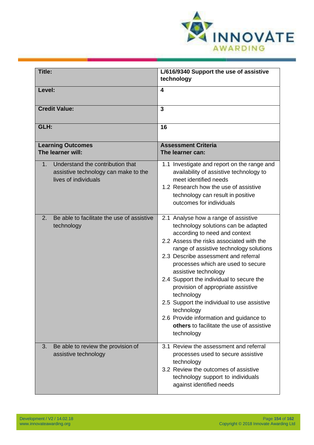

| Title:                                                                                                 | L/616/9340 Support the use of assistive<br>technology                                                                                                                                                                                                                                                                                                                                                                                                                                                                                                                        |
|--------------------------------------------------------------------------------------------------------|------------------------------------------------------------------------------------------------------------------------------------------------------------------------------------------------------------------------------------------------------------------------------------------------------------------------------------------------------------------------------------------------------------------------------------------------------------------------------------------------------------------------------------------------------------------------------|
| Level:                                                                                                 | 4                                                                                                                                                                                                                                                                                                                                                                                                                                                                                                                                                                            |
| <b>Credit Value:</b>                                                                                   | 3                                                                                                                                                                                                                                                                                                                                                                                                                                                                                                                                                                            |
| GLH:                                                                                                   | 16                                                                                                                                                                                                                                                                                                                                                                                                                                                                                                                                                                           |
| <b>Learning Outcomes</b><br>The learner will:                                                          | <b>Assessment Criteria</b><br>The learner can:                                                                                                                                                                                                                                                                                                                                                                                                                                                                                                                               |
| Understand the contribution that<br>1.<br>assistive technology can make to the<br>lives of individuals | 1.1 Investigate and report on the range and<br>availability of assistive technology to<br>meet identified needs<br>1.2 Research how the use of assistive<br>technology can result in positive<br>outcomes for individuals                                                                                                                                                                                                                                                                                                                                                    |
| Be able to facilitate the use of assistive<br>2.<br>technology                                         | 2.1 Analyse how a range of assistive<br>technology solutions can be adapted<br>according to need and context<br>2.2 Assess the risks associated with the<br>range of assistive technology solutions<br>2.3 Describe assessment and referral<br>processes which are used to secure<br>assistive technology<br>2.4 Support the individual to secure the<br>provision of appropriate assistive<br>technology<br>2.5 Support the individual to use assistive<br>technology<br>2.6 Provide information and guidance to<br>others to facilitate the use of assistive<br>technology |
| Be able to review the provision of<br>3.<br>assistive technology                                       | 3.1 Review the assessment and referral<br>processes used to secure assistive<br>technology<br>3.2 Review the outcomes of assistive<br>technology support to individuals<br>against identified needs                                                                                                                                                                                                                                                                                                                                                                          |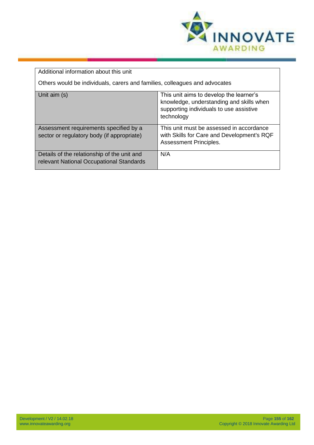

| Additional information about this unit                                                  |                                                                                                                                              |  |
|-----------------------------------------------------------------------------------------|----------------------------------------------------------------------------------------------------------------------------------------------|--|
| Others would be individuals, carers and families, colleagues and advocates              |                                                                                                                                              |  |
| Unit aim (s)                                                                            | This unit aims to develop the learner's<br>knowledge, understanding and skills when<br>supporting individuals to use assistive<br>technology |  |
| Assessment requirements specified by a<br>sector or regulatory body (if appropriate)    | This unit must be assessed in accordance<br>with Skills for Care and Development's RQF<br><b>Assessment Principles.</b>                      |  |
| Details of the relationship of the unit and<br>relevant National Occupational Standards | N/A                                                                                                                                          |  |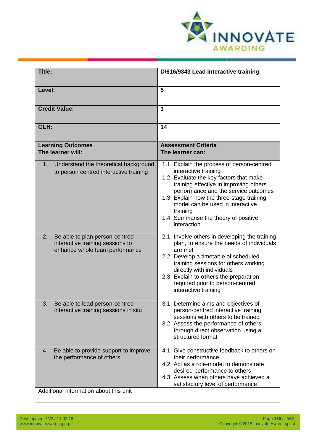

| <b>Title:</b>                                                                                                      | D/616/9343 Lead interactive training                                                                                                                                                                                                                                                                                                             |
|--------------------------------------------------------------------------------------------------------------------|--------------------------------------------------------------------------------------------------------------------------------------------------------------------------------------------------------------------------------------------------------------------------------------------------------------------------------------------------|
| Level:                                                                                                             | 5                                                                                                                                                                                                                                                                                                                                                |
| <b>Credit Value:</b>                                                                                               | 3                                                                                                                                                                                                                                                                                                                                                |
| GLH:                                                                                                               | 14                                                                                                                                                                                                                                                                                                                                               |
| <b>Learning Outcomes</b><br>The learner will:                                                                      | <b>Assessment Criteria</b><br>The learner can:                                                                                                                                                                                                                                                                                                   |
| Understand the theoretical background<br>1.<br>to person centred interactive training                              | 1.1 Explain the process of person-centred<br>interactive training<br>1.2 Evaluate the key factors that make<br>training effective in improving others<br>performance and the service outcomes<br>1.3 Explain how the three-stage training<br>model can be used in interactive<br>training<br>1.4 Summarise the theory of positive<br>interaction |
| 2.<br>Be able to plan person-centred<br>interactive training sessions to<br>enhance whole team performance         | 2.1 Involve others in developing the training<br>plan, to ensure the needs of individuals<br>are met<br>2.2 Develop a timetable of scheduled<br>training sessions for others working<br>directly with individuals<br>2.3 Explain to others the preparation<br>required prior to person-centred<br>interactive training                           |
| З.<br>Be able to lead person-centred<br>interactive training sessions in situ                                      | 3.1 Determine aims and objectives of<br>person-centred interactive training<br>sessions with others to be trained<br>3.2 Assess the performance of others<br>through direct observation using a<br>structured format                                                                                                                             |
| Be able to provide support to improve<br>4.<br>the performance of others<br>Additional information about this unit | Give constructive feedback to others on<br>4.1<br>their performance<br>4.2 Act as a role-model to demonstrate<br>desired performance to others<br>4.3 Assess when others have achieved a<br>satisfactory level of performance                                                                                                                    |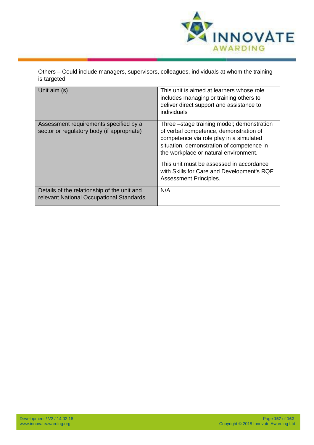

| Others – Could include managers, supervisors, colleagues, individuals at whom the training<br>is targeted |                                                                                                                                                                                                                       |
|-----------------------------------------------------------------------------------------------------------|-----------------------------------------------------------------------------------------------------------------------------------------------------------------------------------------------------------------------|
| Unit aim (s)                                                                                              | This unit is aimed at learners whose role<br>includes managing or training others to<br>deliver direct support and assistance to<br>individuals                                                                       |
| Assessment requirements specified by a<br>sector or regulatory body (if appropriate)                      | Three -stage training model; demonstration<br>of verbal competence, demonstration of<br>competence via role play in a simulated<br>situation, demonstration of competence in<br>the workplace or natural environment. |
|                                                                                                           | This unit must be assessed in accordance<br>with Skills for Care and Development's RQF<br>Assessment Principles.                                                                                                      |
| Details of the relationship of the unit and<br>relevant National Occupational Standards                   | N/A                                                                                                                                                                                                                   |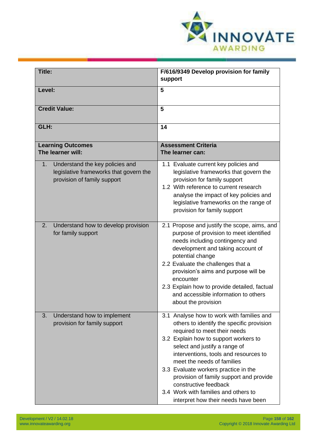

| <b>Title:</b>                                                                                                           | F/616/9349 Develop provision for family<br>support                                                                                                                                                                                                                                                                                                                                                                                                                 |
|-------------------------------------------------------------------------------------------------------------------------|--------------------------------------------------------------------------------------------------------------------------------------------------------------------------------------------------------------------------------------------------------------------------------------------------------------------------------------------------------------------------------------------------------------------------------------------------------------------|
| Level:                                                                                                                  | 5                                                                                                                                                                                                                                                                                                                                                                                                                                                                  |
| <b>Credit Value:</b>                                                                                                    | 5                                                                                                                                                                                                                                                                                                                                                                                                                                                                  |
| GLH:                                                                                                                    | 14                                                                                                                                                                                                                                                                                                                                                                                                                                                                 |
| <b>Learning Outcomes</b><br>The learner will:                                                                           | <b>Assessment Criteria</b><br>The learner can:                                                                                                                                                                                                                                                                                                                                                                                                                     |
| Understand the key policies and<br>$1_{\cdot}$<br>legislative frameworks that govern the<br>provision of family support | 1.1 Evaluate current key policies and<br>legislative frameworks that govern the<br>provision for family support<br>1.2 With reference to current research<br>analyse the impact of key policies and<br>legislative frameworks on the range of<br>provision for family support                                                                                                                                                                                      |
| 2.<br>Understand how to develop provision<br>for family support                                                         | 2.1 Propose and justify the scope, aims, and<br>purpose of provision to meet identified<br>needs including contingency and<br>development and taking account of<br>potential change<br>2.2 Evaluate the challenges that a<br>provision's aims and purpose will be<br>encounter<br>2.3 Explain how to provide detailed, factual<br>and accessible information to others<br>about the provision                                                                      |
| Understand how to implement<br>3.<br>provision for family support                                                       | 3.1 Analyse how to work with families and<br>others to identify the specific provision<br>required to meet their needs<br>3.2 Explain how to support workers to<br>select and justify a range of<br>interventions, tools and resources to<br>meet the needs of families<br>3.3 Evaluate workers practice in the<br>provision of family support and provide<br>constructive feedback<br>3.4 Work with families and others to<br>interpret how their needs have been |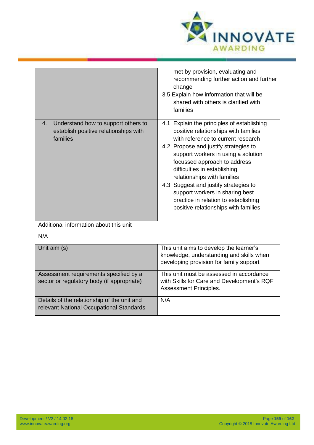

|                                                                                                | met by provision, evaluating and<br>recommending further action and further<br>change<br>3.5 Explain how information that will be<br>shared with others is clarified with<br>families                                                                                                                                                                                                                                                                               |
|------------------------------------------------------------------------------------------------|---------------------------------------------------------------------------------------------------------------------------------------------------------------------------------------------------------------------------------------------------------------------------------------------------------------------------------------------------------------------------------------------------------------------------------------------------------------------|
| 4.<br>Understand how to support others to<br>establish positive relationships with<br>families | 4.1 Explain the principles of establishing<br>positive relationships with families<br>with reference to current research<br>4.2 Propose and justify strategies to<br>support workers in using a solution<br>focussed approach to address<br>difficulties in establishing<br>relationships with families<br>4.3 Suggest and justify strategies to<br>support workers in sharing best<br>practice in relation to establishing<br>positive relationships with families |
| Additional information about this unit                                                         |                                                                                                                                                                                                                                                                                                                                                                                                                                                                     |
| N/A                                                                                            |                                                                                                                                                                                                                                                                                                                                                                                                                                                                     |
| Unit aim (s)                                                                                   | This unit aims to develop the learner's<br>knowledge, understanding and skills when<br>developing provision for family support                                                                                                                                                                                                                                                                                                                                      |
| Assessment requirements specified by a<br>sector or regulatory body (if appropriate)           | This unit must be assessed in accordance<br>with Skills for Care and Development's RQF<br>Assessment Principles.                                                                                                                                                                                                                                                                                                                                                    |
| Details of the relationship of the unit and<br>relevant National Occupational Standards        | N/A                                                                                                                                                                                                                                                                                                                                                                                                                                                                 |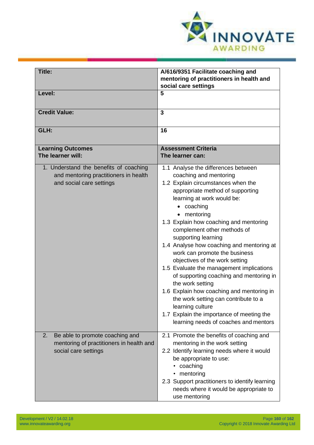

| Title:                                                                                                      | A/616/9351 Facilitate coaching and<br>mentoring of practitioners in health and<br>social care settings                                                                                                                                                                                                                                                                                                                                                                                                                                                                                                                                                                                                                   |
|-------------------------------------------------------------------------------------------------------------|--------------------------------------------------------------------------------------------------------------------------------------------------------------------------------------------------------------------------------------------------------------------------------------------------------------------------------------------------------------------------------------------------------------------------------------------------------------------------------------------------------------------------------------------------------------------------------------------------------------------------------------------------------------------------------------------------------------------------|
| Level:                                                                                                      | 5                                                                                                                                                                                                                                                                                                                                                                                                                                                                                                                                                                                                                                                                                                                        |
| <b>Credit Value:</b>                                                                                        | $\overline{3}$                                                                                                                                                                                                                                                                                                                                                                                                                                                                                                                                                                                                                                                                                                           |
| GLH:                                                                                                        | 16                                                                                                                                                                                                                                                                                                                                                                                                                                                                                                                                                                                                                                                                                                                       |
| <b>Learning Outcomes</b><br>The learner will:                                                               | <b>Assessment Criteria</b><br>The learner can:                                                                                                                                                                                                                                                                                                                                                                                                                                                                                                                                                                                                                                                                           |
| 1. Understand the benefits of coaching<br>and mentoring practitioners in health<br>and social care settings | 1.1 Analyse the differences between<br>coaching and mentoring<br>1.2 Explain circumstances when the<br>appropriate method of supporting<br>learning at work would be:<br>coaching<br>mentoring<br>1.3 Explain how coaching and mentoring<br>complement other methods of<br>supporting learning<br>1.4 Analyse how coaching and mentoring at<br>work can promote the business<br>objectives of the work setting<br>1.5 Evaluate the management implications<br>of supporting coaching and mentoring in<br>the work setting<br>1.6 Explain how coaching and mentoring in<br>the work setting can contribute to a<br>learning culture<br>1.7 Explain the importance of meeting the<br>learning needs of coaches and mentors |
| Be able to promote coaching and<br>2.<br>mentoring of practitioners in health and<br>social care settings   | 2.1 Promote the benefits of coaching and<br>mentoring in the work setting<br>2.2 Identify learning needs where it would<br>be appropriate to use:<br>• coaching<br>• mentoring<br>2.3 Support practitioners to identify learning<br>needs where it would be appropriate to<br>use mentoring                                                                                                                                                                                                                                                                                                                                                                                                                              |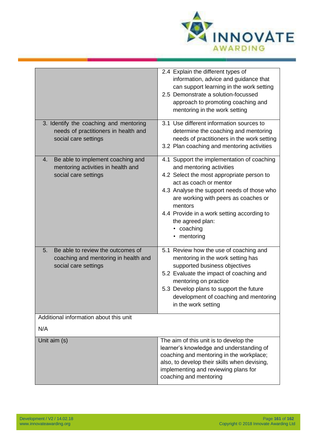

| 3. Identify the coaching and mentoring<br>needs of practitioners in health and<br>social care settings  | 2.4 Explain the different types of<br>information, advice and guidance that<br>can support learning in the work setting<br>2.5 Demonstrate a solution-focussed<br>approach to promoting coaching and<br>mentoring in the work setting<br>3.1 Use different information sources to<br>determine the coaching and mentoring<br>needs of practitioners in the work setting<br>3.2 Plan coaching and mentoring activities |
|---------------------------------------------------------------------------------------------------------|-----------------------------------------------------------------------------------------------------------------------------------------------------------------------------------------------------------------------------------------------------------------------------------------------------------------------------------------------------------------------------------------------------------------------|
| Be able to implement coaching and<br>4.<br>mentoring activities in health and<br>social care settings   | 4.1 Support the implementation of coaching<br>and mentoring activities<br>4.2 Select the most appropriate person to<br>act as coach or mentor<br>4.3 Analyse the support needs of those who<br>are working with peers as coaches or<br>mentors<br>4.4 Provide in a work setting according to<br>the agreed plan:<br>• coaching<br>• mentoring                                                                         |
| Be able to review the outcomes of<br>5.<br>coaching and mentoring in health and<br>social care settings | 5.1 Review how the use of coaching and<br>mentoring in the work setting has<br>supported business objectives<br>5.2 Evaluate the impact of coaching and<br>mentoring on practice<br>5.3 Develop plans to support the future<br>development of coaching and mentoring<br>in the work setting                                                                                                                           |
| Additional information about this unit<br>N/A                                                           |                                                                                                                                                                                                                                                                                                                                                                                                                       |
| Unit aim (s)                                                                                            | The aim of this unit is to develop the<br>learner's knowledge and understanding of<br>coaching and mentoring in the workplace;<br>also, to develop their skills when devising,<br>implementing and reviewing plans for<br>coaching and mentoring                                                                                                                                                                      |